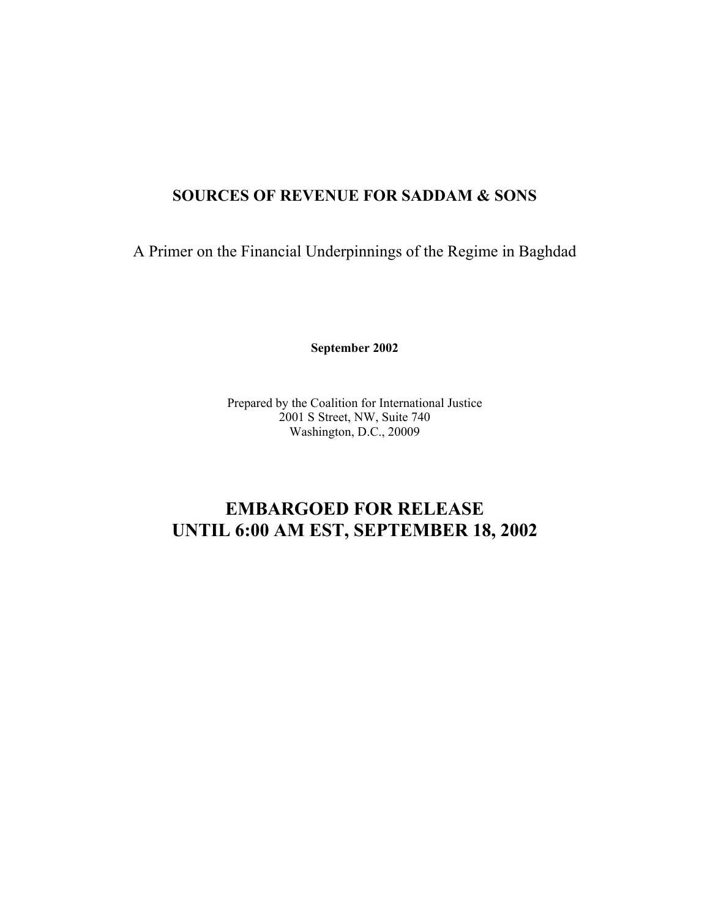## **SOURCES OF REVENUE FOR SADDAM & SONS**

A Primer on the Financial Underpinnings of the Regime in Baghdad

**September 2002**

Prepared by the Coalition for International Justice 2001 S Street, NW, Suite 740 Washington, D.C., 20009

# **EMBARGOED FOR RELEASE UNTIL 6:00 AM EST, SEPTEMBER 18, 2002**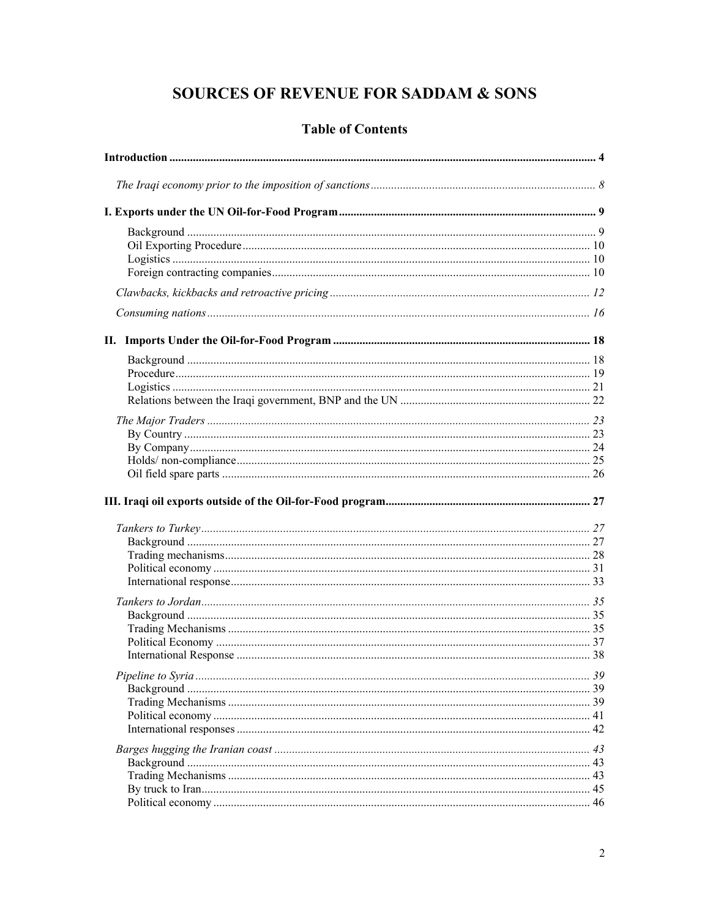# **SOURCES OF REVENUE FOR SADDAM & SONS**

## **Table of Contents**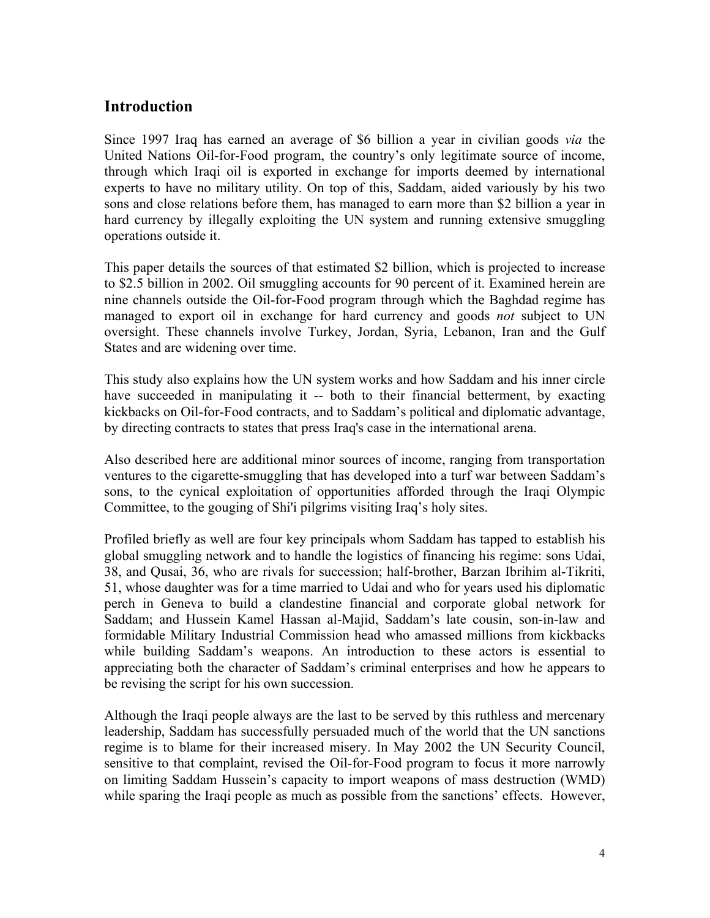## **Introduction**

Since 1997 Iraq has earned an average of \$6 billion a year in civilian goods *via* the United Nations Oil-for-Food program, the country's only legitimate source of income, through which Iraqi oil is exported in exchange for imports deemed by international experts to have no military utility. On top of this, Saddam, aided variously by his two sons and close relations before them, has managed to earn more than \$2 billion a year in hard currency by illegally exploiting the UN system and running extensive smuggling operations outside it.

This paper details the sources of that estimated \$2 billion, which is projected to increase to \$2.5 billion in 2002. Oil smuggling accounts for 90 percent of it. Examined herein are nine channels outside the Oil-for-Food program through which the Baghdad regime has managed to export oil in exchange for hard currency and goods *not* subject to UN oversight. These channels involve Turkey, Jordan, Syria, Lebanon, Iran and the Gulf States and are widening over time.

This study also explains how the UN system works and how Saddam and his inner circle have succeeded in manipulating it -- both to their financial betterment, by exacting kickbacks on Oil-for-Food contracts, and to Saddam's political and diplomatic advantage, by directing contracts to states that press Iraq's case in the international arena.

Also described here are additional minor sources of income, ranging from transportation ventures to the cigarette-smuggling that has developed into a turf war between Saddam's sons, to the cynical exploitation of opportunities afforded through the Iraqi Olympic Committee, to the gouging of Shi'i pilgrims visiting Iraq's holy sites.

Profiled briefly as well are four key principals whom Saddam has tapped to establish his global smuggling network and to handle the logistics of financing his regime: sons Udai, 38, and Qusai, 36, who are rivals for succession; half-brother, Barzan Ibrihim al-Tikriti, 51, whose daughter was for a time married to Udai and who for years used his diplomatic perch in Geneva to build a clandestine financial and corporate global network for Saddam; and Hussein Kamel Hassan al-Majid, Saddam's late cousin, son-in-law and formidable Military Industrial Commission head who amassed millions from kickbacks while building Saddam's weapons. An introduction to these actors is essential to appreciating both the character of Saddam's criminal enterprises and how he appears to be revising the script for his own succession.

Although the Iraqi people always are the last to be served by this ruthless and mercenary leadership, Saddam has successfully persuaded much of the world that the UN sanctions regime is to blame for their increased misery. In May 2002 the UN Security Council, sensitive to that complaint, revised the Oil-for-Food program to focus it more narrowly on limiting Saddam Hussein's capacity to import weapons of mass destruction (WMD) while sparing the Iraqi people as much as possible from the sanctions' effects. However,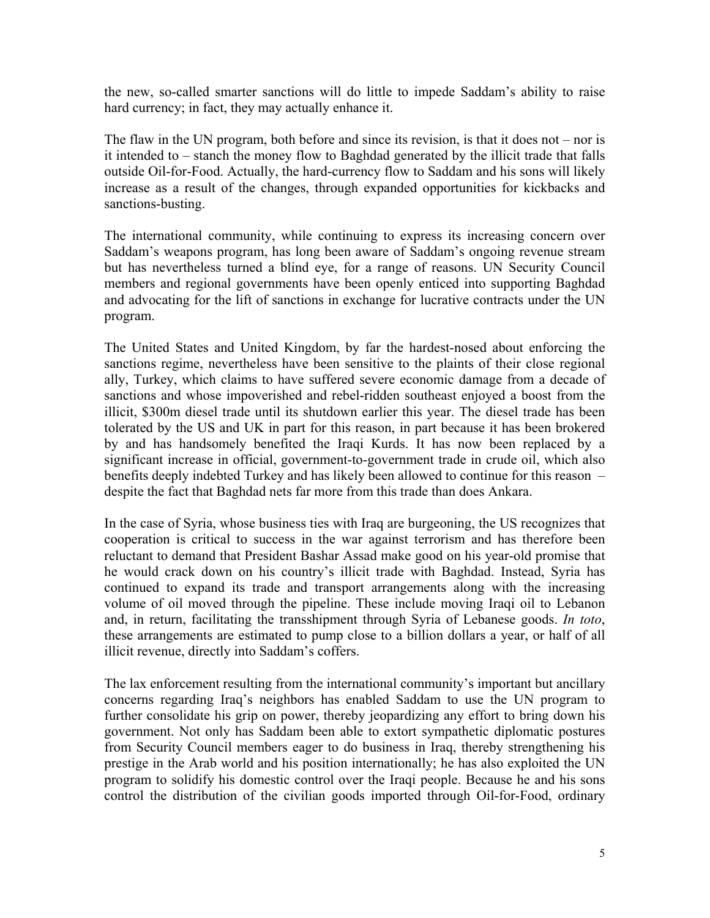the new, so-called smarter sanctions will do little to impede Saddam's ability to raise hard currency; in fact, they may actually enhance it.

The flaw in the UN program, both before and since its revision, is that it does not – nor is it intended to – stanch the money flow to Baghdad generated by the illicit trade that falls outside Oil-for-Food. Actually, the hard-currency flow to Saddam and his sons will likely increase as a result of the changes, through expanded opportunities for kickbacks and sanctions-busting.

The international community, while continuing to express its increasing concern over Saddam's weapons program, has long been aware of Saddam's ongoing revenue stream but has nevertheless turned a blind eye, for a range of reasons. UN Security Council members and regional governments have been openly enticed into supporting Baghdad and advocating for the lift of sanctions in exchange for lucrative contracts under the UN program.

The United States and United Kingdom, by far the hardest-nosed about enforcing the sanctions regime, nevertheless have been sensitive to the plaints of their close regional ally, Turkey, which claims to have suffered severe economic damage from a decade of sanctions and whose impoverished and rebel-ridden southeast enjoyed a boost from the illicit, \$300m diesel trade until its shutdown earlier this year. The diesel trade has been tolerated by the US and UK in part for this reason, in part because it has been brokered by and has handsomely benefited the Iraqi Kurds. It has now been replaced by a significant increase in official, government-to-government trade in crude oil, which also benefits deeply indebted Turkey and has likely been allowed to continue for this reason – despite the fact that Baghdad nets far more from this trade than does Ankara.

In the case of Syria, whose business ties with Iraq are burgeoning, the US recognizes that cooperation is critical to success in the war against terrorism and has therefore been reluctant to demand that President Bashar Assad make good on his year-old promise that he would crack down on his country's illicit trade with Baghdad. Instead, Syria has continued to expand its trade and transport arrangements along with the increasing volume of oil moved through the pipeline. These include moving Iraqi oil to Lebanon and, in return, facilitating the transshipment through Syria of Lebanese goods. *In toto*, these arrangements are estimated to pump close to a billion dollars a year, or half of all illicit revenue, directly into Saddam's coffers.

The lax enforcement resulting from the international community's important but ancillary concerns regarding Iraq's neighbors has enabled Saddam to use the UN program to further consolidate his grip on power, thereby jeopardizing any effort to bring down his government. Not only has Saddam been able to extort sympathetic diplomatic postures from Security Council members eager to do business in Iraq, thereby strengthening his prestige in the Arab world and his position internationally; he has also exploited the UN program to solidify his domestic control over the Iraqi people. Because he and his sons control the distribution of the civilian goods imported through Oil-for-Food, ordinary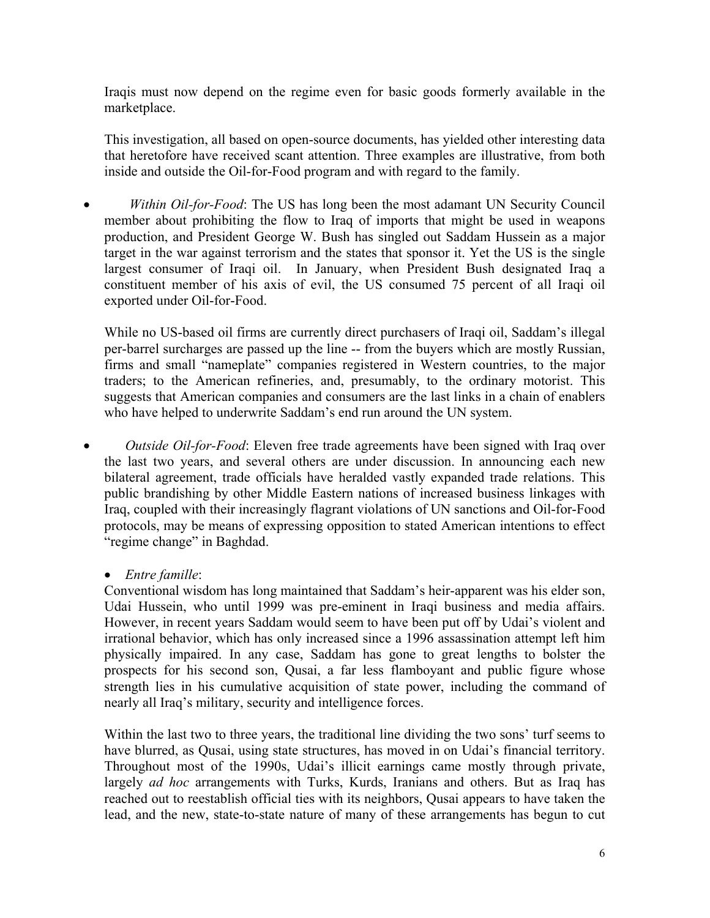Iraqis must now depend on the regime even for basic goods formerly available in the marketplace.

This investigation, all based on open-source documents, has yielded other interesting data that heretofore have received scant attention. Three examples are illustrative, from both inside and outside the Oil-for-Food program and with regard to the family.

*Within Oil-for-Food*: The US has long been the most adamant UN Security Council member about prohibiting the flow to Iraq of imports that might be used in weapons production, and President George W. Bush has singled out Saddam Hussein as a major target in the war against terrorism and the states that sponsor it. Yet the US is the single largest consumer of Iraqi oil. In January, when President Bush designated Iraq a constituent member of his axis of evil, the US consumed 75 percent of all Iraqi oil exported under Oil-for-Food.

While no US-based oil firms are currently direct purchasers of Iraqi oil, Saddam's illegal per-barrel surcharges are passed up the line -- from the buyers which are mostly Russian, firms and small "nameplate" companies registered in Western countries, to the major traders; to the American refineries, and, presumably, to the ordinary motorist. This suggests that American companies and consumers are the last links in a chain of enablers who have helped to underwrite Saddam's end run around the UN system.

• *Outside Oil-for-Food*: Eleven free trade agreements have been signed with Iraq over the last two years, and several others are under discussion. In announcing each new bilateral agreement, trade officials have heralded vastly expanded trade relations. This public brandishing by other Middle Eastern nations of increased business linkages with Iraq, coupled with their increasingly flagrant violations of UN sanctions and Oil-for-Food protocols, may be means of expressing opposition to stated American intentions to effect "regime change" in Baghdad.

## • *Entre famille*:

Conventional wisdom has long maintained that Saddam's heir-apparent was his elder son, Udai Hussein, who until 1999 was pre-eminent in Iraqi business and media affairs. However, in recent years Saddam would seem to have been put off by Udai's violent and irrational behavior, which has only increased since a 1996 assassination attempt left him physically impaired. In any case, Saddam has gone to great lengths to bolster the prospects for his second son, Qusai, a far less flamboyant and public figure whose strength lies in his cumulative acquisition of state power, including the command of nearly all Iraq's military, security and intelligence forces.

Within the last two to three years, the traditional line dividing the two sons' turf seems to have blurred, as Qusai, using state structures, has moved in on Udai's financial territory. Throughout most of the 1990s, Udai's illicit earnings came mostly through private, largely *ad hoc* arrangements with Turks, Kurds, Iranians and others. But as Iraq has reached out to reestablish official ties with its neighbors, Qusai appears to have taken the lead, and the new, state-to-state nature of many of these arrangements has begun to cut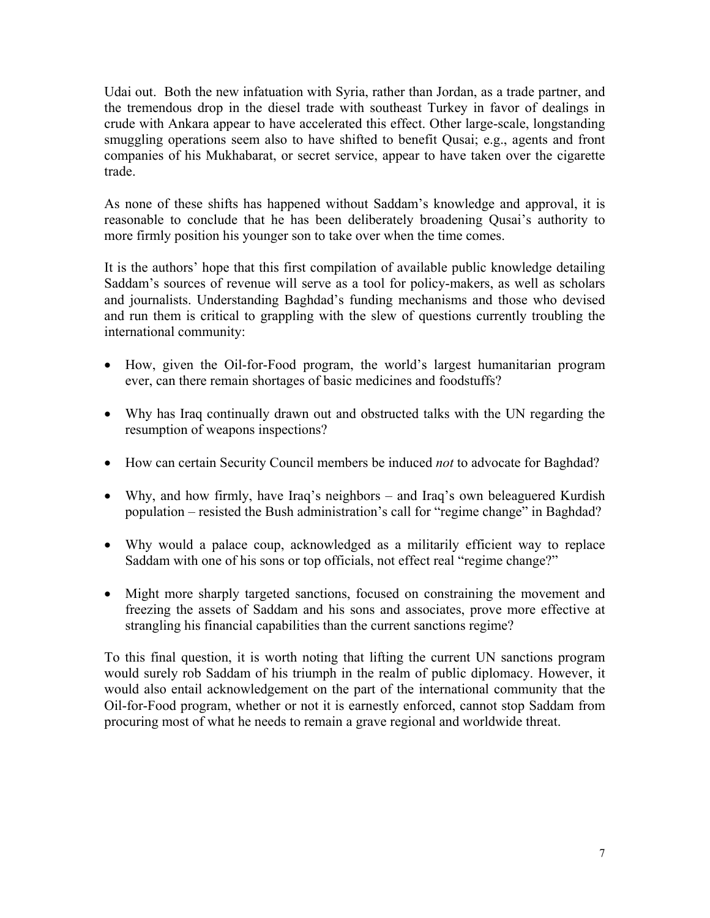Udai out. Both the new infatuation with Syria, rather than Jordan, as a trade partner, and the tremendous drop in the diesel trade with southeast Turkey in favor of dealings in crude with Ankara appear to have accelerated this effect. Other large-scale, longstanding smuggling operations seem also to have shifted to benefit Qusai; e.g., agents and front companies of his Mukhabarat, or secret service, appear to have taken over the cigarette trade.

As none of these shifts has happened without Saddam's knowledge and approval, it is reasonable to conclude that he has been deliberately broadening Qusai's authority to more firmly position his younger son to take over when the time comes.

It is the authors' hope that this first compilation of available public knowledge detailing Saddam's sources of revenue will serve as a tool for policy-makers, as well as scholars and journalists. Understanding Baghdad's funding mechanisms and those who devised and run them is critical to grappling with the slew of questions currently troubling the international community:

- How, given the Oil-for-Food program, the world's largest humanitarian program ever, can there remain shortages of basic medicines and foodstuffs?
- Why has Iraq continually drawn out and obstructed talks with the UN regarding the resumption of weapons inspections?
- How can certain Security Council members be induced *not* to advocate for Baghdad?
- Why, and how firmly, have Iraq's neighbors and Iraq's own beleaguered Kurdish population – resisted the Bush administration's call for "regime change" in Baghdad?
- Why would a palace coup, acknowledged as a militarily efficient way to replace Saddam with one of his sons or top officials, not effect real "regime change?"
- Might more sharply targeted sanctions, focused on constraining the movement and freezing the assets of Saddam and his sons and associates, prove more effective at strangling his financial capabilities than the current sanctions regime?

To this final question, it is worth noting that lifting the current UN sanctions program would surely rob Saddam of his triumph in the realm of public diplomacy. However, it would also entail acknowledgement on the part of the international community that the Oil-for-Food program, whether or not it is earnestly enforced, cannot stop Saddam from procuring most of what he needs to remain a grave regional and worldwide threat.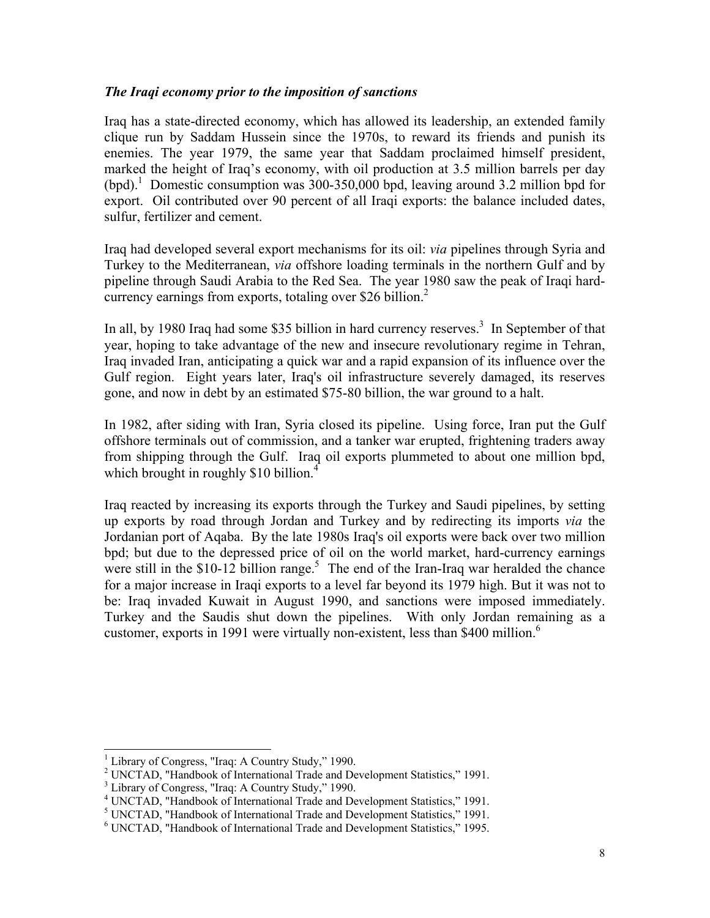## *The Iraqi economy prior to the imposition of sanctions*

Iraq has a state-directed economy, which has allowed its leadership, an extended family clique run by Saddam Hussein since the 1970s, to reward its friends and punish its enemies. The year 1979, the same year that Saddam proclaimed himself president, marked the height of Iraq's economy, with oil production at 3.5 million barrels per day (bpd).<sup>1</sup> Domestic consumption was 300-350,000 bpd, leaving around 3.2 million bpd for export. Oil contributed over 90 percent of all Iraqi exports: the balance included dates, sulfur, fertilizer and cement.

Iraq had developed several export mechanisms for its oil: *via* pipelines through Syria and Turkey to the Mediterranean, *via* offshore loading terminals in the northern Gulf and by pipeline through Saudi Arabia to the Red Sea. The year 1980 saw the peak of Iraqi hardcurrency earnings from exports, totaling over \$26 billion.<sup>2</sup>

In all, by 1980 Iraq had some \$35 billion in hard currency reserves.<sup>3</sup> In September of that year, hoping to take advantage of the new and insecure revolutionary regime in Tehran, Iraq invaded Iran, anticipating a quick war and a rapid expansion of its influence over the Gulf region. Eight years later, Iraq's oil infrastructure severely damaged, its reserves gone, and now in debt by an estimated \$75-80 billion, the war ground to a halt.

In 1982, after siding with Iran, Syria closed its pipeline. Using force, Iran put the Gulf offshore terminals out of commission, and a tanker war erupted, frightening traders away from shipping through the Gulf. Iraq oil exports plummeted to about one million bpd, which brought in roughly \$10 billion.<sup>4</sup>

Iraq reacted by increasing its exports through the Turkey and Saudi pipelines, by setting up exports by road through Jordan and Turkey and by redirecting its imports *via* the Jordanian port of Aqaba. By the late 1980s Iraq's oil exports were back over two million bpd; but due to the depressed price of oil on the world market, hard-currency earnings were still in the  $$10-12$  billion range.<sup>5</sup> The end of the Iran-Iraq war heralded the chance for a major increase in Iraqi exports to a level far beyond its 1979 high. But it was not to be: Iraq invaded Kuwait in August 1990, and sanctions were imposed immediately. Turkey and the Saudis shut down the pipelines. With only Jordan remaining as a customer, exports in 1991 were virtually non-existent, less than \$400 million.<sup>6</sup>

 1 Library of Congress, "Iraq: A Country Study," 1990.

<sup>&</sup>lt;sup>2</sup> UNCTAD, "Handbook of International Trade and Development Statistics," 1991.

<sup>&</sup>lt;sup>3</sup> Library of Congress, "Iraq: A Country Study," 1990.

<sup>&</sup>lt;sup>4</sup> UNCTAD, "Handbook of International Trade and Development Statistics," 1991.

<sup>&</sup>lt;sup>5</sup> UNCTAD, "Handbook of International Trade and Development Statistics," 1991.

<sup>6</sup> UNCTAD, "Handbook of International Trade and Development Statistics," 1995.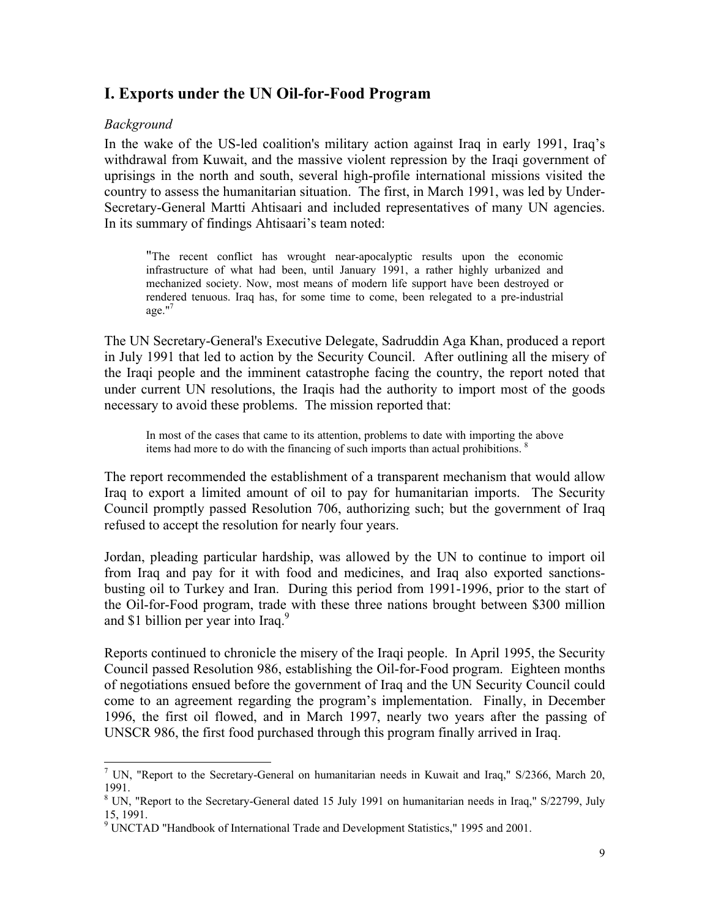## **I. Exports under the UN Oil-for-Food Program**

## *Background*

 $\overline{\phantom{a}}$ 

In the wake of the US-led coalition's military action against Iraq in early 1991, Iraq's withdrawal from Kuwait, and the massive violent repression by the Iraqi government of uprisings in the north and south, several high-profile international missions visited the country to assess the humanitarian situation. The first, in March 1991, was led by Under-Secretary-General Martti Ahtisaari and included representatives of many UN agencies. In its summary of findings Ahtisaari's team noted:

"The recent conflict has wrought near-apocalyptic results upon the economic infrastructure of what had been, until January 1991, a rather highly urbanized and mechanized society. Now, most means of modern life support have been destroyed or rendered tenuous. Iraq has, for some time to come, been relegated to a pre-industrial  $a$ ge." $7$ 

The UN Secretary-General's Executive Delegate, Sadruddin Aga Khan, produced a report in July 1991 that led to action by the Security Council. After outlining all the misery of the Iraqi people and the imminent catastrophe facing the country, the report noted that under current UN resolutions, the Iraqis had the authority to import most of the goods necessary to avoid these problems. The mission reported that:

In most of the cases that came to its attention, problems to date with importing the above items had more to do with the financing of such imports than actual prohibitions. <sup>8</sup>

The report recommended the establishment of a transparent mechanism that would allow Iraq to export a limited amount of oil to pay for humanitarian imports. The Security Council promptly passed Resolution 706, authorizing such; but the government of Iraq refused to accept the resolution for nearly four years.

Jordan, pleading particular hardship, was allowed by the UN to continue to import oil from Iraq and pay for it with food and medicines, and Iraq also exported sanctionsbusting oil to Turkey and Iran. During this period from 1991-1996, prior to the start of the Oil-for-Food program, trade with these three nations brought between \$300 million and \$1 billion per year into Iraq. $9$ 

Reports continued to chronicle the misery of the Iraqi people. In April 1995, the Security Council passed Resolution 986, establishing the Oil-for-Food program. Eighteen months of negotiations ensued before the government of Iraq and the UN Security Council could come to an agreement regarding the program's implementation. Finally, in December 1996, the first oil flowed, and in March 1997, nearly two years after the passing of UNSCR 986, the first food purchased through this program finally arrived in Iraq.

<sup>&</sup>lt;sup>7</sup> UN, "Report to the Secretary-General on humanitarian needs in Kuwait and Iraq," S/2366, March 20, 1991.

<sup>&</sup>lt;sup>8</sup> UN, "Report to the Secretary-General dated 15 July 1991 on humanitarian needs in Iraq," S/22799, July 15, 1991.

<sup>&</sup>lt;sup>9</sup> UNCTAD "Handbook of International Trade and Development Statistics," 1995 and 2001.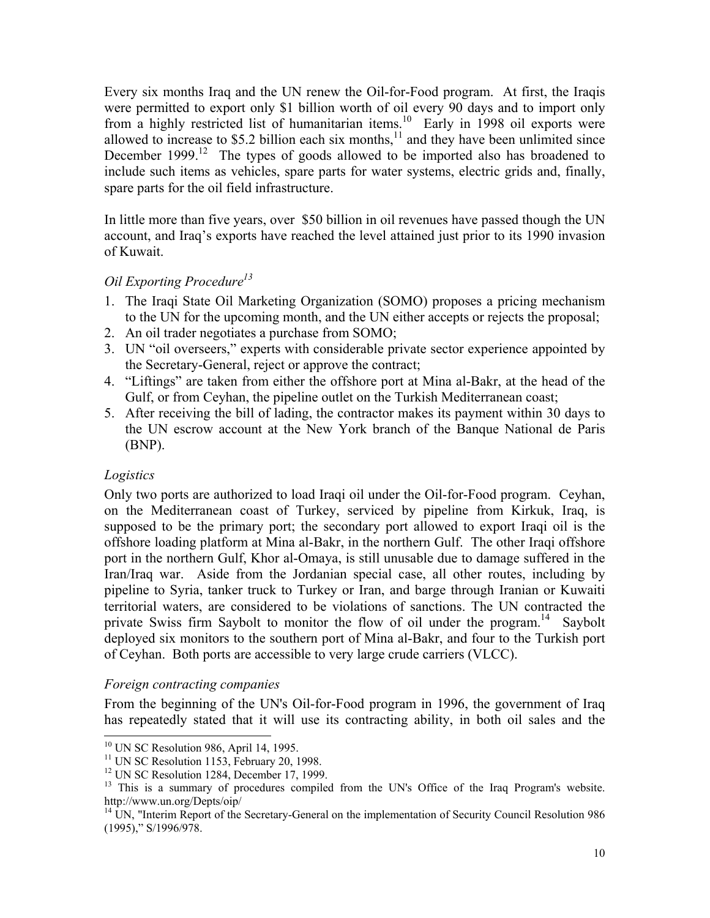Every six months Iraq and the UN renew the Oil-for-Food program. At first, the Iraqis were permitted to export only \$1 billion worth of oil every 90 days and to import only from a highly restricted list of humanitarian items.10 Early in 1998 oil exports were allowed to increase to  $$5.2$  billion each six months,<sup>11</sup> and they have been unlimited since December 1999.<sup>12</sup> The types of goods allowed to be imported also has broadened to include such items as vehicles, spare parts for water systems, electric grids and, finally, spare parts for the oil field infrastructure.

In little more than five years, over \$50 billion in oil revenues have passed though the UN account, and Iraq's exports have reached the level attained just prior to its 1990 invasion of Kuwait.

## *Oil Exporting Procedure13*

- 1. The Iraqi State Oil Marketing Organization (SOMO) proposes a pricing mechanism to the UN for the upcoming month, and the UN either accepts or rejects the proposal;
- 2. An oil trader negotiates a purchase from SOMO;
- 3. UN "oil overseers," experts with considerable private sector experience appointed by the Secretary-General, reject or approve the contract;
- 4. "Liftings" are taken from either the offshore port at Mina al-Bakr, at the head of the Gulf, or from Ceyhan, the pipeline outlet on the Turkish Mediterranean coast;
- 5. After receiving the bill of lading, the contractor makes its payment within 30 days to the UN escrow account at the New York branch of the Banque National de Paris (BNP).

## *Logistics*

 $\overline{\phantom{a}}$ 

Only two ports are authorized to load Iraqi oil under the Oil-for-Food program. Ceyhan, on the Mediterranean coast of Turkey, serviced by pipeline from Kirkuk, Iraq, is supposed to be the primary port; the secondary port allowed to export Iraqi oil is the offshore loading platform at Mina al-Bakr, in the northern Gulf. The other Iraqi offshore port in the northern Gulf, Khor al-Omaya, is still unusable due to damage suffered in the Iran/Iraq war. Aside from the Jordanian special case, all other routes, including by pipeline to Syria, tanker truck to Turkey or Iran, and barge through Iranian or Kuwaiti territorial waters, are considered to be violations of sanctions. The UN contracted the private Swiss firm Saybolt to monitor the flow of oil under the program.<sup>14</sup> Saybolt deployed six monitors to the southern port of Mina al-Bakr, and four to the Turkish port of Ceyhan. Both ports are accessible to very large crude carriers (VLCC).

## *Foreign contracting companies*

From the beginning of the UN's Oil-for-Food program in 1996, the government of Iraq has repeatedly stated that it will use its contracting ability, in both oil sales and the

 $10$  UN SC Resolution 986, April 14, 1995.

<sup>&</sup>lt;sup>11</sup> UN SC Resolution 1153, February 20, 1998.

<sup>&</sup>lt;sup>12</sup> UN SC Resolution 1284, December 17, 1999.

<sup>&</sup>lt;sup>13</sup> This is a summary of procedures compiled from the UN's Office of the Iraq Program's website. http://www.un.org/Depts/oip/

<sup>&</sup>lt;sup>14</sup> UN, "Interim Report of the Secretary-General on the implementation of Security Council Resolution 986 (1995)," S/1996/978.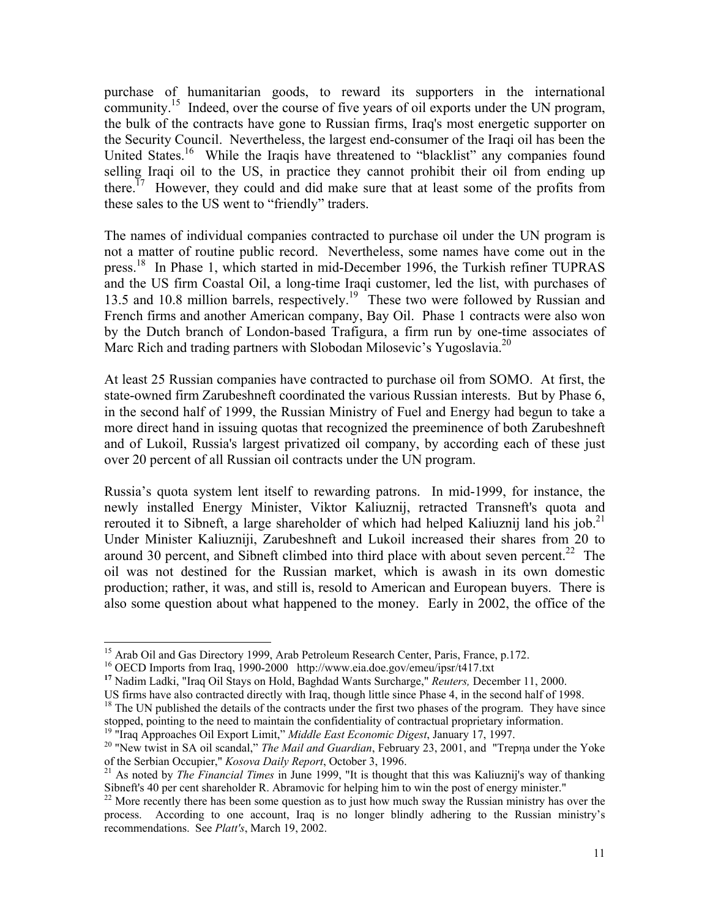purchase of humanitarian goods, to reward its supporters in the international community.<sup>15</sup> Indeed, over the course of five years of oil exports under the UN program, the bulk of the contracts have gone to Russian firms, Iraq's most energetic supporter on the Security Council. Nevertheless, the largest end-consumer of the Iraqi oil has been the United States.<sup>16</sup> While the Iraqis have threatened to "blacklist" any companies found selling Iraqi oil to the US, in practice they cannot prohibit their oil from ending up there.<sup>17</sup> However, they could and did make sure that at least some of the profits from these sales to the US went to "friendly" traders.

The names of individual companies contracted to purchase oil under the UN program is not a matter of routine public record. Nevertheless, some names have come out in the press.18 In Phase 1, which started in mid-December 1996, the Turkish refiner TUPRAS and the US firm Coastal Oil, a long-time Iraqi customer, led the list, with purchases of 13.5 and 10.8 million barrels, respectively.<sup>19</sup> These two were followed by Russian and French firms and another American company, Bay Oil. Phase 1 contracts were also won by the Dutch branch of London-based Trafigura, a firm run by one-time associates of Marc Rich and trading partners with Slobodan Milosevic's Yugoslavia.<sup>20</sup>

At least 25 Russian companies have contracted to purchase oil from SOMO. At first, the state-owned firm Zarubeshneft coordinated the various Russian interests. But by Phase 6, in the second half of 1999, the Russian Ministry of Fuel and Energy had begun to take a more direct hand in issuing quotas that recognized the preeminence of both Zarubeshneft and of Lukoil, Russia's largest privatized oil company, by according each of these just over 20 percent of all Russian oil contracts under the UN program.

Russia's quota system lent itself to rewarding patrons. In mid-1999, for instance, the newly installed Energy Minister, Viktor Kaliuznij, retracted Transneft's quota and rerouted it to Sibneft, a large shareholder of which had helped Kaliuznij land his job.<sup>21</sup> Under Minister Kaliuzniji, Zarubeshneft and Lukoil increased their shares from 20 to around 30 percent, and Sibneft climbed into third place with about seven percent.<sup>22</sup> The oil was not destined for the Russian market, which is awash in its own domestic production; rather, it was, and still is, resold to American and European buyers. There is also some question about what happened to the money. Early in 2002, the office of the

<sup>&</sup>lt;sup>15</sup> Arab Oil and Gas Directory 1999, Arab Petroleum Research Center, Paris, France, p.172.

<sup>16</sup> OECD Imports from Iraq, 1990-2000 http://www.eia.doe.gov/emeu/ipsr/t417.txt

<sup>&</sup>lt;sup>17</sup> Nadim Ladki, "Iraq Oil Stays on Hold, Baghdad Wants Surcharge," *Reuters*, December 11, 2000.<br>US firms have also contracted directly with Iraq, though little since Phase 4, in the second half of 1998.

 $18$  The UN published the details of the contracts under the first two phases of the program. They have since stopped, pointing to the need to maintain the confidentiality of contractual proprietary information.<br><sup>19</sup> "Iraq Approaches Oil Export Limit," Middle East Economic Digest, January 17, 1997.

<sup>&</sup>lt;sup>20</sup> "New twist in SA oil scandal," *The Mail and Guardian*, February 23, 2001, and "Trepna under the Yoke of the Serbian Occupier," *Kosova Daily Report*, October 3, 1996.

<sup>&</sup>lt;sup>21</sup> As noted by *The Financial Times* in June 1999, "It is thought that this was Kaliuznij's way of thanking Sibneft's 40 per cent shareholder R. Abramovic for helping him to win the post of energy minister."

 $22$  More recently there has been some question as to just how much sway the Russian ministry has over the process. According to one account, Iraq is no longer blindly adhering to the Russian ministry's recommendations. See *Platt's*, March 19, 2002.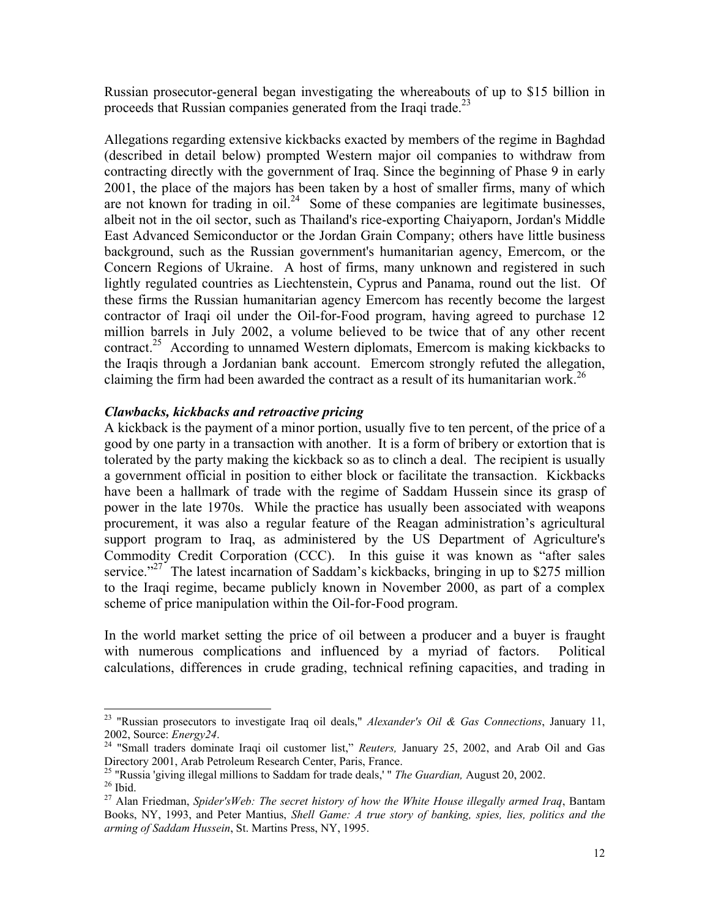Russian prosecutor-general began investigating the whereabouts of up to \$15 billion in proceeds that Russian companies generated from the Iraqi trade.<sup>23</sup>

Allegations regarding extensive kickbacks exacted by members of the regime in Baghdad (described in detail below) prompted Western major oil companies to withdraw from contracting directly with the government of Iraq. Since the beginning of Phase 9 in early 2001, the place of the majors has been taken by a host of smaller firms, many of which are not known for trading in  $\delta$ <sup>24</sup> Some of these companies are legitimate businesses, albeit not in the oil sector, such as Thailand's rice-exporting Chaiyaporn, Jordan's Middle East Advanced Semiconductor or the Jordan Grain Company; others have little business background, such as the Russian government's humanitarian agency, Emercom, or the Concern Regions of Ukraine. A host of firms, many unknown and registered in such lightly regulated countries as Liechtenstein, Cyprus and Panama, round out the list. Of these firms the Russian humanitarian agency Emercom has recently become the largest contractor of Iraqi oil under the Oil-for-Food program, having agreed to purchase 12 million barrels in July 2002, a volume believed to be twice that of any other recent contract.25 According to unnamed Western diplomats, Emercom is making kickbacks to the Iraqis through a Jordanian bank account. Emercom strongly refuted the allegation, claiming the firm had been awarded the contract as a result of its humanitarian work.<sup>26</sup>

## *Clawbacks, kickbacks and retroactive pricing*

A kickback is the payment of a minor portion, usually five to ten percent, of the price of a good by one party in a transaction with another. It is a form of bribery or extortion that is tolerated by the party making the kickback so as to clinch a deal. The recipient is usually a government official in position to either block or facilitate the transaction. Kickbacks have been a hallmark of trade with the regime of Saddam Hussein since its grasp of power in the late 1970s. While the practice has usually been associated with weapons procurement, it was also a regular feature of the Reagan administration's agricultural support program to Iraq, as administered by the US Department of Agriculture's Commodity Credit Corporation (CCC). In this guise it was known as "after sales service."<sup>27</sup> The latest incarnation of Saddam's kickbacks, bringing in up to \$275 million to the Iraqi regime, became publicly known in November 2000, as part of a complex scheme of price manipulation within the Oil-for-Food program.

In the world market setting the price of oil between a producer and a buyer is fraught with numerous complications and influenced by a myriad of factors. Political calculations, differences in crude grading, technical refining capacities, and trading in

l

<sup>23 &</sup>quot;Russian prosecutors to investigate Iraq oil deals," *Alexander's Oil & Gas Connections*, January 11,

<sup>2002,</sup> Source: *Energy24*. 24 "Small traders dominate Iraqi oil customer list," *Reuters,* January 25, 2002, and Arab Oil and Gas Directory 2001, Arab Petroleum Research Center, Paris, France.<br><sup>25</sup> "Russia 'giving illegal millions to Saddam for trade deals,' " *The Guardian*, August 20, 2002.<br><sup>26</sup> Ibid.

<sup>27</sup> Alan Friedman, *Spider'sWeb: The secret history of how the White House illegally armed Iraq*, Bantam Books, NY, 1993, and Peter Mantius, *Shell Game: A true story of banking, spies, lies, politics and the arming of Saddam Hussein*, St. Martins Press, NY, 1995.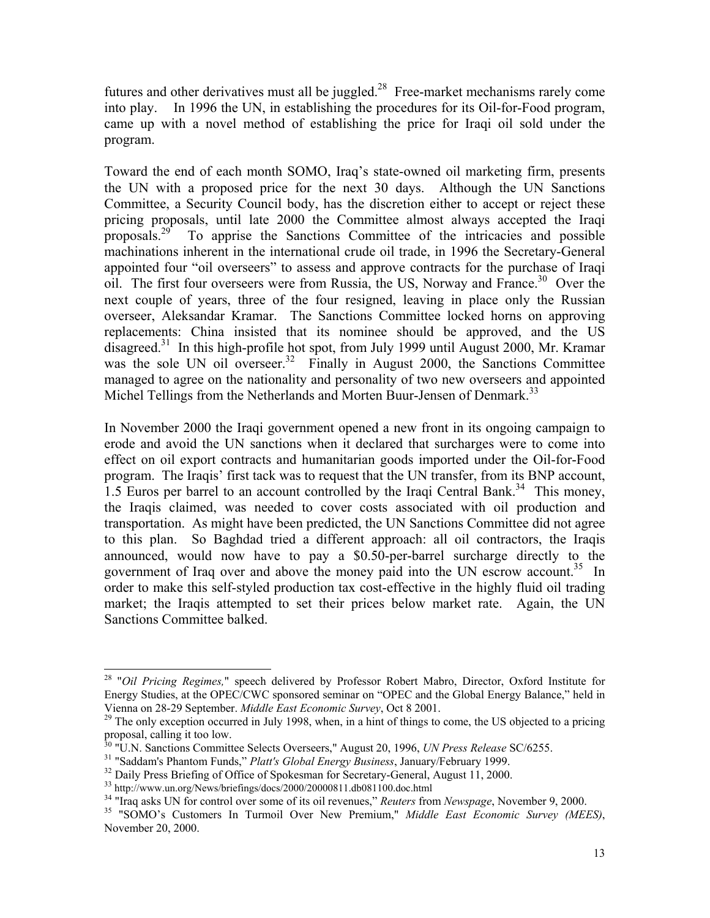futures and other derivatives must all be juggled. $^{28}$  Free-market mechanisms rarely come into play. In 1996 the UN, in establishing the procedures for its Oil-for-Food program, came up with a novel method of establishing the price for Iraqi oil sold under the program.

Toward the end of each month SOMO, Iraq's state-owned oil marketing firm, presents the UN with a proposed price for the next 30 days. Although the UN Sanctions Committee, a Security Council body, has the discretion either to accept or reject these pricing proposals, until late 2000 the Committee almost always accepted the Iraqi proposals.<sup>29</sup> To apprise the Sanctions Committee of the intricacies and possible machinations inherent in the international crude oil trade, in 1996 the Secretary-General appointed four "oil overseers" to assess and approve contracts for the purchase of Iraqi oil. The first four overseers were from Russia, the US, Norway and France.<sup>30</sup> Over the next couple of years, three of the four resigned, leaving in place only the Russian overseer, Aleksandar Kramar. The Sanctions Committee locked horns on approving replacements: China insisted that its nominee should be approved, and the US disagreed.<sup>31</sup> In this high-profile hot spot, from July 1999 until August 2000, Mr. Kramar was the sole UN oil overseer.<sup>32</sup> Finally in August 2000, the Sanctions Committee managed to agree on the nationality and personality of two new overseers and appointed Michel Tellings from the Netherlands and Morten Buur-Jensen of Denmark.<sup>33</sup>

In November 2000 the Iraqi government opened a new front in its ongoing campaign to erode and avoid the UN sanctions when it declared that surcharges were to come into effect on oil export contracts and humanitarian goods imported under the Oil-for-Food program. The Iraqis' first tack was to request that the UN transfer, from its BNP account, 1.5 Euros per barrel to an account controlled by the Iraqi Central Bank.<sup>34</sup> This money, the Iraqis claimed, was needed to cover costs associated with oil production and transportation. As might have been predicted, the UN Sanctions Committee did not agree to this plan. So Baghdad tried a different approach: all oil contractors, the Iraqis announced, would now have to pay a \$0.50-per-barrel surcharge directly to the government of Iraq over and above the money paid into the UN escrow account.<sup>35</sup> In order to make this self-styled production tax cost-effective in the highly fluid oil trading market; the Iraqis attempted to set their prices below market rate. Again, the UN Sanctions Committee balked.

<sup>28 &</sup>quot;*Oil Pricing Regimes,*" speech delivered by Professor Robert Mabro, Director, Oxford Institute for Energy Studies, at the OPEC/CWC sponsored seminar on "OPEC and the Global Energy Balance," held in Vienna on 28-29 September. *Middle East Economic Survey*, Oct 8 2001.

<sup>&</sup>lt;sup>29</sup> The only exception occurred in July 1998, when, in a hint of things to come, the US objected to a pricing proposal, calling it too low.<br>
<sup>30</sup> "U.N. Sanctions Committee Selects Overseers," August 20, 1996, *UN Press Release* SC/6255.

<sup>&</sup>lt;sup>31</sup> "Saddam's Phantom Funds," *Platt's Global Energy Business*, January/February 1999.<br><sup>32</sup> Daily Press Briefing of Office of Spokesman for Secretary-General, August 11, 2000.<br><sup>33</sup> http://www.un.org/News/briefings/docs/2

<sup>&</sup>lt;sup>35</sup> "SOMO's Customers In Turmoil Over New Premium," *Middle East Economic Survey (MEES)*, November 20, 2000.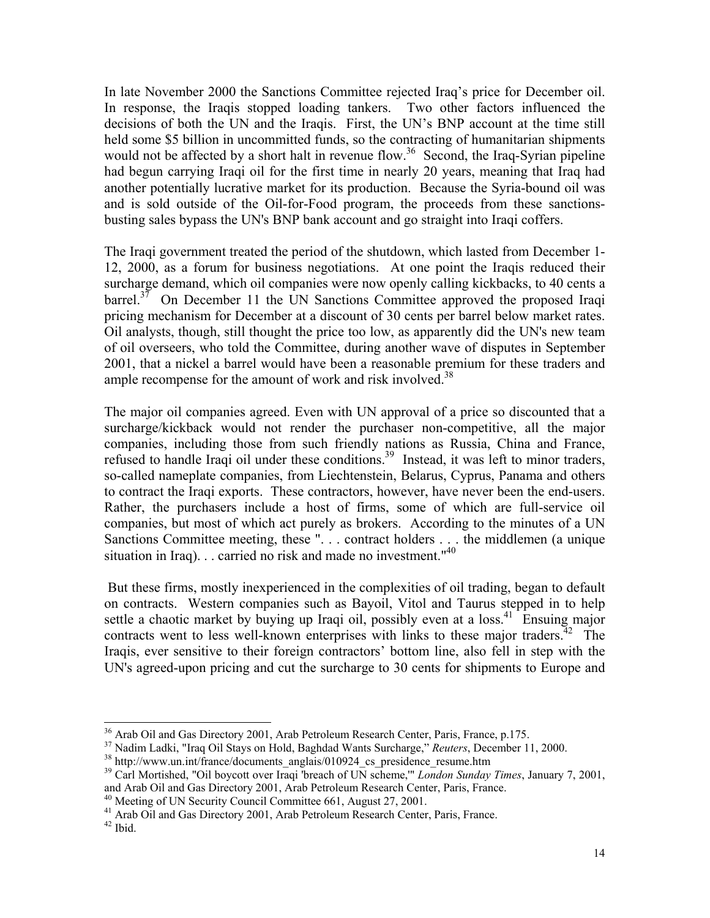In late November 2000 the Sanctions Committee rejected Iraq's price for December oil. In response, the Iraqis stopped loading tankers. Two other factors influenced the decisions of both the UN and the Iraqis. First, the UN's BNP account at the time still held some \$5 billion in uncommitted funds, so the contracting of humanitarian shipments would not be affected by a short halt in revenue flow.<sup>36</sup> Second, the Iraq-Syrian pipeline had begun carrying Iraqi oil for the first time in nearly 20 years, meaning that Iraq had another potentially lucrative market for its production. Because the Syria-bound oil was and is sold outside of the Oil-for-Food program, the proceeds from these sanctionsbusting sales bypass the UN's BNP bank account and go straight into Iraqi coffers.

The Iraqi government treated the period of the shutdown, which lasted from December 1- 12, 2000, as a forum for business negotiations. At one point the Iraqis reduced their surcharge demand, which oil companies were now openly calling kickbacks, to 40 cents a  $barrel<sup>37</sup>$  On December 11 the UN Sanctions Committee approved the proposed Iraqi pricing mechanism for December at a discount of 30 cents per barrel below market rates. Oil analysts, though, still thought the price too low, as apparently did the UN's new team of oil overseers, who told the Committee, during another wave of disputes in September 2001, that a nickel a barrel would have been a reasonable premium for these traders and ample recompense for the amount of work and risk involved.<sup>38</sup>

The major oil companies agreed. Even with UN approval of a price so discounted that a surcharge/kickback would not render the purchaser non-competitive, all the major companies, including those from such friendly nations as Russia, China and France, refused to handle Iraqi oil under these conditions.<sup>39</sup> Instead, it was left to minor traders, so-called nameplate companies, from Liechtenstein, Belarus, Cyprus, Panama and others to contract the Iraqi exports. These contractors, however, have never been the end-users. Rather, the purchasers include a host of firms, some of which are full-service oil companies, but most of which act purely as brokers. According to the minutes of a UN Sanctions Committee meeting, these ". . . contract holders . . . the middlemen (a unique situation in Iraq). . . carried no risk and made no investment."40

 But these firms, mostly inexperienced in the complexities of oil trading, began to default on contracts. Western companies such as Bayoil, Vitol and Taurus stepped in to help settle a chaotic market by buying up Iraqi oil, possibly even at a  $\cos^{41}$ . Ensuing major contracts went to less well-known enterprises with links to these major traders.<sup>42</sup> The Iraqis, ever sensitive to their foreign contractors' bottom line, also fell in step with the UN's agreed-upon pricing and cut the surcharge to 30 cents for shipments to Europe and

<sup>41</sup> Arab Oil and Gas Directory 2001, Arab Petroleum Research Center, Paris, France.

<sup>&</sup>lt;sup>36</sup> Arab Oil and Gas Directory 2001, Arab Petroleum Research Center, Paris, France, p.175.

<sup>&</sup>lt;sup>37</sup> Nadim Ladki, "Iraq Oil Stays on Hold, Baghdad Wants Surcharge," *Reuters*, December 11, 2000.<br><sup>38</sup> http://www.un.int/france/documents\_anglais/010924\_cs\_presidence\_resume.htm

<sup>39</sup> Carl Mortished, "Oil boycott over Iraqi 'breach of UN scheme,'" *London Sunday Times*, January 7, 2001, and Arab Oil and Gas Directory 2001, Arab Petroleum Research Center, Paris, France. 40 Meeting of UN Security Council Committee 661, August 27, 2001.

 $42$  Ibid.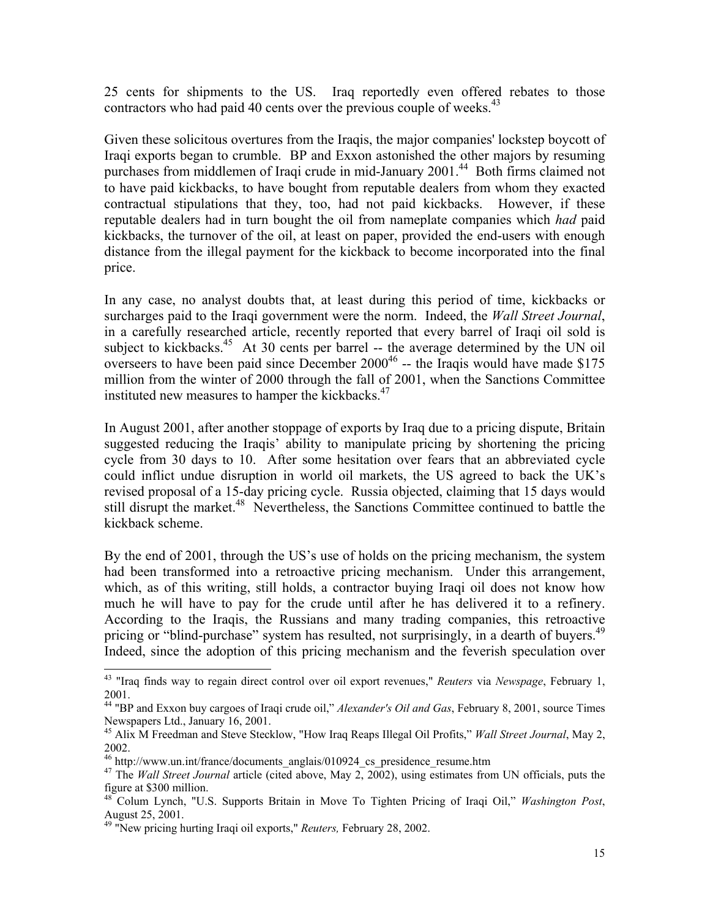25 cents for shipments to the US. Iraq reportedly even offered rebates to those contractors who had paid 40 cents over the previous couple of weeks.<sup>43</sup>

Given these solicitous overtures from the Iraqis, the major companies' lockstep boycott of Iraqi exports began to crumble. BP and Exxon astonished the other majors by resuming purchases from middlemen of Iraqi crude in mid-January 2001.<sup>44</sup> Both firms claimed not to have paid kickbacks, to have bought from reputable dealers from whom they exacted contractual stipulations that they, too, had not paid kickbacks. However, if these reputable dealers had in turn bought the oil from nameplate companies which *had* paid kickbacks, the turnover of the oil, at least on paper, provided the end-users with enough distance from the illegal payment for the kickback to become incorporated into the final price.

In any case, no analyst doubts that, at least during this period of time, kickbacks or surcharges paid to the Iraqi government were the norm. Indeed, the *Wall Street Journal*, in a carefully researched article, recently reported that every barrel of Iraqi oil sold is subject to kickbacks.<sup>45</sup> At 30 cents per barrel -- the average determined by the UN oil overseers to have been paid since December  $2000^{46}$  -- the Iraqis would have made \$175 million from the winter of 2000 through the fall of 2001, when the Sanctions Committee instituted new measures to hamper the kickbacks.<sup>47</sup>

In August 2001, after another stoppage of exports by Iraq due to a pricing dispute, Britain suggested reducing the Iraqis' ability to manipulate pricing by shortening the pricing cycle from 30 days to 10. After some hesitation over fears that an abbreviated cycle could inflict undue disruption in world oil markets, the US agreed to back the UK's revised proposal of a 15-day pricing cycle. Russia objected, claiming that 15 days would still disrupt the market.<sup>48</sup> Nevertheless, the Sanctions Committee continued to battle the kickback scheme.

By the end of 2001, through the US's use of holds on the pricing mechanism, the system had been transformed into a retroactive pricing mechanism. Under this arrangement, which, as of this writing, still holds, a contractor buying Iraqi oil does not know how much he will have to pay for the crude until after he has delivered it to a refinery. According to the Iraqis, the Russians and many trading companies, this retroactive pricing or "blind-purchase" system has resulted, not surprisingly, in a dearth of buyers.<sup>49</sup> Indeed, since the adoption of this pricing mechanism and the feverish speculation over

<sup>43 &</sup>quot;Iraq finds way to regain direct control over oil export revenues," *Reuters* via *Newspage*, February 1, 2001.

<sup>44 &</sup>quot;BP and Exxon buy cargoes of Iraqi crude oil," *Alexander's Oil and Gas*, February 8, 2001, source Times Newspapers Ltd., January 16, 2001.

<sup>45</sup> Alix M Freedman and Steve Stecklow, "How Iraq Reaps Illegal Oil Profits," *Wall Street Journal*, May 2, 2002.

 $46$  http://www.un.int/france/documents\_anglais/010924\_cs\_presidence\_resume.htm

<sup>&</sup>lt;sup>47</sup> The *Wall Street Journal* article (cited above, May 2, 2002), using estimates from UN officials, puts the figure at \$300 million.

<sup>48</sup> Colum Lynch, "U.S. Supports Britain in Move To Tighten Pricing of Iraqi Oil," *Washington Post*, August 25, 2001.

<sup>49 &</sup>quot;New pricing hurting Iraqi oil exports," *Reuters,* February 28, 2002.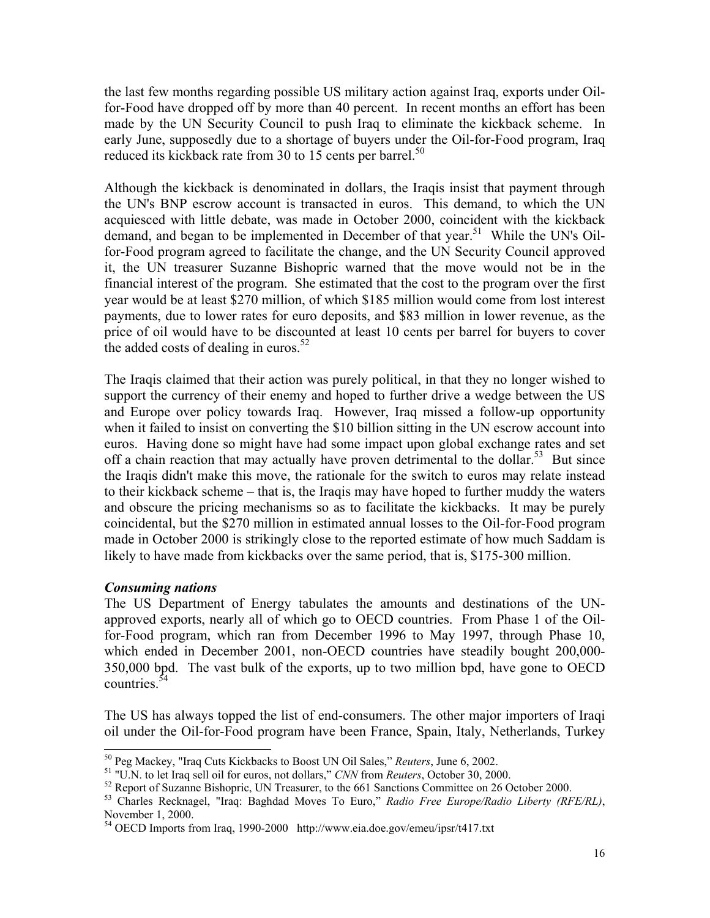the last few months regarding possible US military action against Iraq, exports under Oilfor-Food have dropped off by more than 40 percent. In recent months an effort has been made by the UN Security Council to push Iraq to eliminate the kickback scheme. In early June, supposedly due to a shortage of buyers under the Oil-for-Food program, Iraq reduced its kickback rate from 30 to 15 cents per barrel.<sup>50</sup>

Although the kickback is denominated in dollars, the Iraqis insist that payment through the UN's BNP escrow account is transacted in euros. This demand, to which the UN acquiesced with little debate, was made in October 2000, coincident with the kickback demand, and began to be implemented in December of that year.<sup>51</sup> While the UN's Oilfor-Food program agreed to facilitate the change, and the UN Security Council approved it, the UN treasurer Suzanne Bishopric warned that the move would not be in the financial interest of the program. She estimated that the cost to the program over the first year would be at least \$270 million, of which \$185 million would come from lost interest payments, due to lower rates for euro deposits, and \$83 million in lower revenue, as the price of oil would have to be discounted at least 10 cents per barrel for buyers to cover the added costs of dealing in euros.<sup>52</sup>

The Iraqis claimed that their action was purely political, in that they no longer wished to support the currency of their enemy and hoped to further drive a wedge between the US and Europe over policy towards Iraq. However, Iraq missed a follow-up opportunity when it failed to insist on converting the \$10 billion sitting in the UN escrow account into euros. Having done so might have had some impact upon global exchange rates and set off a chain reaction that may actually have proven detrimental to the dollar.<sup>53</sup> But since the Iraqis didn't make this move, the rationale for the switch to euros may relate instead to their kickback scheme – that is, the Iraqis may have hoped to further muddy the waters and obscure the pricing mechanisms so as to facilitate the kickbacks. It may be purely coincidental, but the \$270 million in estimated annual losses to the Oil-for-Food program made in October 2000 is strikingly close to the reported estimate of how much Saddam is likely to have made from kickbacks over the same period, that is, \$175-300 million.

## *Consuming nations*

The US Department of Energy tabulates the amounts and destinations of the UNapproved exports, nearly all of which go to OECD countries. From Phase 1 of the Oilfor-Food program, which ran from December 1996 to May 1997, through Phase 10, which ended in December 2001, non-OECD countries have steadily bought 200,000- 350,000 bpd. The vast bulk of the exports, up to two million bpd, have gone to OECD countries.<sup>54</sup>

The US has always topped the list of end-consumers. The other major importers of Iraqi oil under the Oil-for-Food program have been France, Spain, Italy, Netherlands, Turkey

<sup>&</sup>lt;sup>50</sup> Peg Mackey, "Iraq Cuts Kickbacks to Boost UN Oil Sales," Reuters, June 6, 2002.

<sup>&</sup>lt;sup>51</sup> "U.N. to let Iraq sell oil for euros, not dollars," CNN from Reuters, October 30, 2000.<br><sup>52</sup> Report of Suzanne Bishopric, UN Treasurer, to the 661 Sanctions Committee on 26 October 2000.

<sup>53</sup> Charles Recknagel, "Iraq: Baghdad Moves To Euro," *Radio Free Europe/Radio Liberty (RFE/RL)*, November 1, 2000.

<sup>&</sup>lt;sup>54</sup> OECD Imports from Iraq, 1990-2000 http://www.eia.doe.gov/emeu/ipsr/t417.txt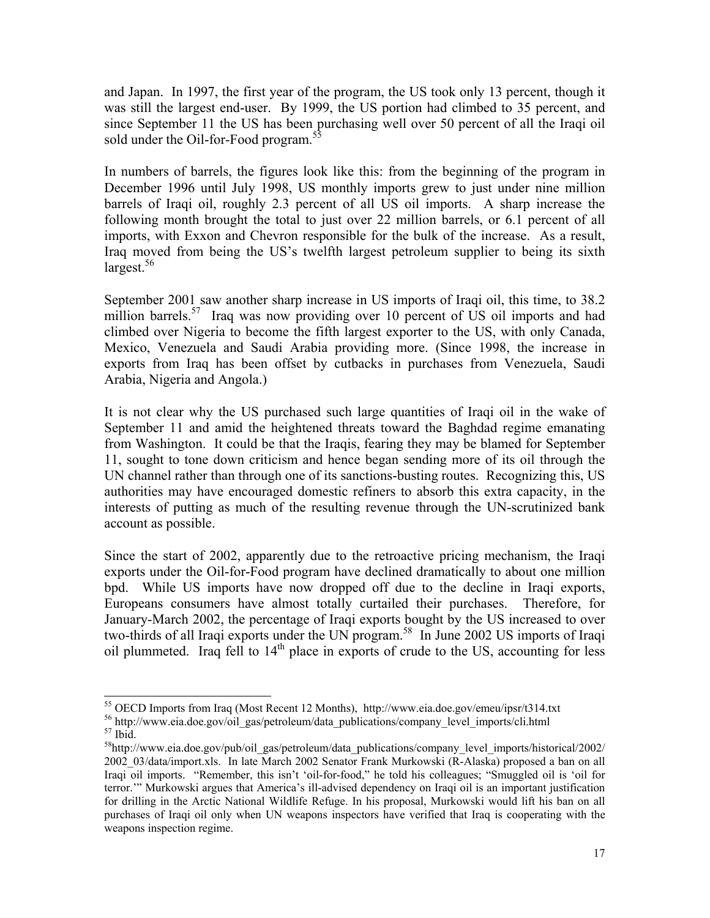and Japan. In 1997, the first year of the program, the US took only 13 percent, though it was still the largest end-user. By 1999, the US portion had climbed to 35 percent, and since September 11 the US has been purchasing well over 50 percent of all the Iraqi oil sold under the Oil-for-Food program.<sup>5</sup>

In numbers of barrels, the figures look like this: from the beginning of the program in December 1996 until July 1998, US monthly imports grew to just under nine million barrels of Iraqi oil, roughly 2.3 percent of all US oil imports. A sharp increase the following month brought the total to just over 22 million barrels, or 6.1 percent of all imports, with Exxon and Chevron responsible for the bulk of the increase. As a result, Iraq moved from being the US's twelfth largest petroleum supplier to being its sixth largest.56

September 2001 saw another sharp increase in US imports of Iraqi oil, this time, to 38.2 million barrels.<sup>57</sup> Iraq was now providing over 10 percent of US oil imports and had climbed over Nigeria to become the fifth largest exporter to the US, with only Canada, Mexico, Venezuela and Saudi Arabia providing more. (Since 1998, the increase in exports from Iraq has been offset by cutbacks in purchases from Venezuela, Saudi Arabia, Nigeria and Angola.)

It is not clear why the US purchased such large quantities of Iraqi oil in the wake of September 11 and amid the heightened threats toward the Baghdad regime emanating from Washington. It could be that the Iraqis, fearing they may be blamed for September 11, sought to tone down criticism and hence began sending more of its oil through the UN channel rather than through one of its sanctions-busting routes. Recognizing this, US authorities may have encouraged domestic refiners to absorb this extra capacity, in the interests of putting as much of the resulting revenue through the UN-scrutinized bank account as possible.

Since the start of 2002, apparently due to the retroactive pricing mechanism, the Iraqi exports under the Oil-for-Food program have declined dramatically to about one million bpd. While US imports have now dropped off due to the decline in Iraqi exports, Europeans consumers have almost totally curtailed their purchases. Therefore, for January-March 2002, the percentage of Iraqi exports bought by the US increased to over two-thirds of all Iraqi exports under the UN program.<sup>58</sup> In June 2002 US imports of Iraqi oil plummeted. Iraq fell to  $14<sup>th</sup>$  place in exports of crude to the US, accounting for less

 $\overline{\phantom{a}}$ <sup>55</sup> OECD Imports from Iraq (Most Recent 12 Months), http://www.eia.doe.gov/emeu/ipsr/t314.txt  $^{56}$  http://www.eia.doe.gov/oil\_gas/petroleum/data\_publications/company\_level\_imports/cli.html  $^{57}$  Ibid.

<sup>58</sup>http://www.eia.doe.gov/pub/oil\_gas/petroleum/data\_publications/company\_level\_imports/historical/2002/ 2002\_03/data/import.xls. In late March 2002 Senator Frank Murkowski (R-Alaska) proposed a ban on all Iraqi oil imports. "Remember, this isn't 'oil-for-food," he told his colleagues; "Smuggled oil is 'oil for terror.'" Murkowski argues that America's ill-advised dependency on Iraqi oil is an important justification for drilling in the Arctic National Wildlife Refuge. In his proposal, Murkowski would lift his ban on all purchases of Iraqi oil only when UN weapons inspectors have verified that Iraq is cooperating with the weapons inspection regime.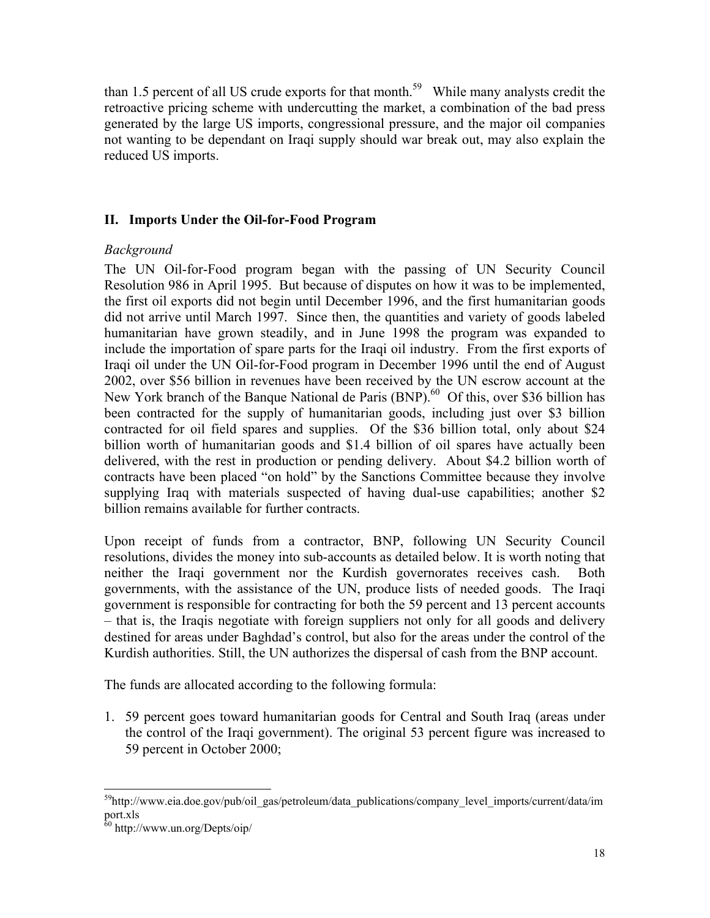than 1.5 percent of all US crude exports for that month.<sup>59</sup> While many analysts credit the retroactive pricing scheme with undercutting the market, a combination of the bad press generated by the large US imports, congressional pressure, and the major oil companies not wanting to be dependant on Iraqi supply should war break out, may also explain the reduced US imports.

## **II. Imports Under the Oil-for-Food Program**

## *Background*

The UN Oil-for-Food program began with the passing of UN Security Council Resolution 986 in April 1995. But because of disputes on how it was to be implemented, the first oil exports did not begin until December 1996, and the first humanitarian goods did not arrive until March 1997. Since then, the quantities and variety of goods labeled humanitarian have grown steadily, and in June 1998 the program was expanded to include the importation of spare parts for the Iraqi oil industry. From the first exports of Iraqi oil under the UN Oil-for-Food program in December 1996 until the end of August 2002, over \$56 billion in revenues have been received by the UN escrow account at the New York branch of the Banque National de Paris  $(BNP)$ .<sup>60</sup> Of this, over \$36 billion has been contracted for the supply of humanitarian goods, including just over \$3 billion contracted for oil field spares and supplies. Of the \$36 billion total, only about \$24 billion worth of humanitarian goods and \$1.4 billion of oil spares have actually been delivered, with the rest in production or pending delivery. About \$4.2 billion worth of contracts have been placed "on hold" by the Sanctions Committee because they involve supplying Iraq with materials suspected of having dual-use capabilities; another \$2 billion remains available for further contracts.

Upon receipt of funds from a contractor, BNP, following UN Security Council resolutions, divides the money into sub-accounts as detailed below. It is worth noting that neither the Iraqi government nor the Kurdish governorates receives cash. Both governments, with the assistance of the UN, produce lists of needed goods. The Iraqi government is responsible for contracting for both the 59 percent and 13 percent accounts – that is, the Iraqis negotiate with foreign suppliers not only for all goods and delivery destined for areas under Baghdad's control, but also for the areas under the control of the Kurdish authorities. Still, the UN authorizes the dispersal of cash from the BNP account.

The funds are allocated according to the following formula:

1. 59 percent goes toward humanitarian goods for Central and South Iraq (areas under the control of the Iraqi government). The original 53 percent figure was increased to 59 percent in October 2000;

l <sup>59</sup>http://www.eia.doe.gov/pub/oil\_gas/petroleum/data\_publications/company\_level\_imports/current/data/im port.xls

 $60$  http://www.un.org/Depts/oip/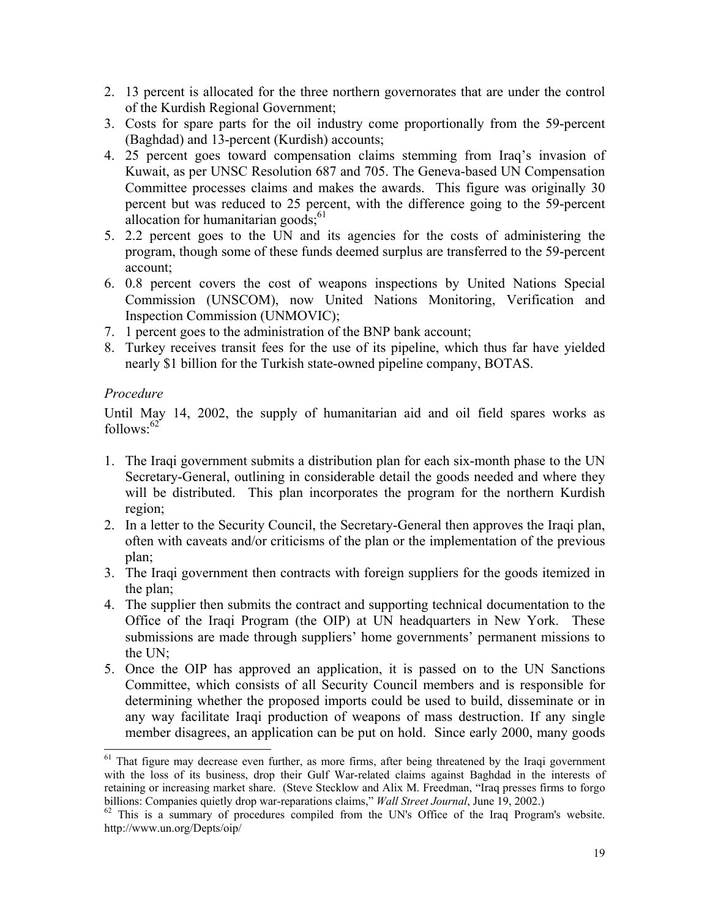- 2. 13 percent is allocated for the three northern governorates that are under the control of the Kurdish Regional Government;
- 3. Costs for spare parts for the oil industry come proportionally from the 59-percent (Baghdad) and 13-percent (Kurdish) accounts;
- 4. 25 percent goes toward compensation claims stemming from Iraq's invasion of Kuwait, as per UNSC Resolution 687 and 705. The Geneva-based UN Compensation Committee processes claims and makes the awards. This figure was originally 30 percent but was reduced to 25 percent, with the difference going to the 59-percent allocation for humanitarian goods; $61$
- 5. 2.2 percent goes to the UN and its agencies for the costs of administering the program, though some of these funds deemed surplus are transferred to the 59-percent account;
- 6. 0.8 percent covers the cost of weapons inspections by United Nations Special Commission (UNSCOM), now United Nations Monitoring, Verification and Inspection Commission (UNMOVIC);
- 7. 1 percent goes to the administration of the BNP bank account;
- 8. Turkey receives transit fees for the use of its pipeline, which thus far have yielded nearly \$1 billion for the Turkish state-owned pipeline company, BOTAS.

## *Procedure*

l

Until May 14, 2002, the supply of humanitarian aid and oil field spares works as  $follows: <sup>62</sup>$ 

- 1. The Iraqi government submits a distribution plan for each six-month phase to the UN Secretary-General, outlining in considerable detail the goods needed and where they will be distributed. This plan incorporates the program for the northern Kurdish region;
- 2. In a letter to the Security Council, the Secretary-General then approves the Iraqi plan, often with caveats and/or criticisms of the plan or the implementation of the previous plan;
- 3. The Iraqi government then contracts with foreign suppliers for the goods itemized in the plan;
- 4. The supplier then submits the contract and supporting technical documentation to the Office of the Iraqi Program (the OIP) at UN headquarters in New York. These submissions are made through suppliers' home governments' permanent missions to the UN;
- 5. Once the OIP has approved an application, it is passed on to the UN Sanctions Committee, which consists of all Security Council members and is responsible for determining whether the proposed imports could be used to build, disseminate or in any way facilitate Iraqi production of weapons of mass destruction. If any single member disagrees, an application can be put on hold. Since early 2000, many goods

<sup>&</sup>lt;sup>61</sup> That figure may decrease even further, as more firms, after being threatened by the Iraqi government with the loss of its business, drop their Gulf War-related claims against Baghdad in the interests of retaining or increasing market share. (Steve Stecklow and Alix M. Freedman, "Iraq presses firms to forgo billions: Companies quietly drop war-reparations claims," Wall Street Journal, June 19, 2002.)

<sup>&</sup>lt;sup>62</sup> This is a summary of procedures compiled from the UN's Office of the Iraq Program's website. http://www.un.org/Depts/oip/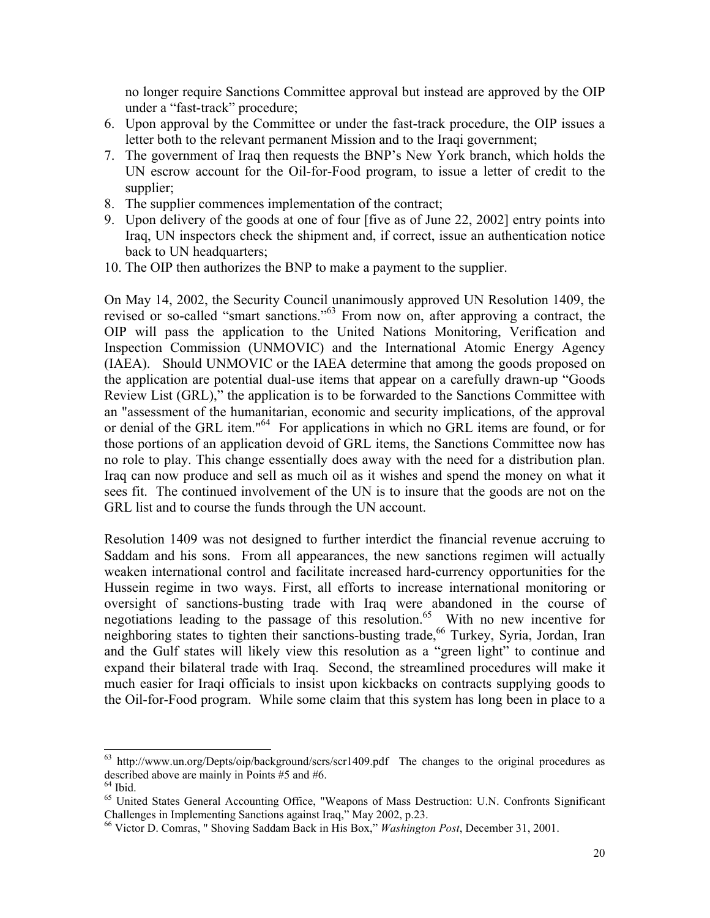no longer require Sanctions Committee approval but instead are approved by the OIP under a "fast-track" procedure;

- 6. Upon approval by the Committee or under the fast-track procedure, the OIP issues a letter both to the relevant permanent Mission and to the Iraqi government;
- 7. The government of Iraq then requests the BNP's New York branch, which holds the UN escrow account for the Oil-for-Food program, to issue a letter of credit to the supplier;
- 8. The supplier commences implementation of the contract;
- 9. Upon delivery of the goods at one of four [five as of June 22, 2002] entry points into Iraq, UN inspectors check the shipment and, if correct, issue an authentication notice back to UN headquarters;
- 10. The OIP then authorizes the BNP to make a payment to the supplier.

On May 14, 2002, the Security Council unanimously approved UN Resolution 1409, the revised or so-called "smart sanctions."63 From now on, after approving a contract, the OIP will pass the application to the United Nations Monitoring, Verification and Inspection Commission (UNMOVIC) and the International Atomic Energy Agency (IAEA). Should UNMOVIC or the IAEA determine that among the goods proposed on the application are potential dual-use items that appear on a carefully drawn-up "Goods Review List (GRL)," the application is to be forwarded to the Sanctions Committee with an "assessment of the humanitarian, economic and security implications, of the approval or denial of the GRL item."<sup>64</sup> For applications in which no GRL items are found, or for those portions of an application devoid of GRL items, the Sanctions Committee now has no role to play. This change essentially does away with the need for a distribution plan. Iraq can now produce and sell as much oil as it wishes and spend the money on what it sees fit. The continued involvement of the UN is to insure that the goods are not on the GRL list and to course the funds through the UN account.

Resolution 1409 was not designed to further interdict the financial revenue accruing to Saddam and his sons. From all appearances, the new sanctions regimen will actually weaken international control and facilitate increased hard-currency opportunities for the Hussein regime in two ways. First, all efforts to increase international monitoring or oversight of sanctions-busting trade with Iraq were abandoned in the course of negotiations leading to the passage of this resolution.<sup>65</sup> With no new incentive for neighboring states to tighten their sanctions-busting trade,<sup>66</sup> Turkey, Syria, Jordan, Iran and the Gulf states will likely view this resolution as a "green light" to continue and expand their bilateral trade with Iraq. Second, the streamlined procedures will make it much easier for Iraqi officials to insist upon kickbacks on contracts supplying goods to the Oil-for-Food program. While some claim that this system has long been in place to a

l

 $63$  http://www.un.org/Depts/oip/background/scrs/scr1409.pdf The changes to the original procedures as described above are mainly in Points #5 and #6.

 $<sup>64</sup>$  Ibid.</sup>

<sup>&</sup>lt;sup>65</sup> United States General Accounting Office, "Weapons of Mass Destruction: U.N. Confronts Significant Challenges in Implementing Sanctions against Iraq," May 2002, p.23.

<sup>66</sup> Victor D. Comras, " Shoving Saddam Back in His Box," *Washington Post*, December 31, 2001.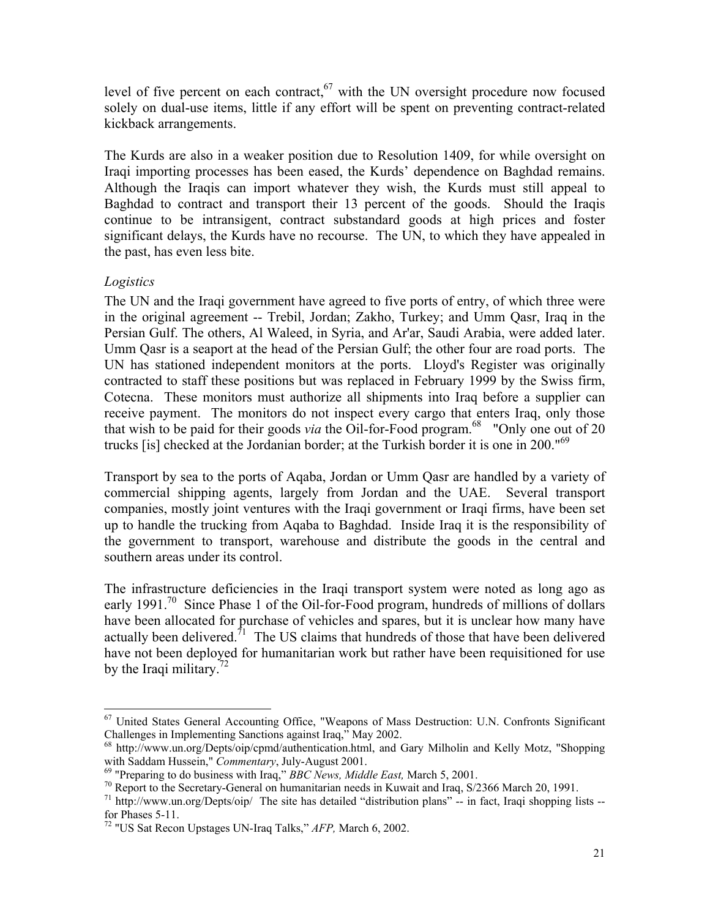level of five percent on each contract, $67$  with the UN oversight procedure now focused solely on dual-use items, little if any effort will be spent on preventing contract-related kickback arrangements.

The Kurds are also in a weaker position due to Resolution 1409, for while oversight on Iraqi importing processes has been eased, the Kurds' dependence on Baghdad remains. Although the Iraqis can import whatever they wish, the Kurds must still appeal to Baghdad to contract and transport their 13 percent of the goods. Should the Iraqis continue to be intransigent, contract substandard goods at high prices and foster significant delays, the Kurds have no recourse. The UN, to which they have appealed in the past, has even less bite.

## *Logistics*

The UN and the Iraqi government have agreed to five ports of entry, of which three were in the original agreement -- Trebil, Jordan; Zakho, Turkey; and Umm Qasr, Iraq in the Persian Gulf. The others, Al Waleed, in Syria, and Ar'ar, Saudi Arabia, were added later. Umm Qasr is a seaport at the head of the Persian Gulf; the other four are road ports. The UN has stationed independent monitors at the ports. Lloyd's Register was originally contracted to staff these positions but was replaced in February 1999 by the Swiss firm, Cotecna. These monitors must authorize all shipments into Iraq before a supplier can receive payment. The monitors do not inspect every cargo that enters Iraq, only those that wish to be paid for their goods *via* the Oil-for-Food program.<sup>68</sup> "Only one out of 20" trucks [is] checked at the Jordanian border; at the Turkish border it is one in 200."<sup>69</sup>

Transport by sea to the ports of Aqaba, Jordan or Umm Qasr are handled by a variety of commercial shipping agents, largely from Jordan and the UAE. Several transport companies, mostly joint ventures with the Iraqi government or Iraqi firms, have been set up to handle the trucking from Aqaba to Baghdad. Inside Iraq it is the responsibility of the government to transport, warehouse and distribute the goods in the central and southern areas under its control.

The infrastructure deficiencies in the Iraqi transport system were noted as long ago as early 1991.<sup>70</sup> Since Phase 1 of the Oil-for-Food program, hundreds of millions of dollars have been allocated for purchase of vehicles and spares, but it is unclear how many have actually been delivered.<sup> $71$ </sup> The US claims that hundreds of those that have been delivered have not been deployed for humanitarian work but rather have been requisitioned for use by the Iraqi military.<sup>72</sup>

l <sup>67</sup> United States General Accounting Office, "Weapons of Mass Destruction: U.N. Confronts Significant Challenges in Implementing Sanctions against Iraq," May 2002.

 $68$  http://www.un.org/Depts/oip/cpmd/authentication.html, and Gary Milholin and Kelly Motz, "Shopping with Saddam Hussein," *Commentary*, July-August 2001.

<sup>&</sup>lt;sup>69</sup> "Preparing to do business with Iraq," *BBC News, Middle East*, March 5, 2001.<br><sup>70</sup> Report to the Secretary-General on humanitarian needs in Kuwait and Iraq, S/2366 March 20, 1991.

<sup>&</sup>lt;sup>71</sup> http://www.un.org/Depts/oip/ The site has detailed "distribution plans" -- in fact, Iraqi shopping lists -for Phases 5-11.

<sup>72 &</sup>quot;US Sat Recon Upstages UN-Iraq Talks," *AFP,* March 6, 2002.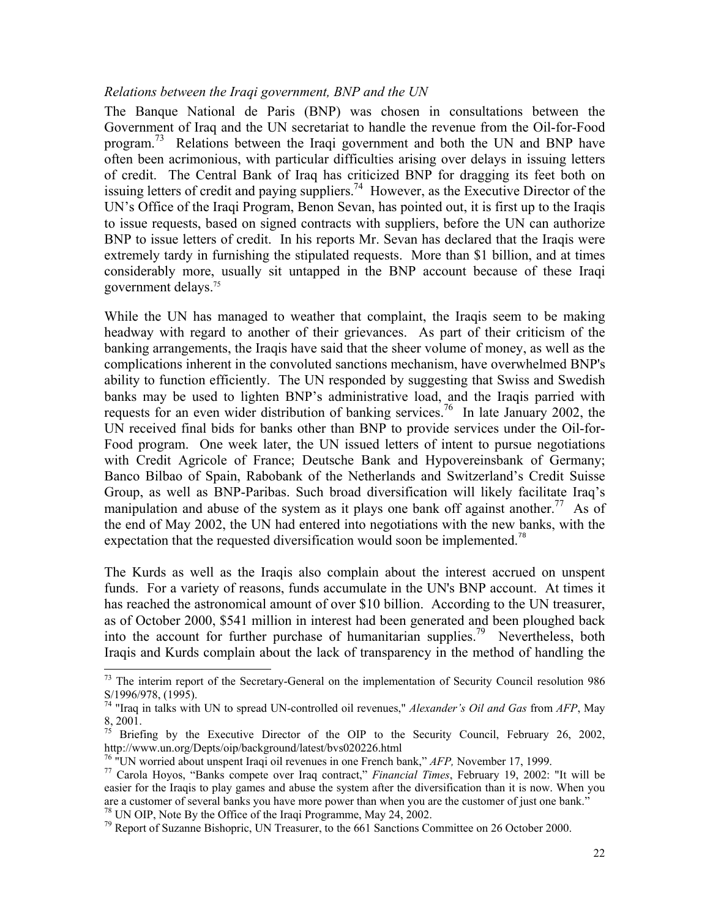#### *Relations between the Iraqi government, BNP and the UN*

The Banque National de Paris (BNP) was chosen in consultations between the Government of Iraq and the UN secretariat to handle the revenue from the Oil-for-Food program.<sup>73</sup> Relations between the Iraqi government and both the UN and BNP have often been acrimonious, with particular difficulties arising over delays in issuing letters of credit. The Central Bank of Iraq has criticized BNP for dragging its feet both on issuing letters of credit and paying suppliers.<sup>74</sup> However, as the Executive Director of the UN's Office of the Iraqi Program, Benon Sevan, has pointed out, it is first up to the Iraqis to issue requests, based on signed contracts with suppliers, before the UN can authorize BNP to issue letters of credit. In his reports Mr. Sevan has declared that the Iraqis were extremely tardy in furnishing the stipulated requests. More than \$1 billion, and at times considerably more, usually sit untapped in the BNP account because of these Iraqi government delays.75

While the UN has managed to weather that complaint, the Iraqis seem to be making headway with regard to another of their grievances. As part of their criticism of the banking arrangements, the Iraqis have said that the sheer volume of money, as well as the complications inherent in the convoluted sanctions mechanism, have overwhelmed BNP's ability to function efficiently. The UN responded by suggesting that Swiss and Swedish banks may be used to lighten BNP's administrative load, and the Iraqis parried with requests for an even wider distribution of banking services.76 In late January 2002, the UN received final bids for banks other than BNP to provide services under the Oil-for-Food program. One week later, the UN issued letters of intent to pursue negotiations with Credit Agricole of France; Deutsche Bank and Hypovereinsbank of Germany; Banco Bilbao of Spain, Rabobank of the Netherlands and Switzerland's Credit Suisse Group, as well as BNP-Paribas. Such broad diversification will likely facilitate Iraq's manipulation and abuse of the system as it plays one bank off against another.<sup>77</sup> As of the end of May 2002, the UN had entered into negotiations with the new banks, with the expectation that the requested diversification would soon be implemented.<sup>78</sup>

The Kurds as well as the Iraqis also complain about the interest accrued on unspent funds. For a variety of reasons, funds accumulate in the UN's BNP account. At times it has reached the astronomical amount of over \$10 billion. According to the UN treasurer, as of October 2000, \$541 million in interest had been generated and been ploughed back into the account for further purchase of humanitarian supplies.<sup>79</sup> Nevertheless, both Iraqis and Kurds complain about the lack of transparency in the method of handling the

 $73$  The interim report of the Secretary-General on the implementation of Security Council resolution 986 S/1996/978, (1995).

<sup>74 &</sup>quot;Iraq in talks with UN to spread UN-controlled oil revenues," *Alexander's Oil and Gas* from *AFP*, May 8, 2001.

<sup>&</sup>lt;sup>75</sup> Briefing by the Executive Director of the OIP to the Security Council, February 26, 2002, http://www.un.org/Depts/oip/background/latest/bvs020226.html

<sup>&</sup>lt;sup>76</sup> "UN worried about unspent Iraqi oil revenues in one French bank," *AFP*, November 17, 1999.<br><sup>77</sup> Carola Hoyos, "Banks compete over Iraq contract," *Financial Times*, February 19, 2002: "It will be easier for the Iraqis to play games and abuse the system after the diversification than it is now. When you are a customer of several banks you have more power than when you are the customer of just one bank."<br><sup>78</sup> UN OIP, Note By the Office of the Iraqi Programme, May 24, 2002.<br><sup>79</sup> Report of Suzanne Bishopric, UN Treasurer, t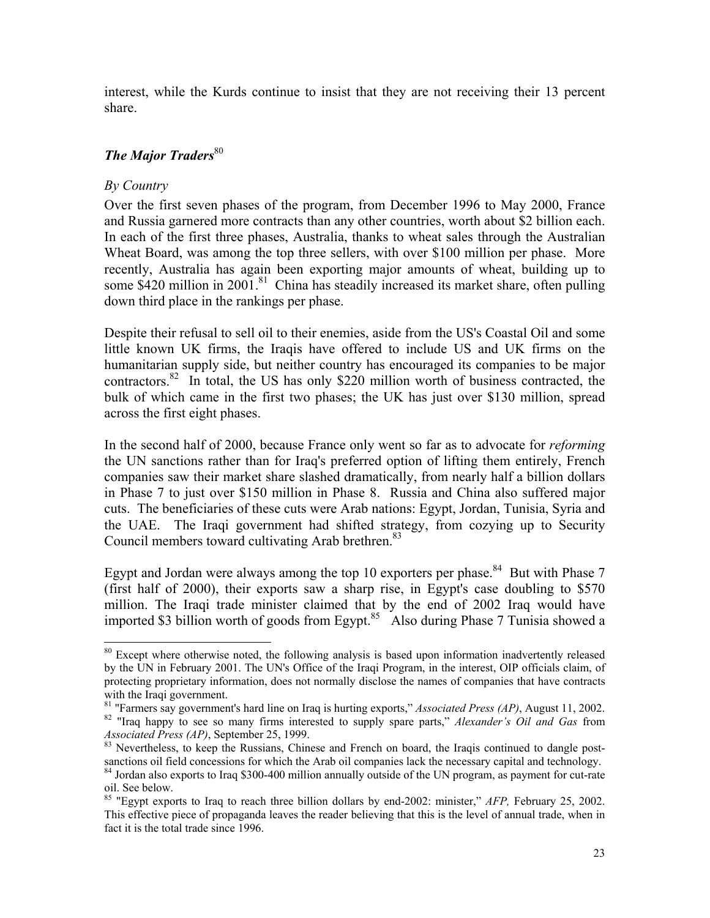interest, while the Kurds continue to insist that they are not receiving their 13 percent share.

## **The Major Traders**<sup>80</sup>

## *By Country*

 $\overline{\phantom{a}}$ 

Over the first seven phases of the program, from December 1996 to May 2000, France and Russia garnered more contracts than any other countries, worth about \$2 billion each. In each of the first three phases, Australia, thanks to wheat sales through the Australian Wheat Board, was among the top three sellers, with over \$100 million per phase. More recently, Australia has again been exporting major amounts of wheat, building up to some \$420 million in 2001.<sup>81</sup> China has steadily increased its market share, often pulling down third place in the rankings per phase.

Despite their refusal to sell oil to their enemies, aside from the US's Coastal Oil and some little known UK firms, the Iraqis have offered to include US and UK firms on the humanitarian supply side, but neither country has encouraged its companies to be major contractors.<sup>82</sup> In total, the US has only \$220 million worth of business contracted, the bulk of which came in the first two phases; the UK has just over \$130 million, spread across the first eight phases.

In the second half of 2000, because France only went so far as to advocate for *reforming* the UN sanctions rather than for Iraq's preferred option of lifting them entirely, French companies saw their market share slashed dramatically, from nearly half a billion dollars in Phase 7 to just over \$150 million in Phase 8. Russia and China also suffered major cuts. The beneficiaries of these cuts were Arab nations: Egypt, Jordan, Tunisia, Syria and the UAE. The Iraqi government had shifted strategy, from cozying up to Security Council members toward cultivating Arab brethren.<sup>83</sup>

Egypt and Jordan were always among the top 10 exporters per phase.<sup>84</sup> But with Phase 7 (first half of 2000), their exports saw a sharp rise, in Egypt's case doubling to \$570 million. The Iraqi trade minister claimed that by the end of 2002 Iraq would have imported \$3 billion worth of goods from Egypt.<sup>85</sup> Also during Phase 7 Tunisia showed a

<sup>&</sup>lt;sup>80</sup> Except where otherwise noted, the following analysis is based upon information inadvertently released by the UN in February 2001. The UN's Office of the Iraqi Program, in the interest, OIP officials claim, of protecting proprietary information, does not normally disclose the names of companies that have contracts

with the Iraqi government.<br><sup>81</sup> "Farmers say government's hard line on Iraq is hurting exports," *Associated Press (AP)*, August 11, 2002.

<sup>&</sup>lt;sup>82</sup> "Iraq happy to see so many firms interested to supply spare parts," *Alexander's Oil and Gas* from *Associated Press (AP)*, September 25, 1999.<br><sup>83</sup> Nevertheless, to keep the Russians, Chinese and French on board, the Iraqis continued to dangle post-

sanctions oil field concessions for which the Arab oil companies lack the necessary capital and technology. <sup>84</sup> Jordan also exports to Iraq \$300-400 million annually outside of the UN program, as payment for cut-rate oil. See below.

<sup>85 &</sup>quot;Egypt exports to Iraq to reach three billion dollars by end-2002: minister," *AFP,* February 25, 2002. This effective piece of propaganda leaves the reader believing that this is the level of annual trade, when in fact it is the total trade since 1996.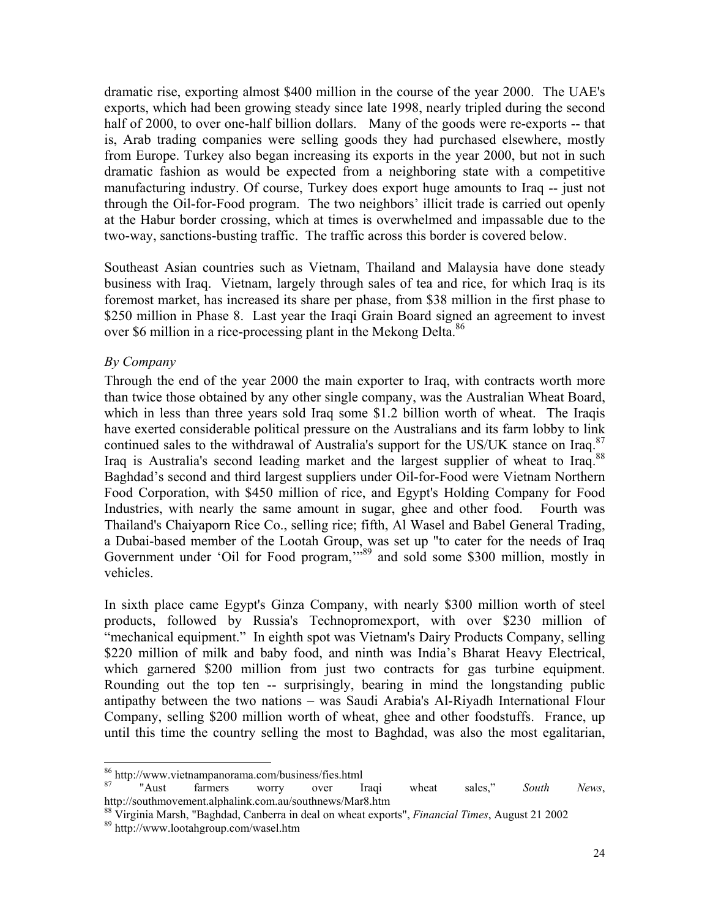dramatic rise, exporting almost \$400 million in the course of the year 2000. The UAE's exports, which had been growing steady since late 1998, nearly tripled during the second half of 2000, to over one-half billion dollars. Many of the goods were re-exports -- that is, Arab trading companies were selling goods they had purchased elsewhere, mostly from Europe. Turkey also began increasing its exports in the year 2000, but not in such dramatic fashion as would be expected from a neighboring state with a competitive manufacturing industry. Of course, Turkey does export huge amounts to Iraq -- just not through the Oil-for-Food program. The two neighbors' illicit trade is carried out openly at the Habur border crossing, which at times is overwhelmed and impassable due to the two-way, sanctions-busting traffic. The traffic across this border is covered below.

Southeast Asian countries such as Vietnam, Thailand and Malaysia have done steady business with Iraq. Vietnam, largely through sales of tea and rice, for which Iraq is its foremost market, has increased its share per phase, from \$38 million in the first phase to \$250 million in Phase 8. Last year the Iraqi Grain Board signed an agreement to invest over \$6 million in a rice-processing plant in the Mekong Delta.<sup>86</sup>

## *By Company*

Through the end of the year 2000 the main exporter to Iraq, with contracts worth more than twice those obtained by any other single company, was the Australian Wheat Board, which in less than three years sold Iraq some \$1.2 billion worth of wheat. The Iraqis have exerted considerable political pressure on the Australians and its farm lobby to link continued sales to the withdrawal of Australia's support for the US/UK stance on Iraq. $87$ Iraq is Australia's second leading market and the largest supplier of wheat to Iraq.<sup>88</sup> Baghdad's second and third largest suppliers under Oil-for-Food were Vietnam Northern Food Corporation, with \$450 million of rice, and Egypt's Holding Company for Food Industries, with nearly the same amount in sugar, ghee and other food. Fourth was Thailand's Chaiyaporn Rice Co., selling rice; fifth, Al Wasel and Babel General Trading, a Dubai-based member of the Lootah Group, was set up "to cater for the needs of Iraq Government under 'Oil for Food program,"<sup>5,69</sup> and sold some \$300 million, mostly in vehicles.

In sixth place came Egypt's Ginza Company, with nearly \$300 million worth of steel products, followed by Russia's Technopromexport, with over \$230 million of "mechanical equipment." In eighth spot was Vietnam's Dairy Products Company, selling \$220 million of milk and baby food, and ninth was India's Bharat Heavy Electrical, which garnered \$200 million from just two contracts for gas turbine equipment. Rounding out the top ten -- surprisingly, bearing in mind the longstanding public antipathy between the two nations – was Saudi Arabia's Al-Riyadh International Flour Company, selling \$200 million worth of wheat, ghee and other foodstuffs. France, up until this time the country selling the most to Baghdad, was also the most egalitarian,

<sup>86</sup> http://www.vietnampanorama.com/business/fies.html

<sup>87 &</sup>quot;Aust farmers worry over Iraqi wheat sales," *South News*, http://southmovement.alphalink.com.au/southnews/Mar8.htm

<sup>88</sup> Virginia Marsh, "Baghdad, Canberra in deal on wheat exports", *Financial Times*, August 21 2002 89 http://www.lootahgroup.com/wasel.htm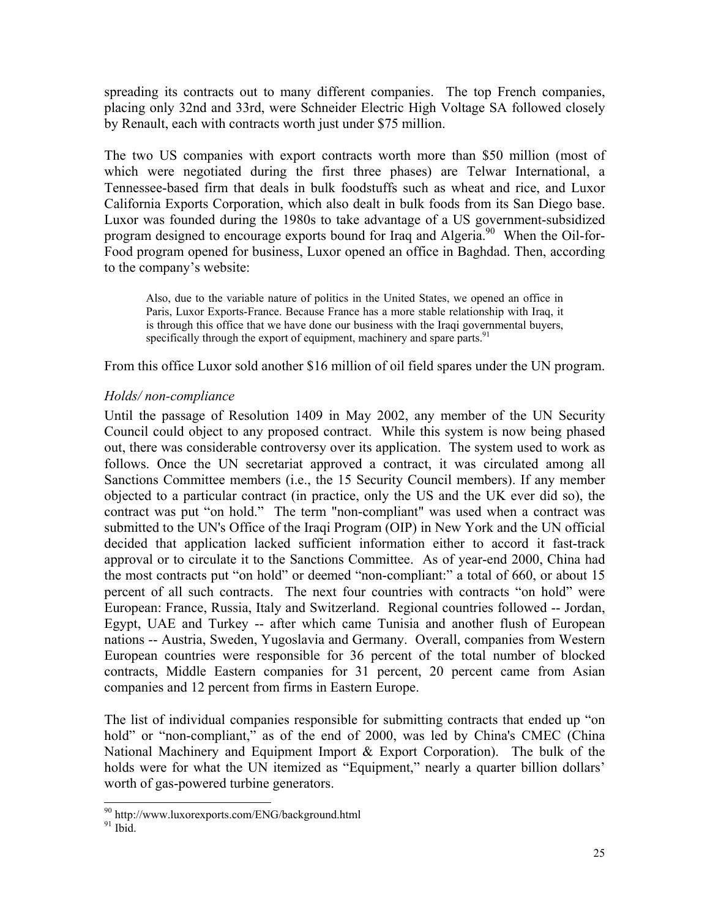spreading its contracts out to many different companies. The top French companies, placing only 32nd and 33rd, were Schneider Electric High Voltage SA followed closely by Renault, each with contracts worth just under \$75 million.

The two US companies with export contracts worth more than \$50 million (most of which were negotiated during the first three phases) are Telwar International, a Tennessee-based firm that deals in bulk foodstuffs such as wheat and rice, and Luxor California Exports Corporation, which also dealt in bulk foods from its San Diego base. Luxor was founded during the 1980s to take advantage of a US government-subsidized program designed to encourage exports bound for Iraq and Algeria.<sup>90</sup> When the Oil-for-Food program opened for business, Luxor opened an office in Baghdad. Then, according to the company's website:

Also, due to the variable nature of politics in the United States, we opened an office in Paris, Luxor Exports-France. Because France has a more stable relationship with Iraq, it is through this office that we have done our business with the Iraqi governmental buyers, specifically through the export of equipment, machinery and spare parts.<sup>91</sup>

From this office Luxor sold another \$16 million of oil field spares under the UN program.

## *Holds/ non-compliance*

Until the passage of Resolution 1409 in May 2002, any member of the UN Security Council could object to any proposed contract. While this system is now being phased out, there was considerable controversy over its application. The system used to work as follows. Once the UN secretariat approved a contract, it was circulated among all Sanctions Committee members (i.e., the 15 Security Council members). If any member objected to a particular contract (in practice, only the US and the UK ever did so), the contract was put "on hold." The term "non-compliant" was used when a contract was submitted to the UN's Office of the Iraqi Program (OIP) in New York and the UN official decided that application lacked sufficient information either to accord it fast-track approval or to circulate it to the Sanctions Committee. As of year-end 2000, China had the most contracts put "on hold" or deemed "non-compliant:" a total of 660, or about 15 percent of all such contracts. The next four countries with contracts "on hold" were European: France, Russia, Italy and Switzerland. Regional countries followed -- Jordan, Egypt, UAE and Turkey -- after which came Tunisia and another flush of European nations -- Austria, Sweden, Yugoslavia and Germany. Overall, companies from Western European countries were responsible for 36 percent of the total number of blocked contracts, Middle Eastern companies for 31 percent, 20 percent came from Asian companies and 12 percent from firms in Eastern Europe.

The list of individual companies responsible for submitting contracts that ended up "on hold" or "non-compliant," as of the end of 2000, was led by China's CMEC (China National Machinery and Equipment Import  $\&$  Export Corporation). The bulk of the holds were for what the UN itemized as "Equipment," nearly a quarter billion dollars' worth of gas-powered turbine generators.

<sup>90</sup> http://www.luxorexports.com/ENG/background.html

 $91$  Ibid.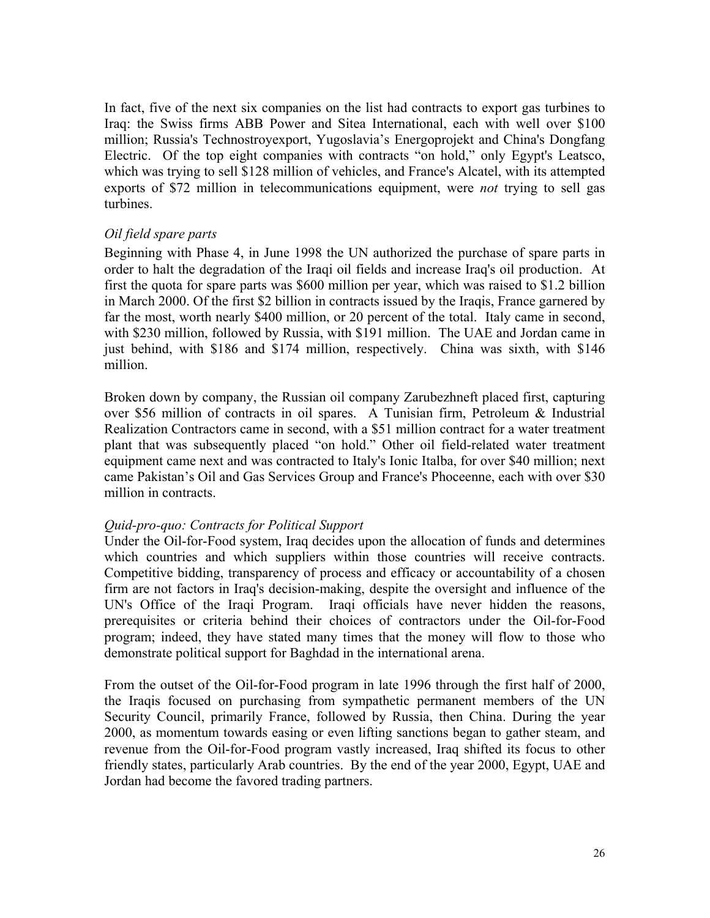In fact, five of the next six companies on the list had contracts to export gas turbines to Iraq: the Swiss firms ABB Power and Sitea International, each with well over \$100 million; Russia's Technostroyexport, Yugoslavia's Energoprojekt and China's Dongfang Electric. Of the top eight companies with contracts "on hold," only Egypt's Leatsco, which was trying to sell \$128 million of vehicles, and France's Alcatel, with its attempted exports of \$72 million in telecommunications equipment, were *not* trying to sell gas turbines.

## *Oil field spare parts*

Beginning with Phase 4, in June 1998 the UN authorized the purchase of spare parts in order to halt the degradation of the Iraqi oil fields and increase Iraq's oil production. At first the quota for spare parts was \$600 million per year, which was raised to \$1.2 billion in March 2000. Of the first \$2 billion in contracts issued by the Iraqis, France garnered by far the most, worth nearly \$400 million, or 20 percent of the total. Italy came in second, with \$230 million, followed by Russia, with \$191 million. The UAE and Jordan came in just behind, with \$186 and \$174 million, respectively. China was sixth, with \$146 million.

Broken down by company, the Russian oil company Zarubezhneft placed first, capturing over \$56 million of contracts in oil spares. A Tunisian firm, Petroleum & Industrial Realization Contractors came in second, with a \$51 million contract for a water treatment plant that was subsequently placed "on hold." Other oil field-related water treatment equipment came next and was contracted to Italy's Ionic Italba, for over \$40 million; next came Pakistan's Oil and Gas Services Group and France's Phoceenne, each with over \$30 million in contracts.

## *Quid-pro-quo: Contracts for Political Support*

Under the Oil-for-Food system, Iraq decides upon the allocation of funds and determines which countries and which suppliers within those countries will receive contracts. Competitive bidding, transparency of process and efficacy or accountability of a chosen firm are not factors in Iraq's decision-making, despite the oversight and influence of the UN's Office of the Iraqi Program. Iraqi officials have never hidden the reasons, prerequisites or criteria behind their choices of contractors under the Oil-for-Food program; indeed, they have stated many times that the money will flow to those who demonstrate political support for Baghdad in the international arena.

From the outset of the Oil-for-Food program in late 1996 through the first half of 2000, the Iraqis focused on purchasing from sympathetic permanent members of the UN Security Council, primarily France, followed by Russia, then China. During the year 2000, as momentum towards easing or even lifting sanctions began to gather steam, and revenue from the Oil-for-Food program vastly increased, Iraq shifted its focus to other friendly states, particularly Arab countries. By the end of the year 2000, Egypt, UAE and Jordan had become the favored trading partners.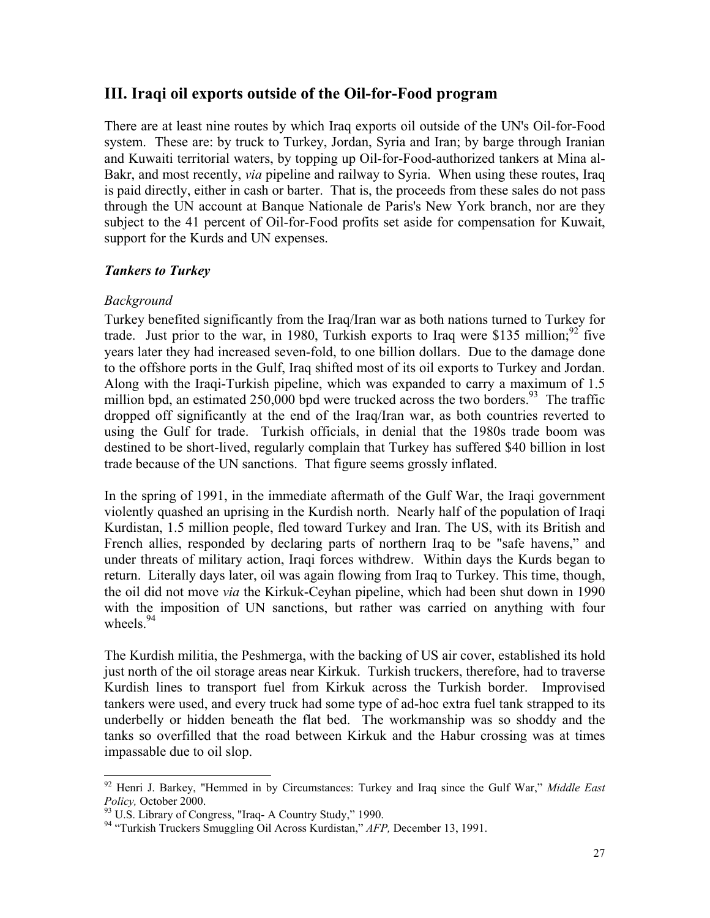## **III. Iraqi oil exports outside of the Oil-for-Food program**

There are at least nine routes by which Iraq exports oil outside of the UN's Oil-for-Food system. These are: by truck to Turkey, Jordan, Syria and Iran; by barge through Iranian and Kuwaiti territorial waters, by topping up Oil-for-Food-authorized tankers at Mina al-Bakr, and most recently, *via* pipeline and railway to Syria. When using these routes, Iraq is paid directly, either in cash or barter. That is, the proceeds from these sales do not pass through the UN account at Banque Nationale de Paris's New York branch, nor are they subject to the 41 percent of Oil-for-Food profits set aside for compensation for Kuwait, support for the Kurds and UN expenses.

## *Tankers to Turkey*

## *Background*

 $\overline{\phantom{a}}$ 

Turkey benefited significantly from the Iraq/Iran war as both nations turned to Turkey for trade. Just prior to the war, in 1980, Turkish exports to Iraq were \$135 million;  $^{92}$  five years later they had increased seven-fold, to one billion dollars. Due to the damage done to the offshore ports in the Gulf, Iraq shifted most of its oil exports to Turkey and Jordan. Along with the Iraqi-Turkish pipeline, which was expanded to carry a maximum of 1.5 million bpd, an estimated 250,000 bpd were trucked across the two borders.<sup>93</sup> The traffic dropped off significantly at the end of the Iraq/Iran war, as both countries reverted to using the Gulf for trade. Turkish officials, in denial that the 1980s trade boom was destined to be short-lived, regularly complain that Turkey has suffered \$40 billion in lost trade because of the UN sanctions. That figure seems grossly inflated.

In the spring of 1991, in the immediate aftermath of the Gulf War, the Iraqi government violently quashed an uprising in the Kurdish north. Nearly half of the population of Iraqi Kurdistan, 1.5 million people, fled toward Turkey and Iran. The US, with its British and French allies, responded by declaring parts of northern Iraq to be "safe havens," and under threats of military action, Iraqi forces withdrew. Within days the Kurds began to return. Literally days later, oil was again flowing from Iraq to Turkey. This time, though, the oil did not move *via* the Kirkuk-Ceyhan pipeline, which had been shut down in 1990 with the imposition of UN sanctions, but rather was carried on anything with four wheels. $94$ 

The Kurdish militia, the Peshmerga, with the backing of US air cover, established its hold just north of the oil storage areas near Kirkuk. Turkish truckers, therefore, had to traverse Kurdish lines to transport fuel from Kirkuk across the Turkish border. Improvised tankers were used, and every truck had some type of ad-hoc extra fuel tank strapped to its underbelly or hidden beneath the flat bed. The workmanship was so shoddy and the tanks so overfilled that the road between Kirkuk and the Habur crossing was at times impassable due to oil slop.

<sup>92</sup> Henri J. Barkey, "Hemmed in by Circumstances: Turkey and Iraq since the Gulf War," *Middle East*

<sup>&</sup>lt;sup>93</sup> U.S. Library of Congress, "Iraq- A Country Study," 1990.

<sup>94 &</sup>quot;Turkish Truckers Smuggling Oil Across Kurdistan," *AFP,* December 13, 1991.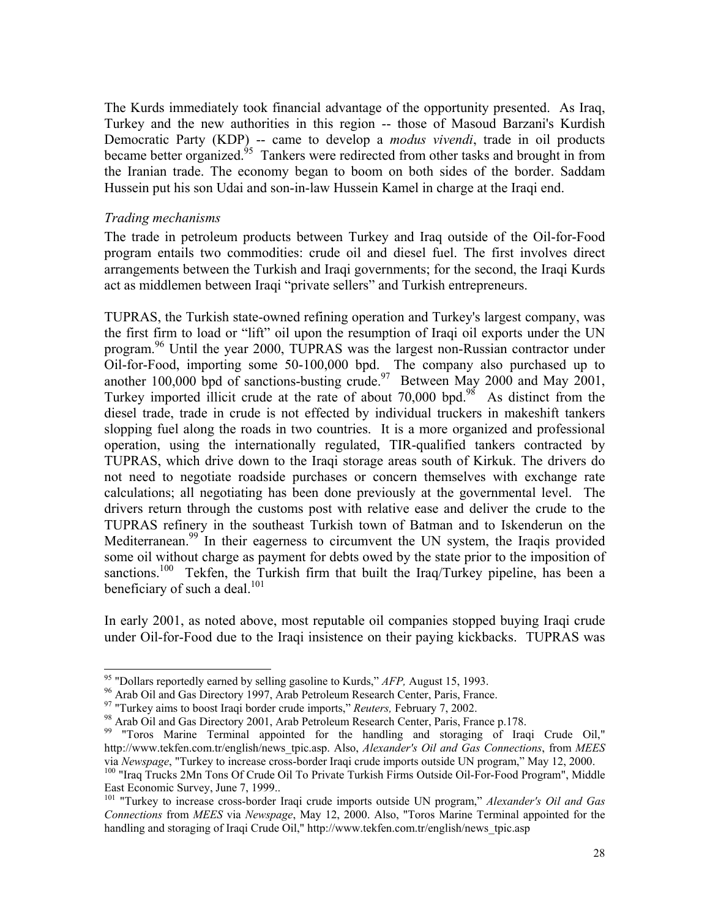The Kurds immediately took financial advantage of the opportunity presented. As Iraq, Turkey and the new authorities in this region -- those of Masoud Barzani's Kurdish Democratic Party (KDP) -- came to develop a *modus vivendi*, trade in oil products became better organized.<sup>95</sup> Tankers were redirected from other tasks and brought in from the Iranian trade. The economy began to boom on both sides of the border. Saddam Hussein put his son Udai and son-in-law Hussein Kamel in charge at the Iraqi end.

#### *Trading mechanisms*

The trade in petroleum products between Turkey and Iraq outside of the Oil-for-Food program entails two commodities: crude oil and diesel fuel. The first involves direct arrangements between the Turkish and Iraqi governments; for the second, the Iraqi Kurds act as middlemen between Iraqi "private sellers" and Turkish entrepreneurs.

TUPRAS, the Turkish state-owned refining operation and Turkey's largest company, was the first firm to load or "lift" oil upon the resumption of Iraqi oil exports under the UN program.<sup>96</sup> Until the year 2000, TUPRAS was the largest non-Russian contractor under Oil-for-Food, importing some 50-100,000 bpd. The company also purchased up to another 100,000 bpd of sanctions-busting crude.<sup>97</sup> Between May 2000 and May 2001, Turkey imported illicit crude at the rate of about  $70,000$  bpd.<sup>98</sup> As distinct from the diesel trade, trade in crude is not effected by individual truckers in makeshift tankers slopping fuel along the roads in two countries. It is a more organized and professional operation, using the internationally regulated, TIR-qualified tankers contracted by TUPRAS, which drive down to the Iraqi storage areas south of Kirkuk. The drivers do not need to negotiate roadside purchases or concern themselves with exchange rate calculations; all negotiating has been done previously at the governmental level. The drivers return through the customs post with relative ease and deliver the crude to the TUPRAS refinery in the southeast Turkish town of Batman and to Iskenderun on the Mediterranean.<sup>99</sup> In their eagerness to circumvent the UN system, the Iraqis provided some oil without charge as payment for debts owed by the state prior to the imposition of sanctions.<sup>100</sup> Tekfen, the Turkish firm that built the Iraq/Turkey pipeline, has been a beneficiary of such a deal.<sup>101</sup>

In early 2001, as noted above, most reputable oil companies stopped buying Iraqi crude under Oil-for-Food due to the Iraqi insistence on their paying kickbacks. TUPRAS was

<sup>&</sup>lt;sup>95</sup> "Dollars reportedly earned by selling gasoline to Kurds," AFP, August 15, 1993.

<sup>&</sup>lt;sup>96</sup> Arab Oil and Gas Directory 1997, Arab Petroleum Research Center, Paris, France.<br><sup>97</sup> "Turkey aims to boost Iraqi border crude imports," *Reuters*, February 7, 2002.

<sup>&</sup>lt;sup>98</sup> Arab Oil and Gas Directory 2001, Arab Petroleum Research Center, Paris, France p.178.

<sup>&</sup>lt;sup>99</sup> "Toros Marine Terminal appointed for the handling and storaging of Iraqi Crude Oil," http://www.tekfen.com.tr/english/news\_tpic.asp. Also, *Alexander's Oil and Gas Connections*, from *MEES* via *Newspage*, "Turkey to increase cross-border Iraqi crude imports outside UN program," May 12, 2000.<br><sup>100</sup> "Iraq Trucks 2Mn Tons Of Crude Oil To Private Turkish Firms Outside Oil-For-Food Program", Middle

East Economic Survey, June 7, 1999..

<sup>101 &</sup>quot;Turkey to increase cross-border Iraqi crude imports outside UN program," *Alexander's Oil and Gas Connections* from *MEES* via *Newspage*, May 12, 2000. Also, "Toros Marine Terminal appointed for the handling and storaging of Iraqi Crude Oil," http://www.tekfen.com.tr/english/news\_tpic.asp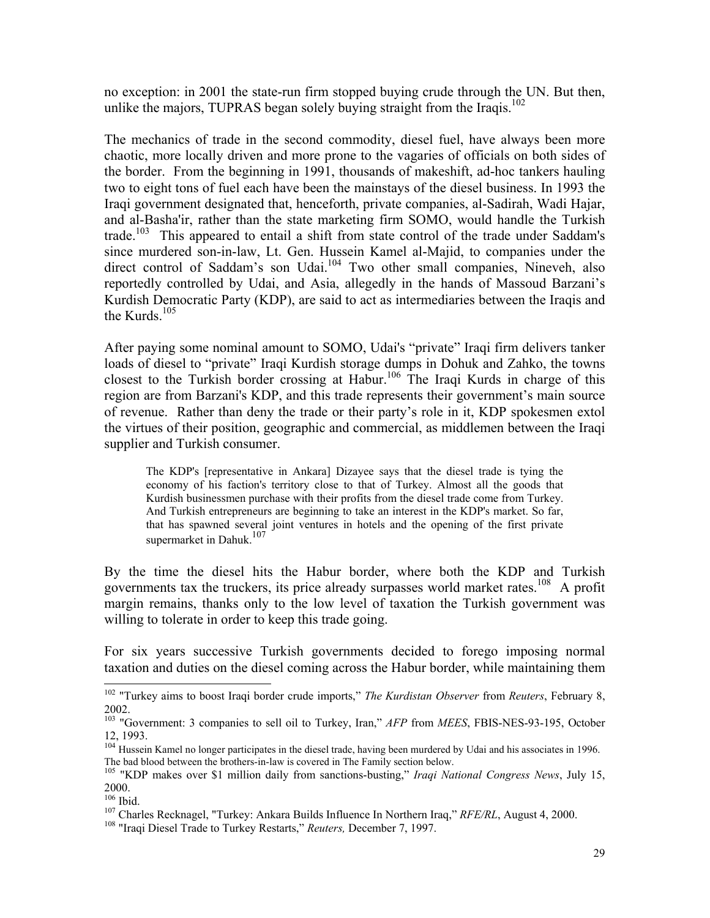no exception: in 2001 the state-run firm stopped buying crude through the UN. But then, unlike the majors, TUPRAS began solely buying straight from the Iraqis.<sup>102</sup>

The mechanics of trade in the second commodity, diesel fuel, have always been more chaotic, more locally driven and more prone to the vagaries of officials on both sides of the border. From the beginning in 1991, thousands of makeshift, ad-hoc tankers hauling two to eight tons of fuel each have been the mainstays of the diesel business. In 1993 the Iraqi government designated that, henceforth, private companies, al-Sadirah, Wadi Hajar, and al-Basha'ir, rather than the state marketing firm SOMO, would handle the Turkish trade.<sup>103</sup> This appeared to entail a shift from state control of the trade under Saddam's since murdered son-in-law, Lt. Gen. Hussein Kamel al-Majid, to companies under the direct control of Saddam's son Udai.<sup>104</sup> Two other small companies, Nineveh, also reportedly controlled by Udai, and Asia, allegedly in the hands of Massoud Barzani's Kurdish Democratic Party (KDP), are said to act as intermediaries between the Iraqis and the Kurds. $105$ 

After paying some nominal amount to SOMO, Udai's "private" Iraqi firm delivers tanker loads of diesel to "private" Iraqi Kurdish storage dumps in Dohuk and Zahko, the towns closest to the Turkish border crossing at Habur.<sup>106</sup> The Iraqi Kurds in charge of this region are from Barzani's KDP, and this trade represents their government's main source of revenue. Rather than deny the trade or their party's role in it, KDP spokesmen extol the virtues of their position, geographic and commercial, as middlemen between the Iraqi supplier and Turkish consumer.

The KDP's [representative in Ankara] Dizayee says that the diesel trade is tying the economy of his faction's territory close to that of Turkey. Almost all the goods that Kurdish businessmen purchase with their profits from the diesel trade come from Turkey. And Turkish entrepreneurs are beginning to take an interest in the KDP's market. So far, that has spawned several joint ventures in hotels and the opening of the first private supermarket in Dahuk.<sup>107</sup>

By the time the diesel hits the Habur border, where both the KDP and Turkish governments tax the truckers, its price already surpasses world market rates.<sup>108</sup> A profit margin remains, thanks only to the low level of taxation the Turkish government was willing to tolerate in order to keep this trade going.

For six years successive Turkish governments decided to forego imposing normal taxation and duties on the diesel coming across the Habur border, while maintaining them

<sup>102 &</sup>quot;Turkey aims to boost Iraqi border crude imports," *The Kurdistan Observer* from *Reuters*, February 8, 2002.

<sup>103 &</sup>quot;Government: 3 companies to sell oil to Turkey, Iran," *AFP* from *MEES*, FBIS-NES-93-195, October 12, 1993.

 $104$  Hussein Kamel no longer participates in the diesel trade, having been murdered by Udai and his associates in 1996.<br>The bad blood between the brothers-in-law is covered in The Family section below.

<sup>&</sup>lt;sup>105</sup> "KDP makes over \$1 million daily from sanctions-busting," *Iraqi National Congress News*, July 15,  $^{2000.}_{^{106}$  Ibid.

<sup>&</sup>lt;sup>107</sup> Charles Recknagel, "Turkey: Ankara Builds Influence In Northern Iraq," *RFE/RL*, August 4, 2000.<br><sup>108</sup> "Iraqi Diesel Trade to Turkey Restarts," *Reuters*, December 7, 1997.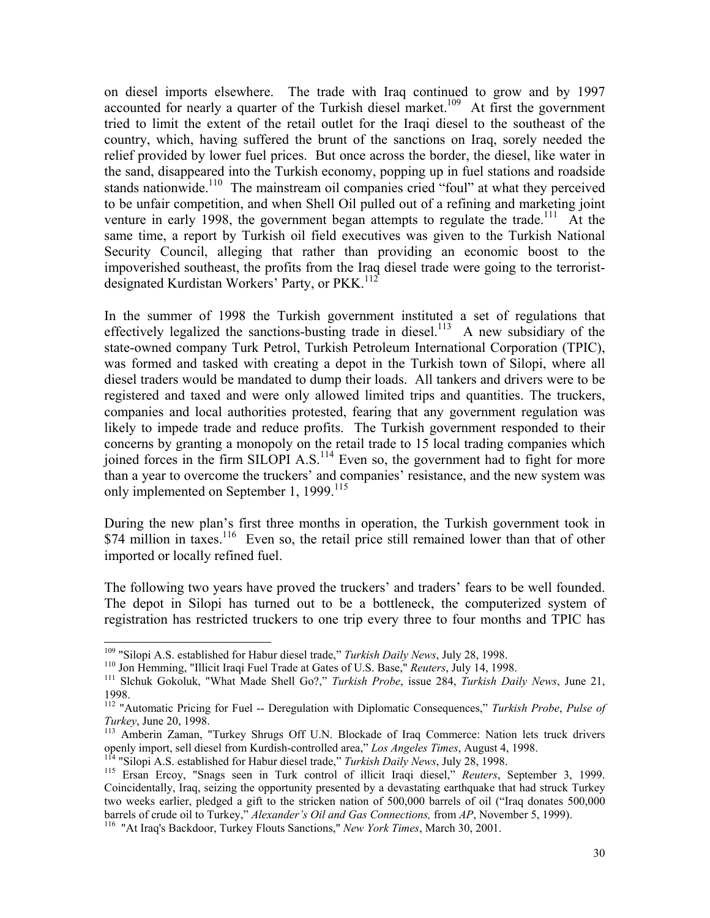on diesel imports elsewhere. The trade with Iraq continued to grow and by 1997 accounted for nearly a quarter of the Turkish diesel market.<sup>109</sup> At first the government tried to limit the extent of the retail outlet for the Iraqi diesel to the southeast of the country, which, having suffered the brunt of the sanctions on Iraq, sorely needed the relief provided by lower fuel prices. But once across the border, the diesel, like water in the sand, disappeared into the Turkish economy, popping up in fuel stations and roadside stands nationwide.<sup>110</sup> The mainstream oil companies cried "foul" at what they perceived to be unfair competition, and when Shell Oil pulled out of a refining and marketing joint venture in early 1998, the government began attempts to regulate the trade.<sup>111</sup> At the same time, a report by Turkish oil field executives was given to the Turkish National Security Council, alleging that rather than providing an economic boost to the impoverished southeast, the profits from the Iraq diesel trade were going to the terroristdesignated Kurdistan Workers' Party, or PKK.<sup>112</sup>

In the summer of 1998 the Turkish government instituted a set of regulations that effectively legalized the sanctions-busting trade in diesel.<sup>113</sup> A new subsidiary of the state-owned company Turk Petrol, Turkish Petroleum International Corporation (TPIC), was formed and tasked with creating a depot in the Turkish town of Silopi, where all diesel traders would be mandated to dump their loads. All tankers and drivers were to be registered and taxed and were only allowed limited trips and quantities. The truckers, companies and local authorities protested, fearing that any government regulation was likely to impede trade and reduce profits. The Turkish government responded to their concerns by granting a monopoly on the retail trade to 15 local trading companies which joined forces in the firm SILOPI A.S.<sup>114</sup> Even so, the government had to fight for more than a year to overcome the truckers' and companies' resistance, and the new system was only implemented on September 1, 1999.<sup>115</sup>

During the new plan's first three months in operation, the Turkish government took in  $$74$  million in taxes.<sup>116</sup> Even so, the retail price still remained lower than that of other imported or locally refined fuel.

The following two years have proved the truckers' and traders' fears to be well founded. The depot in Silopi has turned out to be a bottleneck, the computerized system of registration has restricted truckers to one trip every three to four months and TPIC has

<sup>&</sup>lt;sup>109</sup> "Silopi A.S. established for Habur diesel trade," Turkish Daily News, July 28, 1998.

<sup>&</sup>lt;sup>110</sup> Jon Hemming, "Illicit Iraqi Fuel Trade at Gates of U.S. Base," *Reuters*, July 14, 1998.<br><sup>111</sup> Slchuk Gokoluk, "What Made Shell Go?," *Turkish Probe*, issue 284, *Turkish Daily News*, June 21, 1998.

<sup>112 &</sup>quot;Automatic Pricing for Fuel -- Deregulation with Diplomatic Consequences," *Turkish Probe*, *Pulse of*

<sup>&</sup>lt;sup>113</sup> Amberin Zaman, "Turkey Shrugs Off U.N. Blockade of Iraq Commerce: Nation lets truck drivers openly import, sell diesel from Kurdish-controlled area," *Los Angeles Times*, August 4, 1998.

<sup>&</sup>lt;sup>114</sup> "Silopi A.S. established for Habur diesel trade," Turkish Daily News, July 28, 1998.<br><sup>115</sup> Ersan Ercoy, "Snags seen in Turk control of illicit Iraqi diesel," *Reuters*, September 3, 1999. Coincidentally, Iraq, seizing the opportunity presented by a devastating earthquake that had struck Turkey two weeks earlier, pledged a gift to the stricken nation of 500,000 barrels of oil ("Iraq donates 500,000 barrels of crude oil to Turkey," *Alexander's Oil and Gas Connections,* from *AP*, November 5, 1999).<br><sup>116</sup> "At Iraq's Backdoor, Turkey Flouts Sanctions," *New York Times*, March 30, 2001.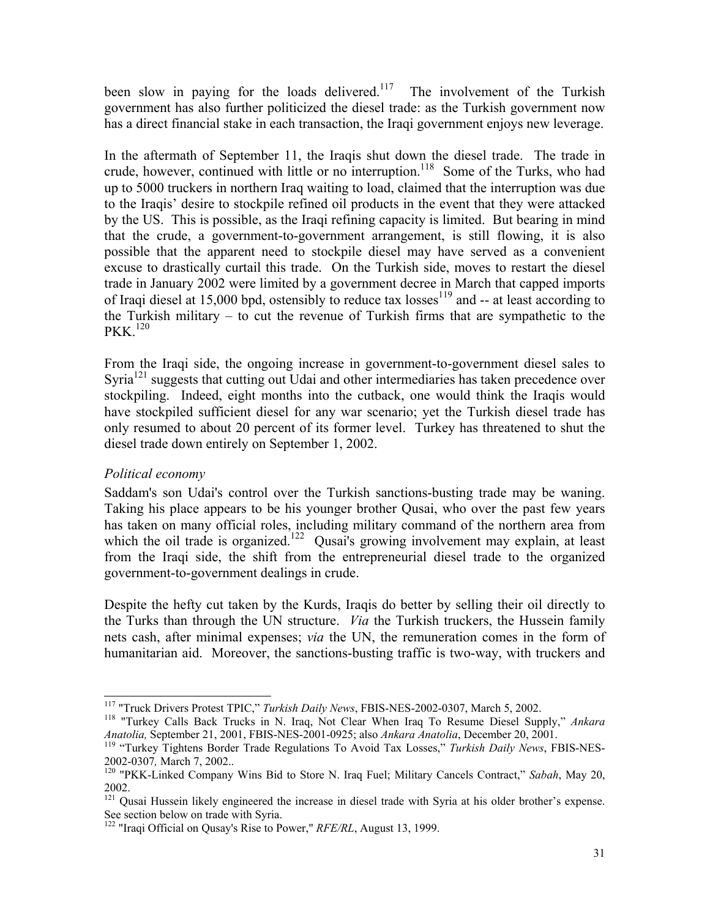been slow in paying for the loads delivered.<sup>117</sup> The involvement of the Turkish government has also further politicized the diesel trade: as the Turkish government now has a direct financial stake in each transaction, the Iraqi government enjoys new leverage.

In the aftermath of September 11, the Iraqis shut down the diesel trade. The trade in crude, however, continued with little or no interruption.<sup>118</sup> Some of the Turks, who had up to 5000 truckers in northern Iraq waiting to load, claimed that the interruption was due to the Iraqis' desire to stockpile refined oil products in the event that they were attacked by the US. This is possible, as the Iraqi refining capacity is limited. But bearing in mind that the crude, a government-to-government arrangement, is still flowing, it is also possible that the apparent need to stockpile diesel may have served as a convenient excuse to drastically curtail this trade. On the Turkish side, moves to restart the diesel trade in January 2002 were limited by a government decree in March that capped imports of Iraqi diesel at 15,000 bpd, ostensibly to reduce tax losses<sup>119</sup> and  $-$  at least according to the Turkish military – to cut the revenue of Turkish firms that are sympathetic to the PKK.<sup>120</sup>

From the Iraqi side, the ongoing increase in government-to-government diesel sales to Syria<sup>121</sup> suggests that cutting out Udai and other intermediaries has taken precedence over stockpiling. Indeed, eight months into the cutback, one would think the Iraqis would have stockpiled sufficient diesel for any war scenario; yet the Turkish diesel trade has only resumed to about 20 percent of its former level. Turkey has threatened to shut the diesel trade down entirely on September 1, 2002.

## *Political economy*

 $\overline{a}$ 

Saddam's son Udai's control over the Turkish sanctions-busting trade may be waning. Taking his place appears to be his younger brother Qusai, who over the past few years has taken on many official roles, including military command of the northern area from which the oil trade is organized.<sup>122</sup> Qusai's growing involvement may explain, at least from the Iraqi side, the shift from the entrepreneurial diesel trade to the organized government-to-government dealings in crude.

Despite the hefty cut taken by the Kurds, Iraqis do better by selling their oil directly to the Turks than through the UN structure. *Via* the Turkish truckers, the Hussein family nets cash, after minimal expenses; *via* the UN, the remuneration comes in the form of humanitarian aid. Moreover, the sanctions-busting traffic is two-way, with truckers and

<sup>&</sup>lt;sup>117</sup> "Truck Drivers Protest TPIC," *Turkish Daily News*, FBIS-NES-2002-0307, March 5, 2002.<br><sup>118</sup> "Turkey Calls Back Trucks in N. Iraq, Not Clear When Iraq To Resume Diesel Supply," *Ankara Anatolia,* September 21, 2001, FBIS-NES-2001-0925; also *Ankara Anatolia*, December 20, 2001. 119 "Turkey Tightens Border Trade Regulations To Avoid Tax Losses," *Turkish Daily News*, FBIS-NES-

<sup>2002-0307</sup>*,* March 7, 2002.. 120 "PKK-Linked Company Wins Bid to Store N. Iraq Fuel; Military Cancels Contract," *Sabah*, May 20,

<sup>2002.</sup>

<sup>&</sup>lt;sup>121</sup> Qusai Hussein likely engineered the increase in diesel trade with Syria at his older brother's expense. See section below on trade with Syria.

<sup>122 &</sup>quot;Iraqi Official on Qusay's Rise to Power," *RFE/RL*, August 13, 1999.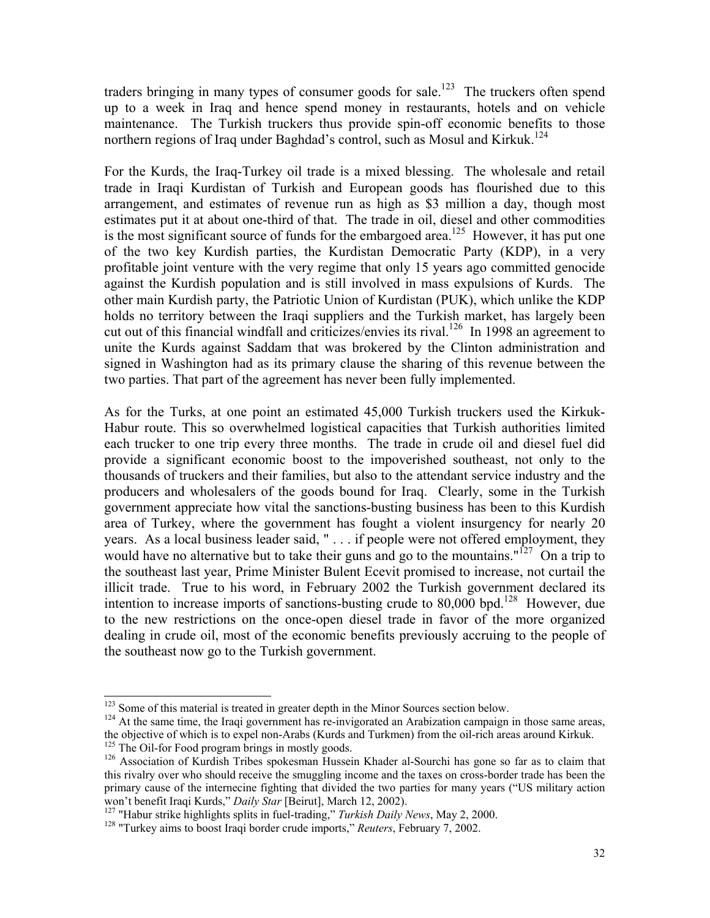traders bringing in many types of consumer goods for sale.<sup>123</sup> The truckers often spend up to a week in Iraq and hence spend money in restaurants, hotels and on vehicle maintenance. The Turkish truckers thus provide spin-off economic benefits to those northern regions of Iraq under Baghdad's control, such as Mosul and Kirkuk.<sup>124</sup>

For the Kurds, the Iraq-Turkey oil trade is a mixed blessing. The wholesale and retail trade in Iraqi Kurdistan of Turkish and European goods has flourished due to this arrangement, and estimates of revenue run as high as \$3 million a day, though most estimates put it at about one-third of that. The trade in oil, diesel and other commodities is the most significant source of funds for the embargoed area.<sup>125</sup> However, it has put one of the two key Kurdish parties, the Kurdistan Democratic Party (KDP), in a very profitable joint venture with the very regime that only 15 years ago committed genocide against the Kurdish population and is still involved in mass expulsions of Kurds. The other main Kurdish party, the Patriotic Union of Kurdistan (PUK), which unlike the KDP holds no territory between the Iraqi suppliers and the Turkish market, has largely been cut out of this financial windfall and criticizes/envies its rival.<sup>126</sup> In 1998 an agreement to unite the Kurds against Saddam that was brokered by the Clinton administration and signed in Washington had as its primary clause the sharing of this revenue between the two parties. That part of the agreement has never been fully implemented.

As for the Turks, at one point an estimated 45,000 Turkish truckers used the Kirkuk-Habur route. This so overwhelmed logistical capacities that Turkish authorities limited each trucker to one trip every three months. The trade in crude oil and diesel fuel did provide a significant economic boost to the impoverished southeast, not only to the thousands of truckers and their families, but also to the attendant service industry and the producers and wholesalers of the goods bound for Iraq. Clearly, some in the Turkish government appreciate how vital the sanctions-busting business has been to this Kurdish area of Turkey, where the government has fought a violent insurgency for nearly 20 years. As a local business leader said, " . . . if people were not offered employment, they would have no alternative but to take their guns and go to the mountains."<sup>127</sup> On a trip to the southeast last year, Prime Minister Bulent Ecevit promised to increase, not curtail the illicit trade. True to his word, in February 2002 the Turkish government declared its intention to increase imports of sanctions-busting crude to 80,000 bpd.<sup>128</sup> However, due to the new restrictions on the once-open diesel trade in favor of the more organized dealing in crude oil, most of the economic benefits previously accruing to the people of the southeast now go to the Turkish government.

 $123$  Some of this material is treated in greater depth in the Minor Sources section below.<br><sup>124</sup> At the same time, the Iraqi government has re-invigorated an Arabization campaign in those same areas, the objective of which is to expel non-Arabs (Kurds and Turkmen) from the oil-rich areas around Kirkuk.<br><sup>125</sup> The Oil-for Food program brings in mostly goods.

<sup>&</sup>lt;sup>126</sup> Association of Kurdish Tribes spokesman Hussein Khader al-Sourchi has gone so far as to claim that this rivalry over who should receive the smuggling income and the taxes on cross-border trade has been the primary cause of the internecine fighting that divided the two parties for many years ("US military action won't benefit Iraqi Kurds," *Daily Star* [Beirut], March 12, 2002).

<sup>&</sup>lt;sup>127</sup> "Habur strike highlights splits in fuel-trading," *Turkish Daily News*, May 2, 2000.<br><sup>128</sup> "Turkey aims to boost Iraqi border crude imports," *Reuters*, February 7, 2002.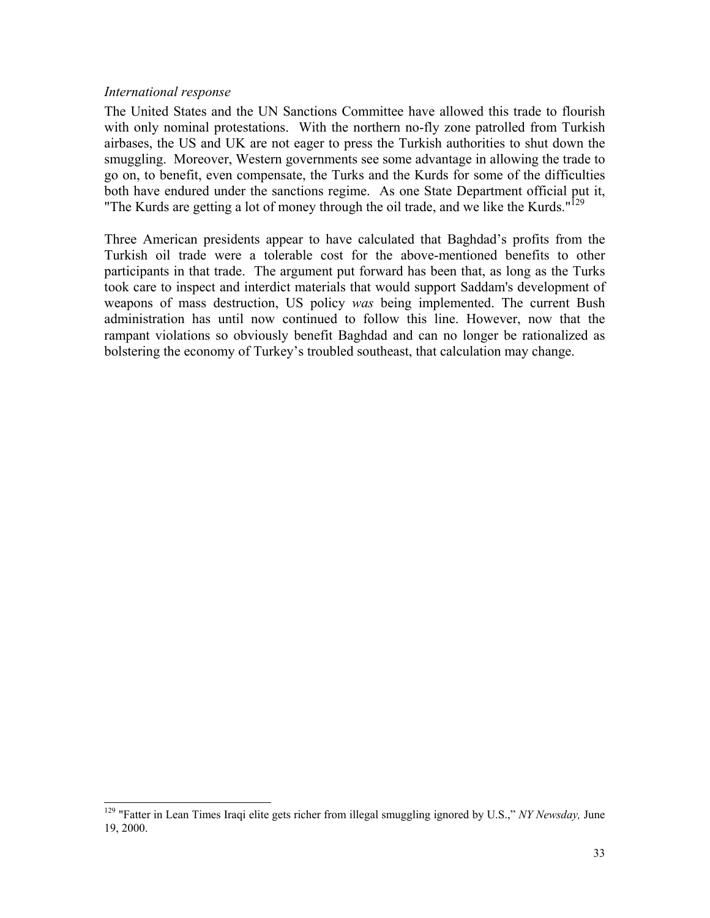### *International response*

 $\overline{a}$ 

The United States and the UN Sanctions Committee have allowed this trade to flourish with only nominal protestations. With the northern no-fly zone patrolled from Turkish airbases, the US and UK are not eager to press the Turkish authorities to shut down the smuggling. Moreover, Western governments see some advantage in allowing the trade to go on, to benefit, even compensate, the Turks and the Kurds for some of the difficulties both have endured under the sanctions regime. As one State Department official put it, "The Kurds are getting a lot of money through the oil trade, and we like the Kurds."<sup>129</sup>

Three American presidents appear to have calculated that Baghdad's profits from the Turkish oil trade were a tolerable cost for the above-mentioned benefits to other participants in that trade. The argument put forward has been that, as long as the Turks took care to inspect and interdict materials that would support Saddam's development of weapons of mass destruction, US policy *was* being implemented. The current Bush administration has until now continued to follow this line. However, now that the rampant violations so obviously benefit Baghdad and can no longer be rationalized as bolstering the economy of Turkey's troubled southeast, that calculation may change.

<sup>129 &</sup>quot;Fatter in Lean Times Iraqi elite gets richer from illegal smuggling ignored by U.S.," *NY Newsday,* June 19, 2000.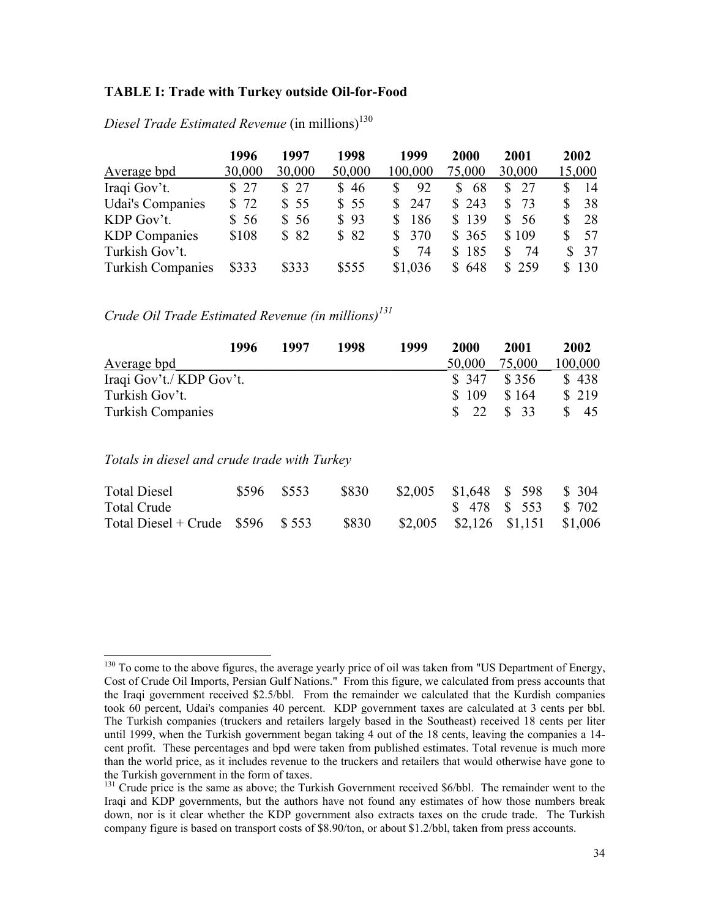#### **TABLE I: Trade with Turkey outside Oil-for-Food**

|                          | 1996   | 1997   | 1998   | 1999    | 2000   | 2001      | 2002     |
|--------------------------|--------|--------|--------|---------|--------|-----------|----------|
| Average bpd              | 30,000 | 30,000 | 50,000 | 100,000 | 75,000 | 30,000    | 15,000   |
| Iraqi Gov't.             | \$27   | \$27   | \$46   | 92      | 68     | 27        | 14       |
| <b>Udai's Companies</b>  | \$72   | \$55   | \$55   | 247     | \$243  | S.<br>-73 | 38<br>S. |
| KDP Gov't.               | \$56   | \$56   | \$93   | 186     | \$139  | \$56      | 28<br>S. |
| <b>KDP</b> Companies     | \$108  | \$82   | \$82   | 370     | \$365  | \$109     | 57       |
| Turkish Gov't.           |        |        |        | 74      | \$185  | S<br>74   | 37<br>S. |
| <b>Turkish Companies</b> | \$333  | \$333  | \$555  | \$1,036 | \$648  | \$259     | \$130    |

*Diesel Trade Estimated Revenue* (in millions)<sup>130</sup>

*Crude Oil Trade Estimated Revenue (in millions)131*

|                          | 1996 | 1997 | 1998 | 1999 | <b>2000</b>    | 2001             | 2002    |
|--------------------------|------|------|------|------|----------------|------------------|---------|
| Average bpd              |      |      |      |      | 50,000         | 75,000           | 100,000 |
| Iraqi Gov't./ KDP Gov't. |      |      |      |      | \$ 347         | \$ 356           | \$438   |
| Turkish Gov't.           |      |      |      |      | \$109          | \$164            | \$219   |
| <b>Turkish Companies</b> |      |      |      |      | $\frac{1}{22}$ | $\frac{1}{2}$ 33 | 45      |

*Totals in diesel and crude trade with Turkey*

| <b>Total Diesel</b>                    | \$596 \$553 | \$830 | $$2,005$ $$1,648$ $$598$ $$304$     |  |
|----------------------------------------|-------------|-------|-------------------------------------|--|
| Total Crude                            |             |       | \$ 478 \$ 553 \$ 702                |  |
| Total Diesel + Crude $$596 \quad $553$ |             | \$830 | $$2,005$ $$2,126$ $$1,151$ $$1,006$ |  |

 $130$  To come to the above figures, the average yearly price of oil was taken from "US Department of Energy, Cost of Crude Oil Imports, Persian Gulf Nations." From this figure, we calculated from press accounts that the Iraqi government received \$2.5/bbl. From the remainder we calculated that the Kurdish companies took 60 percent, Udai's companies 40 percent. KDP government taxes are calculated at 3 cents per bbl. The Turkish companies (truckers and retailers largely based in the Southeast) received 18 cents per liter until 1999, when the Turkish government began taking 4 out of the 18 cents, leaving the companies a 14 cent profit. These percentages and bpd were taken from published estimates. Total revenue is much more than the world price, as it includes revenue to the truckers and retailers that would otherwise have gone to the Turkish government in the form of taxes.

<sup>&</sup>lt;sup>131</sup> Crude price is the same as above; the Turkish Government received \$6/bbl. The remainder went to the Iraqi and KDP governments, but the authors have not found any estimates of how those numbers break down, nor is it clear whether the KDP government also extracts taxes on the crude trade. The Turkish company figure is based on transport costs of \$8.90/ton, or about \$1.2/bbl, taken from press accounts.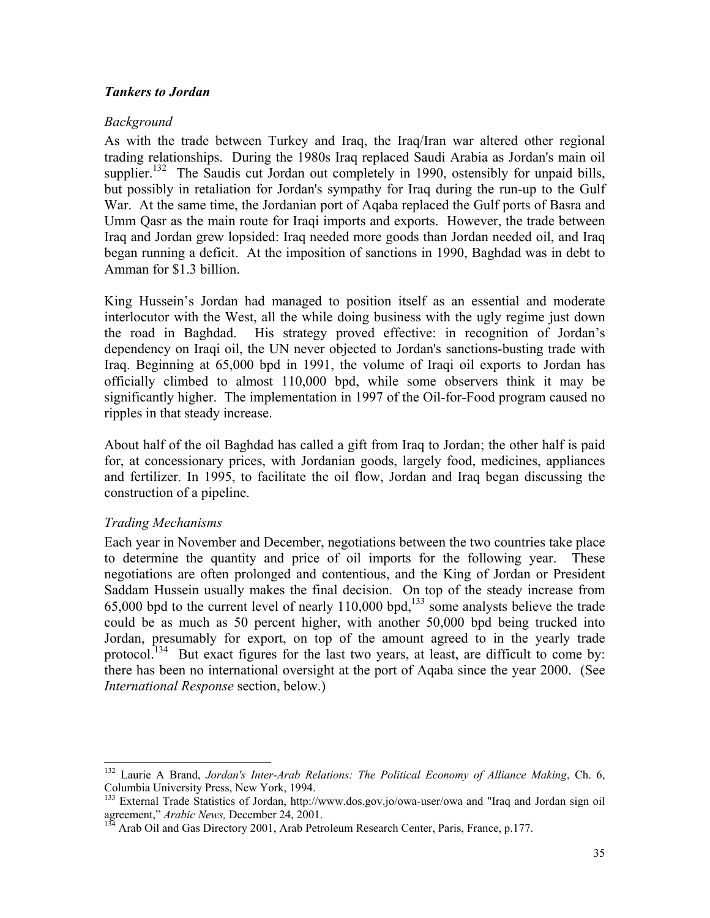### *Tankers to Jordan*

### *Background*

As with the trade between Turkey and Iraq, the Iraq/Iran war altered other regional trading relationships. During the 1980s Iraq replaced Saudi Arabia as Jordan's main oil supplier.<sup>132</sup> The Saudis cut Jordan out completely in 1990, ostensibly for unpaid bills, but possibly in retaliation for Jordan's sympathy for Iraq during the run-up to the Gulf War. At the same time, the Jordanian port of Aqaba replaced the Gulf ports of Basra and Umm Qasr as the main route for Iraqi imports and exports. However, the trade between Iraq and Jordan grew lopsided: Iraq needed more goods than Jordan needed oil, and Iraq began running a deficit. At the imposition of sanctions in 1990, Baghdad was in debt to Amman for \$1.3 billion.

King Hussein's Jordan had managed to position itself as an essential and moderate interlocutor with the West, all the while doing business with the ugly regime just down the road in Baghdad. His strategy proved effective: in recognition of Jordan's dependency on Iraqi oil, the UN never objected to Jordan's sanctions-busting trade with Iraq. Beginning at 65,000 bpd in 1991, the volume of Iraqi oil exports to Jordan has officially climbed to almost 110,000 bpd, while some observers think it may be significantly higher. The implementation in 1997 of the Oil-for-Food program caused no ripples in that steady increase.

About half of the oil Baghdad has called a gift from Iraq to Jordan; the other half is paid for, at concessionary prices, with Jordanian goods, largely food, medicines, appliances and fertilizer. In 1995, to facilitate the oil flow, Jordan and Iraq began discussing the construction of a pipeline.

## *Trading Mechanisms*

 $\overline{a}$ 

Each year in November and December, negotiations between the two countries take place to determine the quantity and price of oil imports for the following year. These negotiations are often prolonged and contentious, and the King of Jordan or President Saddam Hussein usually makes the final decision. On top of the steady increase from 65,000 bpd to the current level of nearly  $110,000$  bpd,<sup>133</sup> some analysts believe the trade could be as much as 50 percent higher, with another 50,000 bpd being trucked into Jordan, presumably for export, on top of the amount agreed to in the yearly trade protocol.<sup>134</sup> But exact figures for the last two years, at least, are difficult to come by: there has been no international oversight at the port of Aqaba since the year 2000. (See *International Response* section, below.)

<sup>132</sup> Laurie A Brand, *Jordan's Inter-Arab Relations: The Political Economy of Alliance Making*, Ch. 6, Columbia University Press, New York, 1994.

<sup>&</sup>lt;sup>133</sup> External Trade Statistics of Jordan, http://www.dos.gov.jo/owa-user/owa and "Iraq and Jordan sign oil agreement," *Arabic News*, December 24, 2001.<br><sup>134</sup> Arab Oil and Gas Directory 2001, Arab Petroleum Research Center, Paris, France, p.177.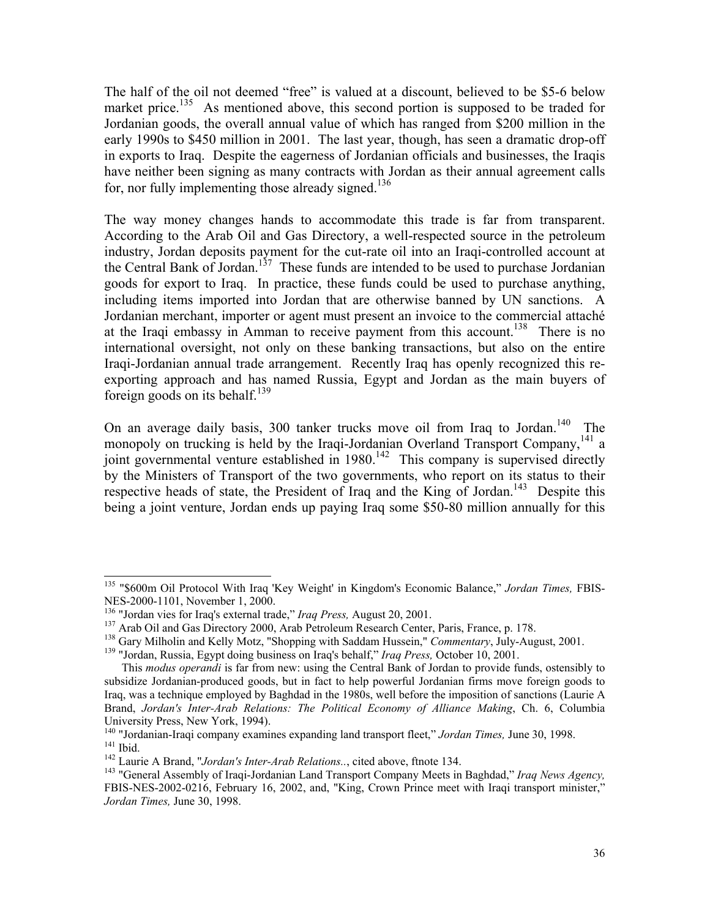The half of the oil not deemed "free" is valued at a discount, believed to be \$5-6 below market price.<sup>135</sup> As mentioned above, this second portion is supposed to be traded for Jordanian goods, the overall annual value of which has ranged from \$200 million in the early 1990s to \$450 million in 2001. The last year, though, has seen a dramatic drop-off in exports to Iraq. Despite the eagerness of Jordanian officials and businesses, the Iraqis have neither been signing as many contracts with Jordan as their annual agreement calls for, nor fully implementing those already signed.<sup>136</sup>

The way money changes hands to accommodate this trade is far from transparent. According to the Arab Oil and Gas Directory, a well-respected source in the petroleum industry, Jordan deposits payment for the cut-rate oil into an Iraqi-controlled account at the Central Bank of Jordan.<sup>137</sup> These funds are intended to be used to purchase Jordanian goods for export to Iraq. In practice, these funds could be used to purchase anything, including items imported into Jordan that are otherwise banned by UN sanctions. A Jordanian merchant, importer or agent must present an invoice to the commercial attaché at the Iraqi embassy in Amman to receive payment from this account.<sup>138</sup> There is no international oversight, not only on these banking transactions, but also on the entire Iraqi-Jordanian annual trade arrangement. Recently Iraq has openly recognized this reexporting approach and has named Russia, Egypt and Jordan as the main buyers of foreign goods on its behalf. $139$ 

On an average daily basis, 300 tanker trucks move oil from Iraq to Jordan.<sup>140</sup> The monopoly on trucking is held by the Iraqi-Jordanian Overland Transport Company,<sup>141</sup> a joint governmental venture established in 1980.<sup>142</sup> This company is supervised directly by the Ministers of Transport of the two governments, who report on its status to their respective heads of state, the President of Iraq and the King of Jordan.<sup>143</sup> Despite this being a joint venture, Jordan ends up paying Iraq some \$50-80 million annually for this

<sup>135 &</sup>quot;\$600m Oil Protocol With Iraq 'Key Weight' in Kingdom's Economic Balance," *Jordan Times,* FBIS-NES-2000-1101, November 1, 2000.<br><sup>136</sup> "Jordan vies for Iraq's external trade," *Iraq Press*, August 20, 2001.

<sup>&</sup>lt;sup>137</sup> Arab Oil and Gas Directory 2000, Arab Petroleum Research Center, Paris, France, p. 178.<br><sup>138</sup> Gary Milholin and Kelly Motz, "Shopping with Saddam Hussein," *Commentary*, July-August, 2001.<br><sup>139</sup> "Jordan, Russia, Egyp

This *modus operandi* is far from new: using the Central Bank of Jordan to provide funds, ostensibly to subsidize Jordanian-produced goods, but in fact to help powerful Jordanian firms move foreign goods to Iraq, was a technique employed by Baghdad in the 1980s, well before the imposition of sanctions (Laurie A Brand, *Jordan's Inter-Arab Relations: The Political Economy of Alliance Making*, Ch. 6, Columbia University Press, New York, 1994).<br><sup>140</sup> "Jordanian-Iraqi company examines expanding land transport fleet," *Jordan Times*, June 30, 1998.

<sup>&</sup>lt;sup>141</sup> Ibid.<br><sup>142</sup> Laurie A Brand, "Jordan's Inter-Arab Relations..., cited above, finote 134.<br><sup>143</sup> "General Assembly of Iraqi-Jordanian Land Transport Company Meets in Baghdad," *Iraq News Agency*,

FBIS-NES-2002-0216, February 16, 2002, and, "King, Crown Prince meet with Iraqi transport minister," *Jordan Times,* June 30, 1998.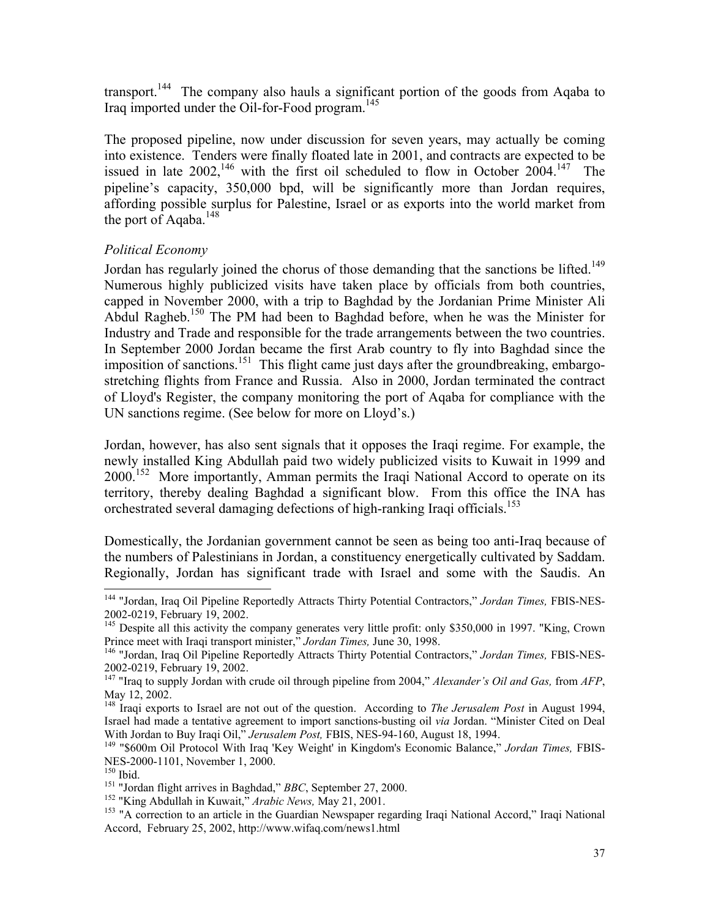transport.144 The company also hauls a significant portion of the goods from Aqaba to Iraq imported under the Oil-for-Food program.<sup>145</sup>

The proposed pipeline, now under discussion for seven years, may actually be coming into existence. Tenders were finally floated late in 2001, and contracts are expected to be issued in late  $2002$ , <sup>146</sup> with the first oil scheduled to flow in October  $2004$ .<sup>147</sup> The pipeline's capacity, 350,000 bpd, will be significantly more than Jordan requires, affording possible surplus for Palestine, Israel or as exports into the world market from the port of Aqaba. $^{148}$ 

## *Political Economy*

Jordan has regularly joined the chorus of those demanding that the sanctions be lifted.<sup>149</sup> Numerous highly publicized visits have taken place by officials from both countries, capped in November 2000, with a trip to Baghdad by the Jordanian Prime Minister Ali Abdul Ragheb.<sup>150</sup> The PM had been to Baghdad before, when he was the Minister for Industry and Trade and responsible for the trade arrangements between the two countries. In September 2000 Jordan became the first Arab country to fly into Baghdad since the imposition of sanctions.<sup>151</sup> This flight came just days after the groundbreaking, embargostretching flights from France and Russia. Also in 2000, Jordan terminated the contract of Lloyd's Register, the company monitoring the port of Aqaba for compliance with the UN sanctions regime. (See below for more on Lloyd's.)

Jordan, however, has also sent signals that it opposes the Iraqi regime. For example, the newly installed King Abdullah paid two widely publicized visits to Kuwait in 1999 and 2000.<sup>152</sup> More importantly, Amman permits the Iraqi National Accord to operate on its territory, thereby dealing Baghdad a significant blow. From this office the INA has orchestrated several damaging defections of high-ranking Iraqi officials.<sup>153</sup>

Domestically, the Jordanian government cannot be seen as being too anti-Iraq because of the numbers of Palestinians in Jordan, a constituency energetically cultivated by Saddam. Regionally, Jordan has significant trade with Israel and some with the Saudis. An

<sup>144 &</sup>quot;Jordan, Iraq Oil Pipeline Reportedly Attracts Thirty Potential Contractors," *Jordan Times,* FBIS-NES-2002-0219, February 19, 2002.

<sup>&</sup>lt;sup>145</sup> Despite all this activity the company generates very little profit: only \$350,000 in 1997. "King, Crown Prince meet with Iraqi transport minister," Jordan Times, June 30, 1998.

<sup>&</sup>lt;sup>146</sup> "Jordan, Iraq Oil Pipeline Reportedly Attracts Thirty Potential Contractors," *Jordan Times*, FBIS-NES-2002-0219, February 19, 2002.

<sup>147 &</sup>quot;Iraq to supply Jordan with crude oil through pipeline from 2004," *Alexander's Oil and Gas,* from *AFP*, May 12, 2002.

<sup>148</sup> Iraqi exports to Israel are not out of the question. According to *The Jerusalem Post* in August 1994, Israel had made a tentative agreement to import sanctions-busting oil *via* Jordan. "Minister Cited on Deal

<sup>&</sup>lt;sup>149</sup> "\$600m Oil Protocol With Iraq 'Key Weight' in Kingdom's Economic Balance," Jordan Times, FBIS-NES-2000-1101, November 1, 2000.

<sup>&</sup>lt;sup>150</sup> Ibid.<br><sup>151</sup> "Jordan flight arrives in Baghdad," *BBC*, September 27, 2000.<br><sup>152</sup> "King Abdullah in Kuwait," *Arabic News*, May 21, 2001.<br><sup>153</sup> "A correction to an article in the Guardian Newspaper regarding Iraqi Nat Accord, February 25, 2002, http://www.wifaq.com/news1.html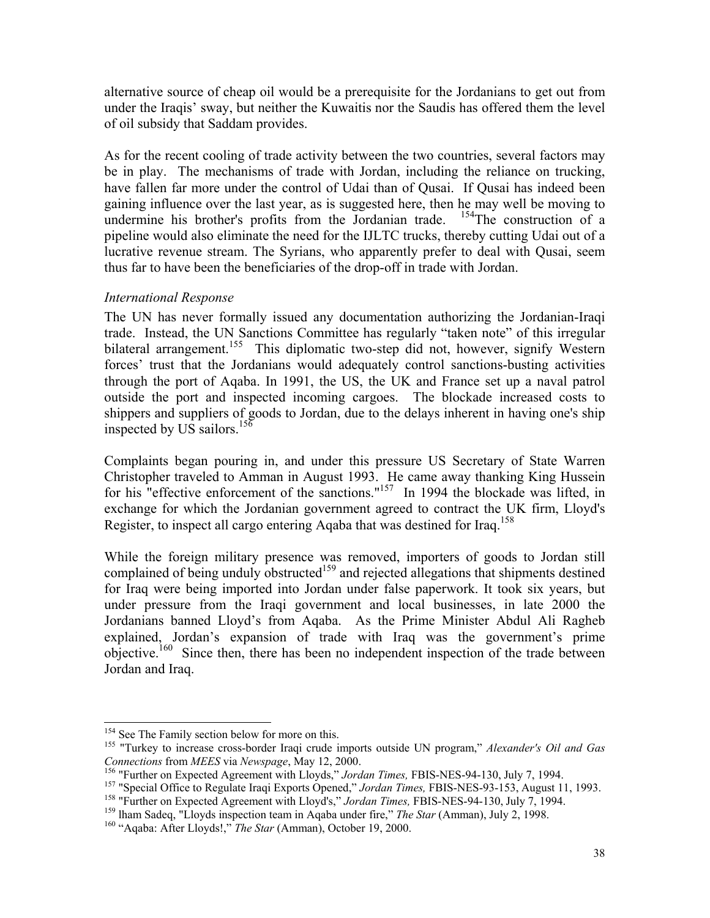alternative source of cheap oil would be a prerequisite for the Jordanians to get out from under the Iraqis' sway, but neither the Kuwaitis nor the Saudis has offered them the level of oil subsidy that Saddam provides.

As for the recent cooling of trade activity between the two countries, several factors may be in play. The mechanisms of trade with Jordan, including the reliance on trucking, have fallen far more under the control of Udai than of Qusai. If Qusai has indeed been gaining influence over the last year, as is suggested here, then he may well be moving to undermine his brother's profits from the Jordanian trade.  $154$ The construction of a pipeline would also eliminate the need for the IJLTC trucks, thereby cutting Udai out of a lucrative revenue stream. The Syrians, who apparently prefer to deal with Qusai, seem thus far to have been the beneficiaries of the drop-off in trade with Jordan.

## *International Response*

The UN has never formally issued any documentation authorizing the Jordanian-Iraqi trade. Instead, the UN Sanctions Committee has regularly "taken note" of this irregular bilateral arrangement.<sup>155</sup> This diplomatic two-step did not, however, signify Western forces' trust that the Jordanians would adequately control sanctions-busting activities through the port of Aqaba. In 1991, the US, the UK and France set up a naval patrol outside the port and inspected incoming cargoes. The blockade increased costs to shippers and suppliers of goods to Jordan, due to the delays inherent in having one's ship inspected by US sailors.<sup>156</sup>

Complaints began pouring in, and under this pressure US Secretary of State Warren Christopher traveled to Amman in August 1993. He came away thanking King Hussein for his "effective enforcement of the sanctions."<sup>157</sup> In 1994 the blockade was lifted, in exchange for which the Jordanian government agreed to contract the UK firm, Lloyd's Register, to inspect all cargo entering Aqaba that was destined for Iraq.<sup>158</sup>

While the foreign military presence was removed, importers of goods to Jordan still complained of being unduly obstructed<sup>159</sup> and rejected allegations that shipments destined for Iraq were being imported into Jordan under false paperwork. It took six years, but under pressure from the Iraqi government and local businesses, in late 2000 the Jordanians banned Lloyd's from Aqaba. As the Prime Minister Abdul Ali Ragheb explained, Jordan's expansion of trade with Iraq was the government's prime objective.160 Since then, there has been no independent inspection of the trade between Jordan and Iraq.

<sup>&</sup>lt;sup>154</sup> See The Family section below for more on this.

<sup>&</sup>lt;sup>155</sup> "Turkey to increase cross-border Iraqi crude imports outside UN program," Alexander's Oil and Gas

Connections from MEES via Newspage, May 12, 2000.<br><sup>156</sup> "Further on Expected Agreement with Lloyds," Jordan Times, FBIS-NES-94-130, July 7, 1994.<br><sup>157</sup> "Special Office to Regulate Iraqi Exports Opened," Jordan Times, FBIS-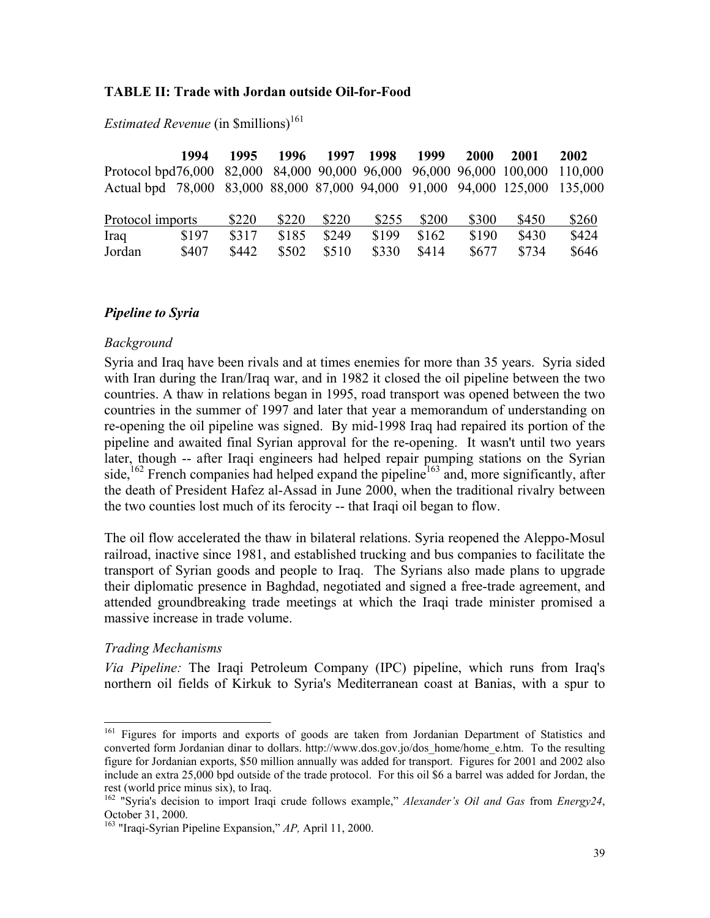#### **TABLE II: Trade with Jordan outside Oil-for-Food**

|                                                                             | 1994  | 1995  | 1996  | 1997  | 1998  | 1999  | 2000  | 2001  | 2002    |
|-----------------------------------------------------------------------------|-------|-------|-------|-------|-------|-------|-------|-------|---------|
| Protocol bpd76,000 82,000 84,000 90,000 96,000 96,000 96,000 100,000        |       |       |       |       |       |       |       |       | 110,000 |
| Actual bpd 78,000 83,000 88,000 87,000 94,000 91,000 94,000 125,000 135,000 |       |       |       |       |       |       |       |       |         |
|                                                                             |       |       |       |       |       |       |       |       |         |
| Protocol imports                                                            |       | \$220 | \$220 | \$220 | \$255 | \$200 | \$300 | \$450 | \$260   |
| Iraq                                                                        | \$197 | \$317 | \$185 | \$249 | \$199 | \$162 | \$190 | \$430 | \$424   |
| Jordan                                                                      | \$407 | \$442 | \$502 | \$510 | \$330 | \$414 | \$677 | \$734 | \$646   |

*Estimated Revenue* (in \$millions)<sup>161</sup>

#### *Pipeline to Syria*

#### *Background*

Syria and Iraq have been rivals and at times enemies for more than 35 years. Syria sided with Iran during the Iran/Iraq war, and in 1982 it closed the oil pipeline between the two countries. A thaw in relations began in 1995, road transport was opened between the two countries in the summer of 1997 and later that year a memorandum of understanding on re-opening the oil pipeline was signed. By mid-1998 Iraq had repaired its portion of the pipeline and awaited final Syrian approval for the re-opening. It wasn't until two years later, though -- after Iraqi engineers had helped repair pumping stations on the Syrian side,<sup>162</sup> French companies had helped expand the pipeline<sup>163</sup> and, more significantly, after the death of President Hafez al-Assad in June 2000, when the traditional rivalry between the two counties lost much of its ferocity -- that Iraqi oil began to flow.

The oil flow accelerated the thaw in bilateral relations. Syria reopened the Aleppo-Mosul railroad, inactive since 1981, and established trucking and bus companies to facilitate the transport of Syrian goods and people to Iraq. The Syrians also made plans to upgrade their diplomatic presence in Baghdad, negotiated and signed a free-trade agreement, and attended groundbreaking trade meetings at which the Iraqi trade minister promised a massive increase in trade volume.

#### *Trading Mechanisms*

 $\overline{a}$ 

*Via Pipeline:* The Iraqi Petroleum Company (IPC) pipeline, which runs from Iraq's northern oil fields of Kirkuk to Syria's Mediterranean coast at Banias, with a spur to

<sup>&</sup>lt;sup>161</sup> Figures for imports and exports of goods are taken from Jordanian Department of Statistics and converted form Jordanian dinar to dollars. http://www.dos.gov.jo/dos\_home/home\_e.htm. To the resulting figure for Jordanian exports, \$50 million annually was added for transport. Figures for 2001 and 2002 also include an extra 25,000 bpd outside of the trade protocol. For this oil \$6 a barrel was added for Jordan, the rest (world price minus six), to Iraq.

<sup>162 &</sup>quot;Syria's decision to import Iraqi crude follows example," *Alexander's Oil and Gas* from *Energy24*, October 31, 2000.

<sup>163 &</sup>quot;Iraqi-Syrian Pipeline Expansion," *AP,* April 11, 2000.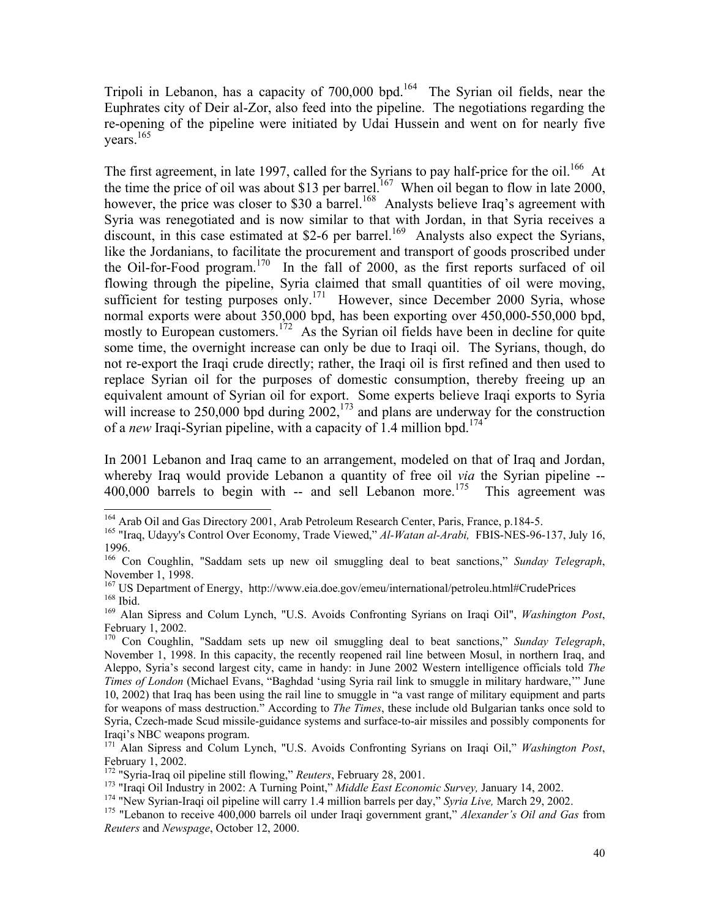Tripoli in Lebanon, has a capacity of 700,000 bpd.164 The Syrian oil fields, near the Euphrates city of Deir al-Zor, also feed into the pipeline. The negotiations regarding the re-opening of the pipeline were initiated by Udai Hussein and went on for nearly five vears. $165$ 

The first agreement, in late 1997, called for the Syrians to pay half-price for the oil.<sup>166</sup> At the time the price of oil was about \$13 per barrel.<sup>167</sup> When oil began to flow in late 2000, however, the price was closer to \$30 a barrel.<sup>168</sup> Analysts believe Iraq's agreement with Syria was renegotiated and is now similar to that with Jordan, in that Syria receives a discount, in this case estimated at \$2-6 per barrel.<sup>169</sup> Analysts also expect the Syrians, like the Jordanians, to facilitate the procurement and transport of goods proscribed under the Oil-for-Food program.170 In the fall of 2000, as the first reports surfaced of oil flowing through the pipeline, Syria claimed that small quantities of oil were moving, sufficient for testing purposes only.<sup>171</sup> However, since December 2000 Syria, whose normal exports were about 350,000 bpd, has been exporting over 450,000-550,000 bpd, mostly to European customers.<sup>172</sup> As the Syrian oil fields have been in decline for quite some time, the overnight increase can only be due to Iraqi oil. The Syrians, though, do not re-export the Iraqi crude directly; rather, the Iraqi oil is first refined and then used to replace Syrian oil for the purposes of domestic consumption, thereby freeing up an equivalent amount of Syrian oil for export. Some experts believe Iraqi exports to Syria will increase to  $250,000$  bpd during  $2002$ ,  $^{173}$  and plans are underway for the construction of a *new* Iraqi-Syrian pipeline, with a capacity of 1.4 million bpd.<sup>174</sup>

In 2001 Lebanon and Iraq came to an arrangement, modeled on that of Iraq and Jordan, whereby Iraq would provide Lebanon a quantity of free oil *via* the Syrian pipeline --  $400,000$  barrels to begin with -- and sell Lebanon more.<sup>175</sup> This agreement was

<sup>&</sup>lt;sup>164</sup> Arab Oil and Gas Directory 2001, Arab Petroleum Research Center, Paris, France, p.184-5.

<sup>&</sup>lt;sup>165</sup> "Iraq, Udayy's Control Over Economy, Trade Viewed," *Al-Watan al-Arabi*, FBIS-NES-96-137, July 16, 1996.

<sup>166</sup> Con Coughlin, "Saddam sets up new oil smuggling deal to beat sanctions," *Sunday Telegraph*, November 1, 1998.<br><sup>167</sup> US Department of Energy, http://www.eia.doe.gov/emeu/international/petroleu.html#CrudePrices

<sup>168</sup> Ibid.<br><sup>169</sup> Alan Sipress and Colum Lynch, "U.S. Avoids Confronting Syrians on Iraqi Oil", *Washington Post*,

February 1, 2002.

<sup>170</sup> Con Coughlin, "Saddam sets up new oil smuggling deal to beat sanctions," *Sunday Telegraph*, November 1, 1998. In this capacity, the recently reopened rail line between Mosul, in northern Iraq, and Aleppo, Syria's second largest city, came in handy: in June 2002 Western intelligence officials told *The Times of London* (Michael Evans, "Baghdad 'using Syria rail link to smuggle in military hardware,'" June 10, 2002) that Iraq has been using the rail line to smuggle in "a vast range of military equipment and parts for weapons of mass destruction." According to *The Times*, these include old Bulgarian tanks once sold to Syria, Czech-made Scud missile-guidance systems and surface-to-air missiles and possibly components for Iraqi's NBC weapons program.

<sup>171</sup> Alan Sipress and Colum Lynch, "U.S. Avoids Confronting Syrians on Iraqi Oil," *Washington Post*, February 1, 2002.

<sup>&</sup>lt;sup>172</sup> "Syria-Iraq oil pipeline still flowing," *Reuters*, February 28, 2001.<br><sup>173</sup> "Iraqi Oil Industry in 2002: A Turning Point," *Middle East Economic Survey*, January 14, 2002.<br><sup>174</sup> "New Syrian-Iraqi oil pipeline will *Reuters* and *Newspage*, October 12, 2000.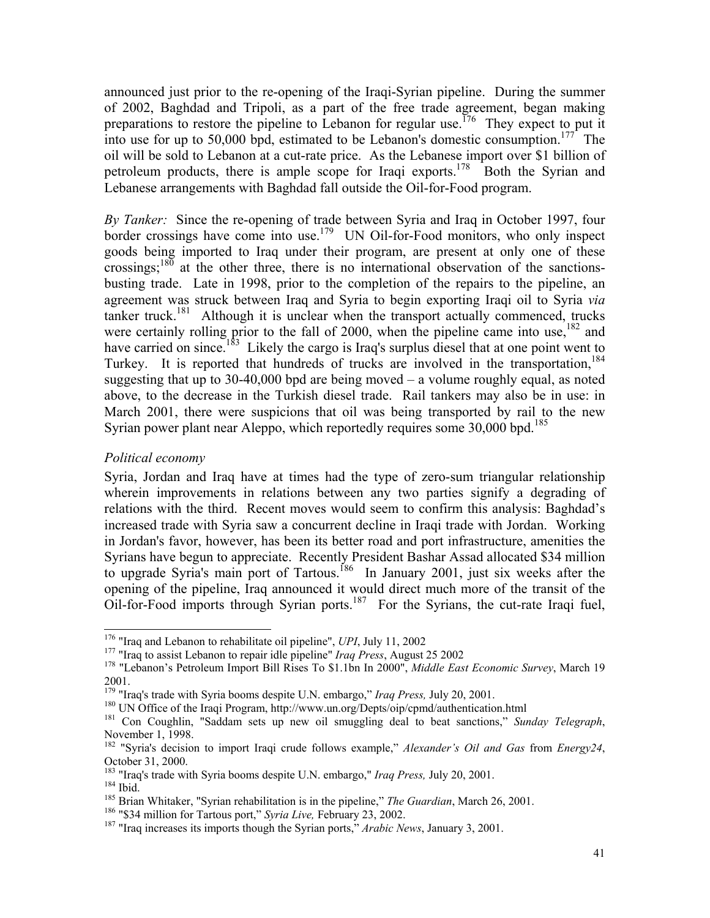announced just prior to the re-opening of the Iraqi-Syrian pipeline. During the summer of 2002, Baghdad and Tripoli, as a part of the free trade agreement, began making preparations to restore the pipeline to Lebanon for regular use.<sup>176</sup> They expect to put it into use for up to 50,000 bpd, estimated to be Lebanon's domestic consumption.<sup>177</sup> The oil will be sold to Lebanon at a cut-rate price. As the Lebanese import over \$1 billion of petroleum products, there is ample scope for Iraqi exports.<sup>178</sup> Both the Syrian and Lebanese arrangements with Baghdad fall outside the Oil-for-Food program.

*By Tanker:* Since the re-opening of trade between Syria and Iraq in October 1997, four border crossings have come into use.<sup>179</sup> UN Oil-for-Food monitors, who only inspect goods being imported to Iraq under their program, are present at only one of these crossings; $^{180}$  at the other three, there is no international observation of the sanctionsbusting trade. Late in 1998, prior to the completion of the repairs to the pipeline, an agreement was struck between Iraq and Syria to begin exporting Iraqi oil to Syria *via* tanker truck.<sup>181</sup> Although it is unclear when the transport actually commenced, trucks were certainly rolling prior to the fall of 2000, when the pipeline came into use,<sup>182</sup> and have carried on since.<sup>183</sup> Likely the cargo is Iraq's surplus diesel that at one point went to Turkey. It is reported that hundreds of trucks are involved in the transportation.<sup>184</sup> suggesting that up to 30-40,000 bpd are being moved  $-$  a volume roughly equal, as noted above, to the decrease in the Turkish diesel trade. Rail tankers may also be in use: in March 2001, there were suspicions that oil was being transported by rail to the new Syrian power plant near Aleppo, which reportedly requires some  $30,000$  bpd.<sup>185</sup>

## *Political economy*

Syria, Jordan and Iraq have at times had the type of zero-sum triangular relationship wherein improvements in relations between any two parties signify a degrading of relations with the third. Recent moves would seem to confirm this analysis: Baghdad's increased trade with Syria saw a concurrent decline in Iraqi trade with Jordan. Working in Jordan's favor, however, has been its better road and port infrastructure, amenities the Syrians have begun to appreciate. Recently President Bashar Assad allocated \$34 million to upgrade Syria's main port of Tartous.<sup>186</sup> In January 2001, just six weeks after the opening of the pipeline, Iraq announced it would direct much more of the transit of the Oil-for-Food imports through Syrian ports. $187$  For the Syrians, the cut-rate Iraqi fuel,

 $176$  "Iraq and Lebanon to rehabilitate oil pipeline", UPI, July 11, 2002

<sup>&</sup>lt;sup>177</sup> "Iraq to assist Lebanon to repair idle pipeline" *Iraq Press*, August 25 2002<br><sup>178</sup> "Lebanon's Petroleum Import Bill Rises To \$1.1bn In 2000", *Middle East Economic Survey*, March 19 2001.<br><sup>179</sup> "Iraq's trade with Syria booms despite U.N. embargo," *Iraq Press*, July 20, 2001.

<sup>&</sup>lt;sup>180</sup> UN Office of the Iraqi Program, http://www.un.org/Depts/oip/cpmd/authentication.html<br><sup>181</sup> Con Coughlin, "Saddam sets up new oil smuggling deal to beat sanctions," Sunday Telegraph, November 1, 1998.

<sup>182 &</sup>quot;Syria's decision to import Iraqi crude follows example," *Alexander's Oil and Gas* from *Energy24*, October 31, 2000.<br><sup>183</sup> "Iraq's trade with Syria booms despite U.N. embargo," *Iraq Press*, July 20, 2001.

<sup>&</sup>lt;sup>184</sup> Ibid.<br><sup>185</sup> Brian Whitaker, "Syrian rehabilitation is in the pipeline," *The Guardian*, March 26, 2001.<br><sup>186</sup> "\$34 million for Tartous port," *Syria Live*, February 23, 2002.<br><sup>187</sup> "Iraq increases its imports though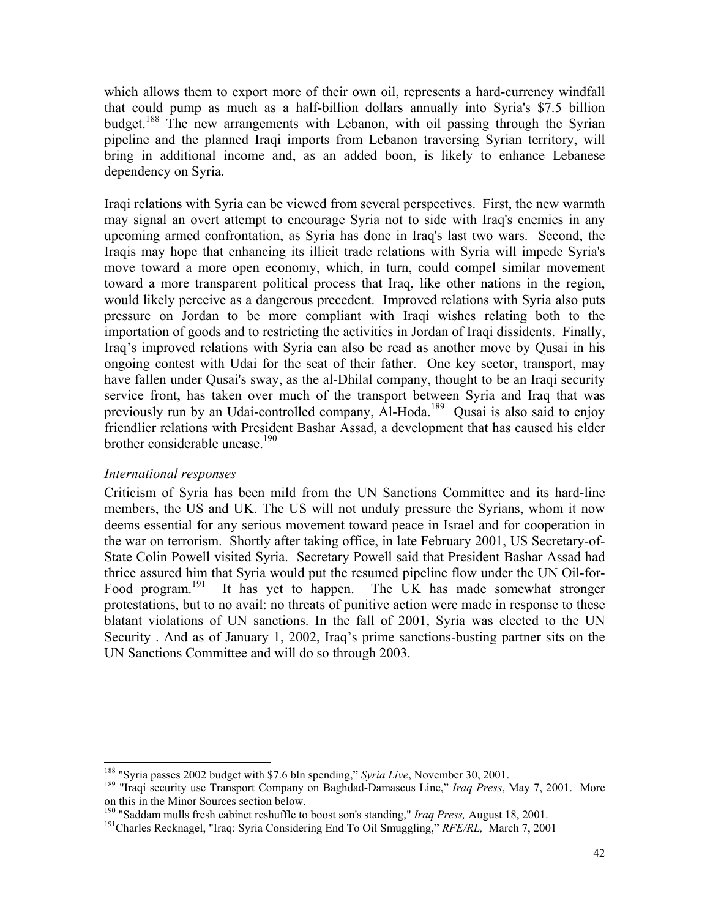which allows them to export more of their own oil, represents a hard-currency windfall that could pump as much as a half-billion dollars annually into Syria's \$7.5 billion budget.<sup>188</sup> The new arrangements with Lebanon, with oil passing through the Syrian pipeline and the planned Iraqi imports from Lebanon traversing Syrian territory, will bring in additional income and, as an added boon, is likely to enhance Lebanese dependency on Syria.

Iraqi relations with Syria can be viewed from several perspectives. First, the new warmth may signal an overt attempt to encourage Syria not to side with Iraq's enemies in any upcoming armed confrontation, as Syria has done in Iraq's last two wars. Second, the Iraqis may hope that enhancing its illicit trade relations with Syria will impede Syria's move toward a more open economy, which, in turn, could compel similar movement toward a more transparent political process that Iraq, like other nations in the region, would likely perceive as a dangerous precedent. Improved relations with Syria also puts pressure on Jordan to be more compliant with Iraqi wishes relating both to the importation of goods and to restricting the activities in Jordan of Iraqi dissidents. Finally, Iraq's improved relations with Syria can also be read as another move by Qusai in his ongoing contest with Udai for the seat of their father. One key sector, transport, may have fallen under Qusai's sway, as the al-Dhilal company, thought to be an Iraqi security service front, has taken over much of the transport between Syria and Iraq that was previously run by an Udai-controlled company, Al-Hoda.189Qusai is also said to enjoy friendlier relations with President Bashar Assad, a development that has caused his elder brother considerable unease.<sup>190</sup>

## *International responses*

Criticism of Syria has been mild from the UN Sanctions Committee and its hard-line members, the US and UK. The US will not unduly pressure the Syrians, whom it now deems essential for any serious movement toward peace in Israel and for cooperation in the war on terrorism. Shortly after taking office, in late February 2001, US Secretary-of-State Colin Powell visited Syria. Secretary Powell said that President Bashar Assad had thrice assured him that Syria would put the resumed pipeline flow under the UN Oil-for-Food program.<sup>191</sup> It has yet to happen. The UK has made somewhat stronger protestations, but to no avail: no threats of punitive action were made in response to these blatant violations of UN sanctions. In the fall of 2001, Syria was elected to the UN Security . And as of January 1, 2002, Iraq's prime sanctions-busting partner sits on the UN Sanctions Committee and will do so through 2003.

<sup>&</sup>lt;sup>188</sup> "Syria passes 2002 budget with \$7.6 bln spending," Syria Live, November 30, 2001.

<sup>&</sup>lt;sup>189</sup> "Iraqi security use Transport Company on Baghdad-Damascus Line," *Iraq Press*, May 7, 2001. More on this in the Minor Sources section below.

<sup>&</sup>lt;sup>190</sup> "Saddam mulls fresh cabinet reshuffle to boost son's standing," *Iraq Press*, August 18, 2001.<br><sup>191</sup>Charles Recknagel, "Iraq: Syria Considering End To Oil Smuggling," *RFE/RL*, March 7, 2001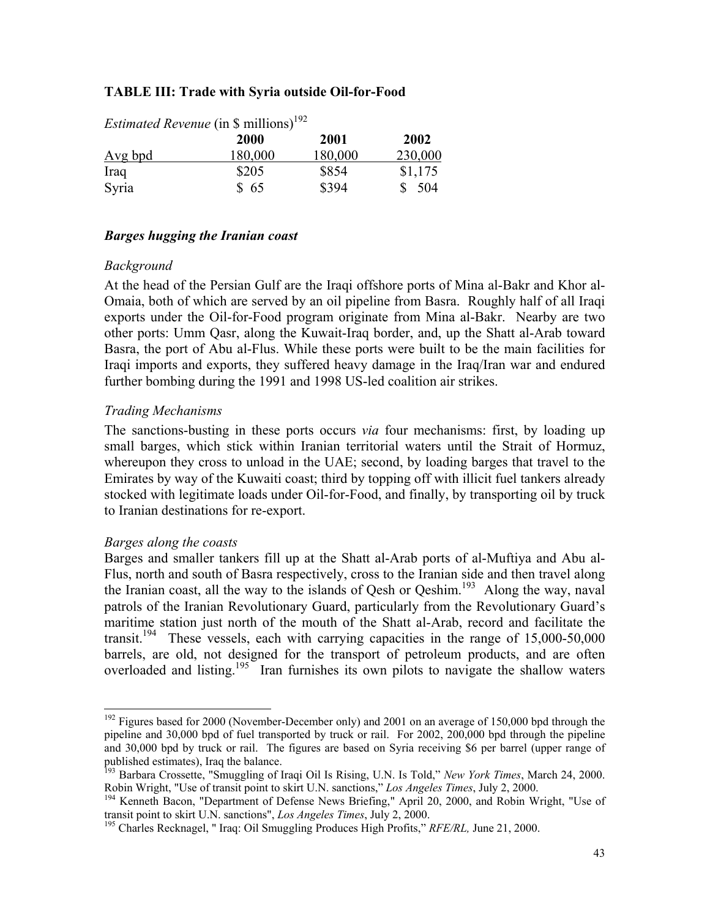### **TABLE III: Trade with Syria outside Oil-for-Food**

| <i>Estimated Revenue</i> (in \$ millions) <sup>192</sup> |             |         |         |  |  |  |  |  |
|----------------------------------------------------------|-------------|---------|---------|--|--|--|--|--|
|                                                          | <b>2000</b> | 2001    | 2002    |  |  |  |  |  |
| <u>Avg bpd</u>                                           | 180,000     | 180,000 | 230,000 |  |  |  |  |  |
| Iraq                                                     | \$205       | \$854   | \$1,175 |  |  |  |  |  |
| Syria                                                    | \$65        | \$394   | - 504   |  |  |  |  |  |

*Estimated Revenue* (in \$ millions)<sup>192</sup>

## *Barges hugging the Iranian coast*

#### *Background*

At the head of the Persian Gulf are the Iraqi offshore ports of Mina al-Bakr and Khor al-Omaia, both of which are served by an oil pipeline from Basra. Roughly half of all Iraqi exports under the Oil-for-Food program originate from Mina al-Bakr. Nearby are two other ports: Umm Qasr, along the Kuwait-Iraq border, and, up the Shatt al-Arab toward Basra, the port of Abu al-Flus. While these ports were built to be the main facilities for Iraqi imports and exports, they suffered heavy damage in the Iraq/Iran war and endured further bombing during the 1991 and 1998 US-led coalition air strikes.

## *Trading Mechanisms*

The sanctions-busting in these ports occurs *via* four mechanisms: first, by loading up small barges, which stick within Iranian territorial waters until the Strait of Hormuz, whereupon they cross to unload in the UAE; second, by loading barges that travel to the Emirates by way of the Kuwaiti coast; third by topping off with illicit fuel tankers already stocked with legitimate loads under Oil-for-Food, and finally, by transporting oil by truck to Iranian destinations for re-export.

## *Barges along the coasts*

l

Barges and smaller tankers fill up at the Shatt al-Arab ports of al-Muftiya and Abu al-Flus, north and south of Basra respectively, cross to the Iranian side and then travel along the Iranian coast, all the way to the islands of Qesh or Qeshim.<sup>193</sup> Along the way, naval patrols of the Iranian Revolutionary Guard, particularly from the Revolutionary Guard's maritime station just north of the mouth of the Shatt al-Arab, record and facilitate the transit.<sup>194</sup> These vessels, each with carrying capacities in the range of  $15,000-50,000$ barrels, are old, not designed for the transport of petroleum products, and are often overloaded and listing.<sup>195</sup> Iran furnishes its own pilots to navigate the shallow waters

 $192$  Figures based for 2000 (November-December only) and 2001 on an average of 150,000 bpd through the pipeline and 30,000 bpd of fuel transported by truck or rail. For 2002, 200,000 bpd through the pipeline and 30,000 bpd by truck or rail. The figures are based on Syria receiving \$6 per barrel (upper range of published estimates), Iraq the balance.

<sup>&</sup>lt;sup>193</sup> Barbara Crossette, "Smuggling of Iraqi Oil Is Rising, U.N. Is Told," *New York Times*, March 24, 2000.<br>Robin Wright, "Use of transit point to skirt U.N. sanctions," *Los Angeles Times*, July 2, 2000.

<sup>&</sup>lt;sup>194</sup> Kenneth Bacon, "Department of Defense News Briefing," April 20, 2000, and Robin Wright, "Use of transit point to skirt U.N. sanctions", *Los Angeles Times*, July 2, 2000.<br><sup>195</sup> Charles Recknagel, " Iraq: Oil Smuggling Produces High Profits," *RFE/RL*, June 21, 2000.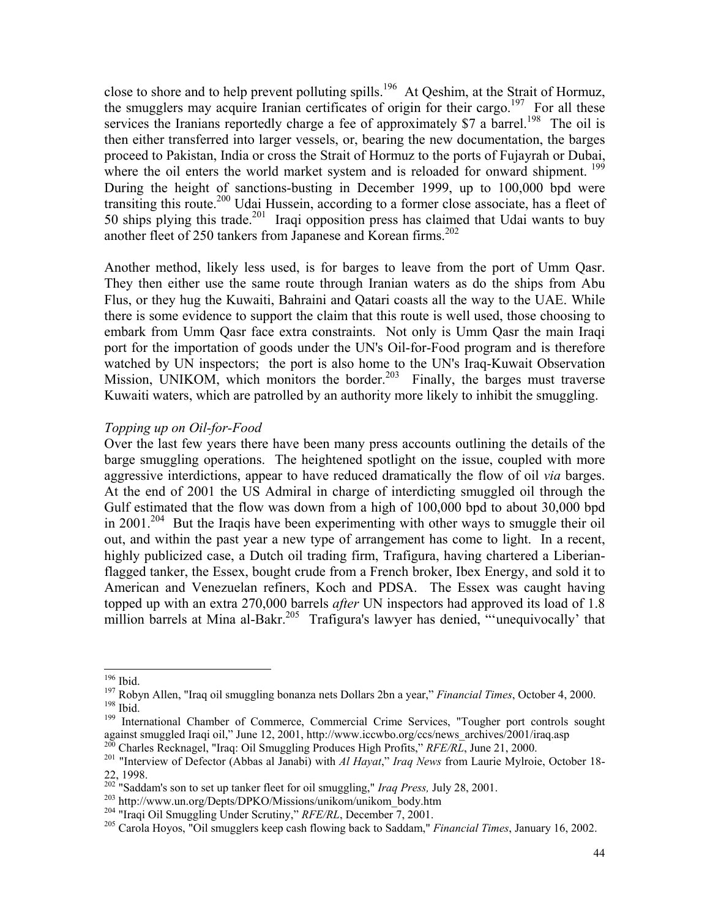close to shore and to help prevent polluting spills.<sup>196</sup> At Qeshim, at the Strait of Hormuz, the smugglers may acquire Iranian certificates of origin for their cargo.<sup>197</sup> For all these services the Iranians reportedly charge a fee of approximately \$7 a barrel.<sup>198</sup> The oil is then either transferred into larger vessels, or, bearing the new documentation, the barges proceed to Pakistan, India or cross the Strait of Hormuz to the ports of Fujayrah or Dubai, where the oil enters the world market system and is reloaded for onward shipment.<sup>199</sup> During the height of sanctions-busting in December 1999, up to 100,000 bpd were transiting this route.200 Udai Hussein, according to a former close associate, has a fleet of 50 ships plying this trade.<sup>201</sup> Iraqi opposition press has claimed that Udai wants to buy another fleet of 250 tankers from Japanese and Korean firms.<sup>202</sup>

Another method, likely less used, is for barges to leave from the port of Umm Qasr. They then either use the same route through Iranian waters as do the ships from Abu Flus, or they hug the Kuwaiti, Bahraini and Qatari coasts all the way to the UAE. While there is some evidence to support the claim that this route is well used, those choosing to embark from Umm Qasr face extra constraints. Not only is Umm Qasr the main Iraqi port for the importation of goods under the UN's Oil-for-Food program and is therefore watched by UN inspectors; the port is also home to the UN's Iraq-Kuwait Observation Mission, UNIKOM, which monitors the border.<sup>203</sup> Finally, the barges must traverse Kuwaiti waters, which are patrolled by an authority more likely to inhibit the smuggling.

#### *Topping up on Oil-for-Food*

Over the last few years there have been many press accounts outlining the details of the barge smuggling operations. The heightened spotlight on the issue, coupled with more aggressive interdictions, appear to have reduced dramatically the flow of oil *via* barges. At the end of 2001 the US Admiral in charge of interdicting smuggled oil through the Gulf estimated that the flow was down from a high of 100,000 bpd to about 30,000 bpd in 2001.<sup>204</sup> But the Iraqis have been experimenting with other ways to smuggle their oil out, and within the past year a new type of arrangement has come to light. In a recent, highly publicized case, a Dutch oil trading firm, Trafigura, having chartered a Liberianflagged tanker, the Essex, bought crude from a French broker, Ibex Energy, and sold it to American and Venezuelan refiners, Koch and PDSA. The Essex was caught having topped up with an extra 270,000 barrels *after* UN inspectors had approved its load of 1.8 million barrels at Mina al-Bakr.<sup>205</sup> Trafigura's lawyer has denied, "unequivocally' that

 $196$  Ibid.

<sup>&</sup>lt;sup>197</sup> Robyn Allen, "Iraq oil smuggling bonanza nets Dollars 2bn a year," *Financial Times*, October 4, 2000.<br><sup>198</sup> Ibid.<br><sup>199</sup> International Chamber of Commerce, Commercial Crime Services, "Tougher port controls sought

against smuggled Iraqi oil," June 12, 2001, http://www.iccwbo.org/ccs/news\_archives/2001/iraq.asp<br><sup>200</sup> Charles Recknagel, "Iraq: Oil Smuggling Produces High Profits," *RFE/RL*, June 21, 2000.<br><sup>201</sup> "Interview of Defector

<sup>22, 1998.&</sup>lt;br><sup>202</sup> "Saddam's son to set up tanker fleet for oil smuggling," *Iraq Press*, July 28, 2001.

<sup>&</sup>lt;sup>203</sup> http://www.un.org/Depts/DPKO/Missions/unikom/unikom\_body.htm<br><sup>204</sup> "Iraqi Oil Smuggling Under Scrutiny," *RFE/RL*, December 7, 2001.<br><sup>205</sup> Carola Hoyos, "Oil smugglers keep cash flowing back to Saddam," *Financial Ti*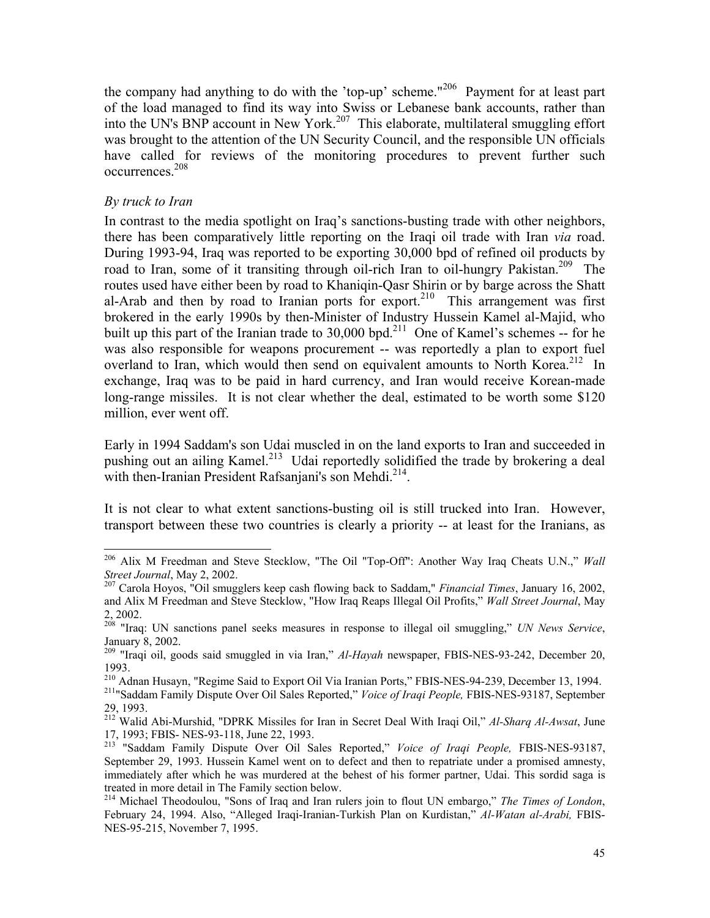the company had anything to do with the 'top-up' scheme."206 Payment for at least part of the load managed to find its way into Swiss or Lebanese bank accounts, rather than into the UN's BNP account in New York.<sup>207</sup> This elaborate, multilateral smuggling effort was brought to the attention of the UN Security Council, and the responsible UN officials have called for reviews of the monitoring procedures to prevent further such occurrences.208

## *By truck to Iran*

 $\overline{a}$ 

In contrast to the media spotlight on Iraq's sanctions-busting trade with other neighbors, there has been comparatively little reporting on the Iraqi oil trade with Iran *via* road. During 1993-94, Iraq was reported to be exporting 30,000 bpd of refined oil products by road to Iran, some of it transiting through oil-rich Iran to oil-hungry Pakistan.<sup>209</sup> The routes used have either been by road to Khaniqin-Qasr Shirin or by barge across the Shatt al-Arab and then by road to Iranian ports for export.<sup>210</sup> This arrangement was first brokered in the early 1990s by then-Minister of Industry Hussein Kamel al-Majid, who built up this part of the Iranian trade to 30,000 bpd.<sup>211</sup> One of Kamel's schemes -- for he was also responsible for weapons procurement -- was reportedly a plan to export fuel overland to Iran, which would then send on equivalent amounts to North Korea.<sup>212</sup> In exchange, Iraq was to be paid in hard currency, and Iran would receive Korean-made long-range missiles. It is not clear whether the deal, estimated to be worth some \$120 million, ever went off.

Early in 1994 Saddam's son Udai muscled in on the land exports to Iran and succeeded in pushing out an ailing Kamel.<sup>213</sup> Udai reportedly solidified the trade by brokering a deal with then-Iranian President Rafsanjani's son Mehdi.<sup>214</sup>.

It is not clear to what extent sanctions-busting oil is still trucked into Iran. However, transport between these two countries is clearly a priority -- at least for the Iranians, as

<sup>206</sup> Alix M Freedman and Steve Stecklow, "The Oil "Top-Off": Another Way Iraq Cheats U.N.," *Wall Street Journal*, May 2, 2002. 207 Carola Hoyos, "Oil smugglers keep cash flowing back to Saddam," *Financial Times*, January 16, 2002,

and Alix M Freedman and Steve Stecklow, "How Iraq Reaps Illegal Oil Profits," *Wall Street Journal*, May 2, 2002.

<sup>208 &</sup>quot;Iraq: UN sanctions panel seeks measures in response to illegal oil smuggling," *UN News Service*, January 8, 2002.

<sup>209 &</sup>quot;Iraqi oil, goods said smuggled in via Iran," *Al-Hayah* newspaper, FBIS-NES-93-242, December 20, 1993.

<sup>210</sup> Adnan Husayn, "Regime Said to Export Oil Via Iranian Ports," FBIS-NES-94-239, December 13, 1994.<br><sup>211</sup>"Saddam Family Dispute Over Oil Sales Reported," *Voice of Iraqi People,* FBIS-NES-93187, September 29, 1993.

<sup>212</sup> Walid Abi-Murshid, "DPRK Missiles for Iran in Secret Deal With Iraqi Oil," *Al-Sharq Al-Awsat*, June 17, 1993; FBIS- NES-93-118, June 22, 1993.

<sup>213 &</sup>quot;Saddam Family Dispute Over Oil Sales Reported," *Voice of Iraqi People,* FBIS-NES-93187, September 29, 1993. Hussein Kamel went on to defect and then to repatriate under a promised amnesty, immediately after which he was murdered at the behest of his former partner, Udai. This sordid saga is treated in more detail in The Family section below.

<sup>214</sup> Michael Theodoulou, "Sons of Iraq and Iran rulers join to flout UN embargo," *The Times of London*, February 24, 1994. Also, "Alleged Iraqi-Iranian-Turkish Plan on Kurdistan," *Al-Watan al-Arabi,* FBIS-NES-95-215, November 7, 1995.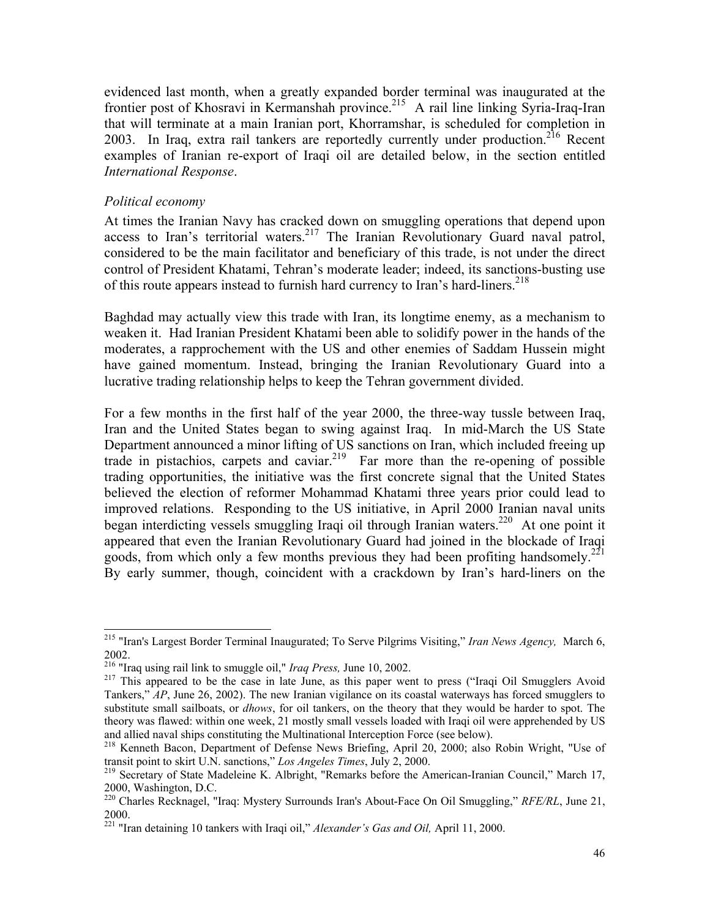evidenced last month, when a greatly expanded border terminal was inaugurated at the frontier post of Khosravi in Kermanshah province.<sup>215</sup> A rail line linking Syria-Iraq-Iran that will terminate at a main Iranian port, Khorramshar, is scheduled for completion in 2003. In Iraq, extra rail tankers are reportedly currently under production.<sup>216</sup> Recent examples of Iranian re-export of Iraqi oil are detailed below, in the section entitled *International Response*.

### *Political economy*

 $\overline{a}$ 

At times the Iranian Navy has cracked down on smuggling operations that depend upon access to Iran's territorial waters.<sup>217</sup> The Iranian Revolutionary Guard naval patrol, considered to be the main facilitator and beneficiary of this trade, is not under the direct control of President Khatami, Tehran's moderate leader; indeed, its sanctions-busting use of this route appears instead to furnish hard currency to Iran's hard-liners.<sup>218</sup>

Baghdad may actually view this trade with Iran, its longtime enemy, as a mechanism to weaken it. Had Iranian President Khatami been able to solidify power in the hands of the moderates, a rapprochement with the US and other enemies of Saddam Hussein might have gained momentum. Instead, bringing the Iranian Revolutionary Guard into a lucrative trading relationship helps to keep the Tehran government divided.

For a few months in the first half of the year 2000, the three-way tussle between Iraq, Iran and the United States began to swing against Iraq. In mid-March the US State Department announced a minor lifting of US sanctions on Iran, which included freeing up trade in pistachios, carpets and caviar.<sup>219</sup> Far more than the re-opening of possible trading opportunities, the initiative was the first concrete signal that the United States believed the election of reformer Mohammad Khatami three years prior could lead to improved relations. Responding to the US initiative, in April 2000 Iranian naval units began interdicting vessels smuggling Iraqi oil through Iranian waters.<sup>220</sup> At one point it appeared that even the Iranian Revolutionary Guard had joined in the blockade of Iraqi goods, from which only a few months previous they had been profiting handsomely.<sup>221</sup> By early summer, though, coincident with a crackdown by Iran's hard-liners on the

<sup>215 &</sup>quot;Iran's Largest Border Terminal Inaugurated; To Serve Pilgrims Visiting," *Iran News Agency,* March 6,

<sup>2002.&</sup>lt;br><sup>216</sup> "Iraq using rail link to smuggle oil," *Iraq Press*, June 10, 2002.

<sup>&</sup>lt;sup>217</sup> This appeared to be the case in late June, as this paper went to press ("Iraqi Oil Smugglers Avoid Tankers," *AP*, June 26, 2002). The new Iranian vigilance on its coastal waterways has forced smugglers to substitute small sailboats, or *dhows*, for oil tankers, on the theory that they would be harder to spot. The theory was flawed: within one week, 21 mostly small vessels loaded with Iraqi oil were apprehended by US and allied naval ships constituting the Multinational Interception Force (see below).

<sup>&</sup>lt;sup>218</sup> Kenneth Bacon, Department of Defense News Briefing, April 20, 2000; also Robin Wright, "Use of transit point to skirt U.N. sanctions," *Los Angeles Times*, July 2, 2000.<br><sup>219</sup> Secretary of State Madeleine K. Albright, "Remarks before the American-Iranian Council," March 17,

<sup>2000,</sup> Washington, D.C.

<sup>220</sup> Charles Recknagel, "Iraq: Mystery Surrounds Iran's About-Face On Oil Smuggling," *RFE/RL*, June 21, 2000.

<sup>221 &</sup>quot;Iran detaining 10 tankers with Iraqi oil," *Alexander's Gas and Oil,* April 11, 2000.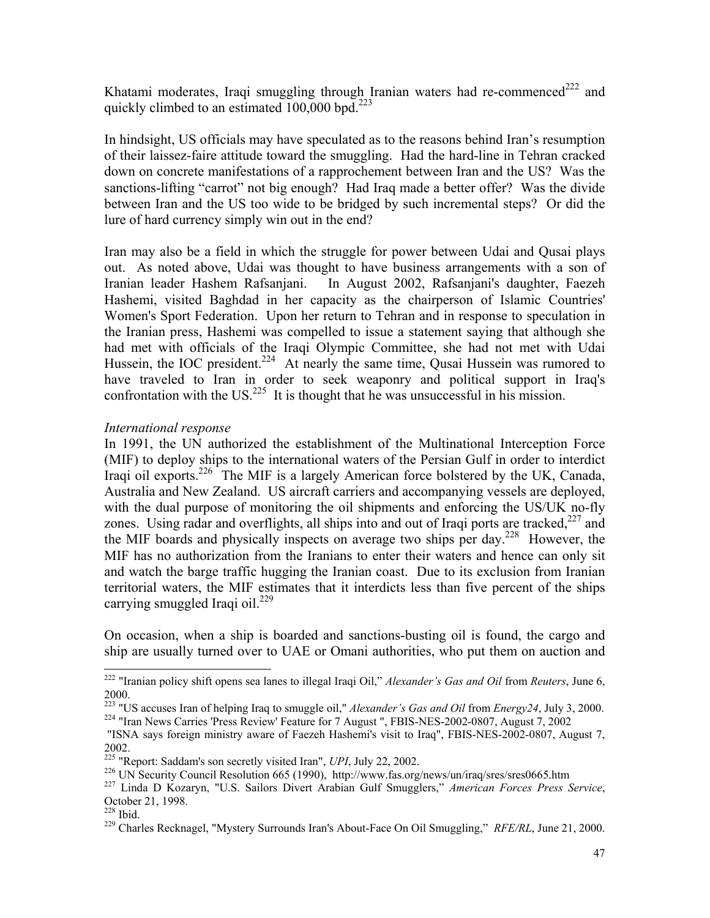Khatami moderates, Iraqi smuggling through Iranian waters had re-commenced<sup>222</sup> and quickly climbed to an estimated  $100,000$  bpd.<sup>223</sup>

In hindsight, US officials may have speculated as to the reasons behind Iran's resumption of their laissez-faire attitude toward the smuggling. Had the hard-line in Tehran cracked down on concrete manifestations of a rapprochement between Iran and the US? Was the sanctions-lifting "carrot" not big enough? Had Iraq made a better offer? Was the divide between Iran and the US too wide to be bridged by such incremental steps? Or did the lure of hard currency simply win out in the end?

Iran may also be a field in which the struggle for power between Udai and Qusai plays out. As noted above, Udai was thought to have business arrangements with a son of Iranian leader Hashem Rafsanjani. In August 2002, Rafsanjani's daughter, Faezeh Hashemi, visited Baghdad in her capacity as the chairperson of Islamic Countries' Women's Sport Federation. Upon her return to Tehran and in response to speculation in the Iranian press, Hashemi was compelled to issue a statement saying that although she had met with officials of the Iraqi Olympic Committee, she had not met with Udai Hussein, the IOC president.<sup>224</sup> At nearly the same time, Qusai Hussein was rumored to have traveled to Iran in order to seek weaponry and political support in Iraq's confrontation with the US.<sup>225</sup> It is thought that he was unsuccessful in his mission.

## *International response*

In 1991, the UN authorized the establishment of the Multinational Interception Force (MIF) to deploy ships to the international waters of the Persian Gulf in order to interdict Iraqi oil exports.<sup>226</sup> The MIF is a largely American force bolstered by the UK, Canada, Australia and New Zealand. US aircraft carriers and accompanying vessels are deployed, with the dual purpose of monitoring the oil shipments and enforcing the US/UK no-fly zones. Using radar and overflights, all ships into and out of Iraqi ports are tracked,  $227$  and the MIF boards and physically inspects on average two ships per day.<sup>228</sup> However, the MIF has no authorization from the Iranians to enter their waters and hence can only sit and watch the barge traffic hugging the Iranian coast. Due to its exclusion from Iranian territorial waters, the MIF estimates that it interdicts less than five percent of the ships carrying smuggled Iraqi oil. $^{229}$ 

On occasion, when a ship is boarded and sanctions-busting oil is found, the cargo and ship are usually turned over to UAE or Omani authorities, who put them on auction and

<sup>222 &</sup>quot;Iranian policy shift opens sea lanes to illegal Iraqi Oil," *Alexander's Gas and Oil* from *Reuters*, June 6, 2000.

<sup>&</sup>lt;sup>223</sup> "US accuses Iran of helping Iraq to smuggle oil," *Alexander's Gas and Oil* from *Energy24*, July 3, 2000.<br><sup>224</sup> "Iran News Carries 'Press Review' Feature for 7 August ", FBIS-NES-2002-0807, August 7, 2002

 <sup>&</sup>quot;ISNA says foreign ministry aware of Faezeh Hashemi's visit to Iraq", FBIS-NES-2002-0807, August 7, 2002.<br><sup>225</sup> "Report: Saddam's son secretly visited Iran", *UPI*, July 22, 2002.

<sup>&</sup>lt;sup>226</sup> UN Security Council Resolution 665 (1990), http://www.fas.org/news/un/iraq/sres/sres0665.htm<br><sup>227</sup> Linda D Kozaryn, "U.S. Sailors Divert Arabian Gulf Smugglers," American Forces Press Service,

October 21, 1998.<br><sup>228</sup> Ibid.

<sup>&</sup>lt;sup>229</sup> Charles Recknagel, "Mystery Surrounds Iran's About-Face On Oil Smuggling," *RFE/RL*, June 21, 2000.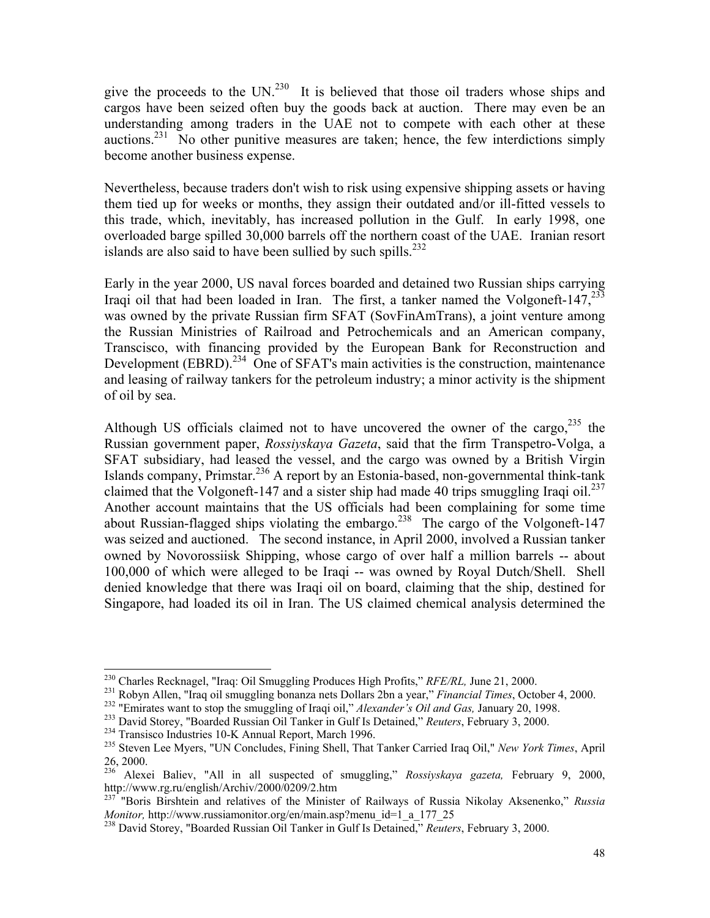give the proceeds to the UN.<sup>230</sup> It is believed that those oil traders whose ships and cargos have been seized often buy the goods back at auction. There may even be an understanding among traders in the UAE not to compete with each other at these auctions.<sup>231</sup> No other punitive measures are taken; hence, the few interdictions simply become another business expense.

Nevertheless, because traders don't wish to risk using expensive shipping assets or having them tied up for weeks or months, they assign their outdated and/or ill-fitted vessels to this trade, which, inevitably, has increased pollution in the Gulf. In early 1998, one overloaded barge spilled 30,000 barrels off the northern coast of the UAE. Iranian resort islands are also said to have been sullied by such spills. $^{232}$ 

Early in the year 2000, US naval forces boarded and detained two Russian ships carrying Iraqi oil that had been loaded in Iran. The first, a tanker named the Volgoneft-147,  $^{233}$ was owned by the private Russian firm SFAT (SovFinAmTrans), a joint venture among the Russian Ministries of Railroad and Petrochemicals and an American company, Transcisco, with financing provided by the European Bank for Reconstruction and Development (EBRD).<sup>234</sup> One of SFAT's main activities is the construction, maintenance and leasing of railway tankers for the petroleum industry; a minor activity is the shipment of oil by sea.

Although US officials claimed not to have uncovered the owner of the cargo,  $235$  the Russian government paper, *Rossiyskaya Gazeta*, said that the firm Transpetro-Volga, a SFAT subsidiary, had leased the vessel, and the cargo was owned by a British Virgin Islands company, Primstar.<sup>236</sup> A report by an Estonia-based, non-governmental think-tank claimed that the Volgoneft-147 and a sister ship had made 40 trips smuggling Iraqi oil.<sup>237</sup> Another account maintains that the US officials had been complaining for some time about Russian-flagged ships violating the embargo.<sup>238</sup> The cargo of the Volgoneft-147 was seized and auctioned. The second instance, in April 2000, involved a Russian tanker owned by Novorossiisk Shipping, whose cargo of over half a million barrels -- about 100,000 of which were alleged to be Iraqi -- was owned by Royal Dutch/Shell. Shell denied knowledge that there was Iraqi oil on board, claiming that the ship, destined for Singapore, had loaded its oil in Iran. The US claimed chemical analysis determined the

<sup>&</sup>lt;sup>230</sup> Charles Recknagel, "Iraq: Oil Smuggling Produces High Profits," *RFE/RL*, June 21, 2000.

<sup>&</sup>lt;sup>231</sup> Robyn Allen, "Iraq oil smuggling bonanza nets Dollars 2bn a year," *Financial Times*, October 4, 2000.<br><sup>232</sup> "Emirates want to stop the smuggling of Iraqi oil," *Alexander's Oil and Gas*, January 20, 1998.<br><sup>233</sup> Dav

<sup>26, 2000.</sup>

<sup>&</sup>lt;sup>236</sup> Alexei Baliev, "All in all suspected of smuggling," *Rossiyskaya gazeta*, February 9, 2000, http://www.rg.ru/english/Archiv/2000/0209/2.htm

<sup>&</sup>lt;sup>237</sup> "Boris Birshtein and relatives of the Minister of Railways of Russia Nikolay Aksenenko," *Russia Monitor,* http://www.russiamonitor.org/en/main.asp?menu\_id=1\_a\_177\_25<br><sup>238</sup> David Storey, "Boarded Russian Oil Tanker in Gulf Is Detained," *Reuters*, February 3, 2000.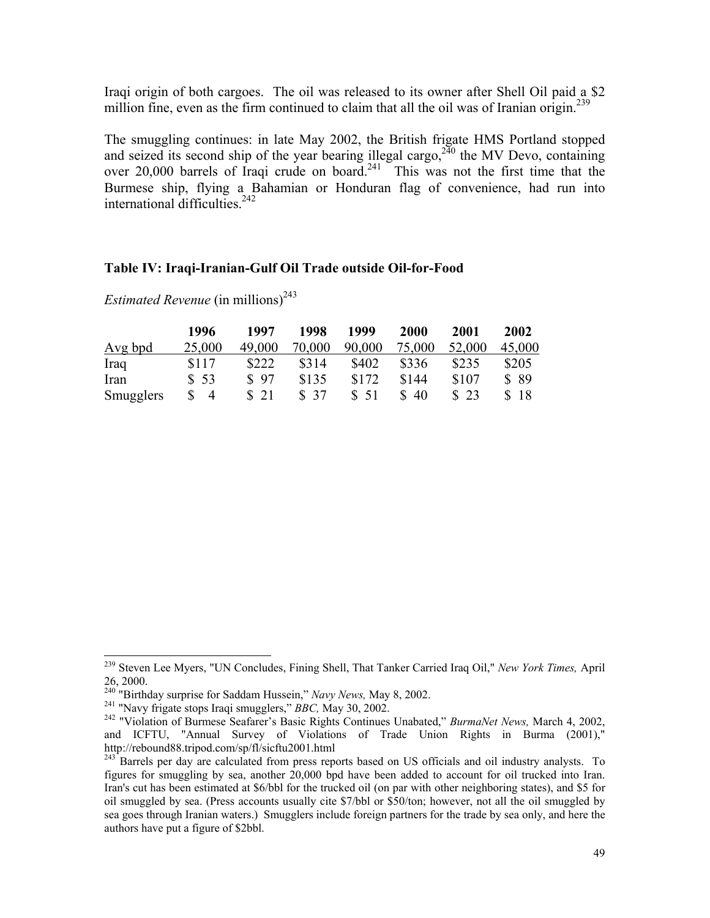Iraqi origin of both cargoes. The oil was released to its owner after Shell Oil paid a \$2 million fine, even as the firm continued to claim that all the oil was of Iranian origin.<sup>239</sup>

The smuggling continues: in late May 2002, the British frigate HMS Portland stopped and seized its second ship of the year bearing illegal cargo,  $2^{40}$  the MV Devo, containing over 20,000 barrels of Iraqi crude on board.<sup>241</sup> This was not the first time that the Burmese ship, flying a Bahamian or Honduran flag of convenience, had run into international difficulties.<sup>242</sup>

## **Table IV: Iraqi-Iranian-Gulf Oil Trade outside Oil-for-Food**

|           | 1996           | 1997   | 1998   | 1999   | 2000   | 2001   | 2002   |
|-----------|----------------|--------|--------|--------|--------|--------|--------|
| Avg bpd   | 25,000         | 49,000 | 70,000 | 90,000 | 75,000 | 52,000 | 45,000 |
| Iraq      | \$117          | \$222  | \$314  | \$402  | \$336  | \$235  | \$205  |
| Iran      | \$53           | \$97   | \$135  | \$172  | \$144  | \$107  | \$ 89  |
| Smugglers | $\overline{4}$ | \$21   | \$37   | \$51   | 40     | \$23   | \$18   |

*Estimated Revenue* (in millions)<sup>243</sup>

<sup>239</sup> Steven Lee Myers, "UN Concludes, Fining Shell, That Tanker Carried Iraq Oil," *New York Times,* April 26, 2000.<br><sup>240</sup> "Birthday surprise for Saddam Hussein," Navy News, May 8, 2002.

<sup>&</sup>lt;sup>241</sup> "Navy frigate stops Iraqi smugglers," BBC, May 30, 2002.<br><sup>242</sup> "Violation of Burmese Seafarer's Basic Rights Continues Unabated," BurmaNet News, March 4, 2002, and ICFTU, "Annual Survey of Violations of Trade Union Rights in Burma (2001)," http://rebound88.tripod.com/sp/fl/sicftu2001.html

 $^{243}$  Barrels per day are calculated from press reports based on US officials and oil industry analysts. To figures for smuggling by sea, another 20,000 bpd have been added to account for oil trucked into Iran. Iran's cut has been estimated at \$6/bbl for the trucked oil (on par with other neighboring states), and \$5 for oil smuggled by sea. (Press accounts usually cite \$7/bbl or \$50/ton; however, not all the oil smuggled by sea goes through Iranian waters.) Smugglers include foreign partners for the trade by sea only, and here the authors have put a figure of \$2bbl.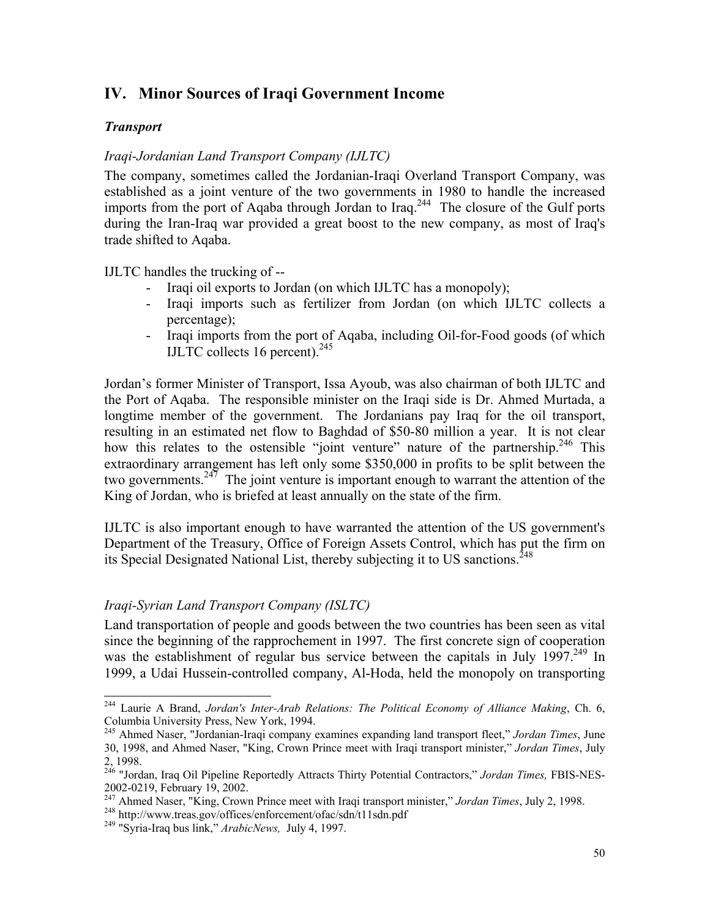## **IV. Minor Sources of Iraqi Government Income**

## *Transport*

 $\overline{a}$ 

## *Iraqi-Jordanian Land Transport Company (IJLTC)*

The company, sometimes called the Jordanian-Iraqi Overland Transport Company, was established as a joint venture of the two governments in 1980 to handle the increased imports from the port of Aqaba through Jordan to Iraq.<sup>244</sup> The closure of the Gulf ports during the Iran-Iraq war provided a great boost to the new company, as most of Iraq's trade shifted to Aqaba.

IJLTC handles the trucking of --

- Iraqi oil exports to Jordan (on which IJLTC has a monopoly);
- Iraqi imports such as fertilizer from Jordan (on which IJLTC collects a percentage);
- Iraqi imports from the port of Aqaba, including Oil-for-Food goods (of which IJLTC collects 16 percent).<sup>245</sup>

Jordan's former Minister of Transport, Issa Ayoub, was also chairman of both IJLTC and the Port of Aqaba. The responsible minister on the Iraqi side is Dr. Ahmed Murtada, a longtime member of the government. The Jordanians pay Iraq for the oil transport, resulting in an estimated net flow to Baghdad of \$50-80 million a year. It is not clear how this relates to the ostensible "joint venture" nature of the partnership.<sup>246</sup> This extraordinary arrangement has left only some \$350,000 in profits to be split between the two governments.<sup>247</sup> The joint venture is important enough to warrant the attention of the King of Jordan, who is briefed at least annually on the state of the firm.

IJLTC is also important enough to have warranted the attention of the US government's Department of the Treasury, Office of Foreign Assets Control, which has put the firm on its Special Designated National List, thereby subjecting it to US sanctions.<sup>248</sup>

## *Iraqi-Syrian Land Transport Company (ISLTC)*

Land transportation of people and goods between the two countries has been seen as vital since the beginning of the rapprochement in 1997. The first concrete sign of cooperation was the establishment of regular bus service between the capitals in July 1997.<sup>249</sup> In 1999, a Udai Hussein-controlled company, Al-Hoda, held the monopoly on transporting

<sup>244</sup> Laurie A Brand, *Jordan's Inter-Arab Relations: The Political Economy of Alliance Making*, Ch. 6, Columbia University Press, New York, 1994.

<sup>245</sup> Ahmed Naser, "Jordanian-Iraqi company examines expanding land transport fleet," *Jordan Times*, June 30, 1998, and Ahmed Naser, "King, Crown Prince meet with Iraqi transport minister," *Jordan Times*, July 2, 1998.

<sup>246 &</sup>quot;Jordan, Iraq Oil Pipeline Reportedly Attracts Thirty Potential Contractors," *Jordan Times,* FBIS-NES-2002-0219, February 19, 2002.

<sup>&</sup>lt;sup>247</sup> Ahmed Naser, "King, Crown Prince meet with Iraqi transport minister," Jordan Times, July 2, 1998.<br><sup>248</sup> http://www.treas.gov/offices/enforcement/ofac/sdn/t11sdn.pdf<br><sup>249</sup> "Syria-Iraq bus link," *ArabicNews*, July 4,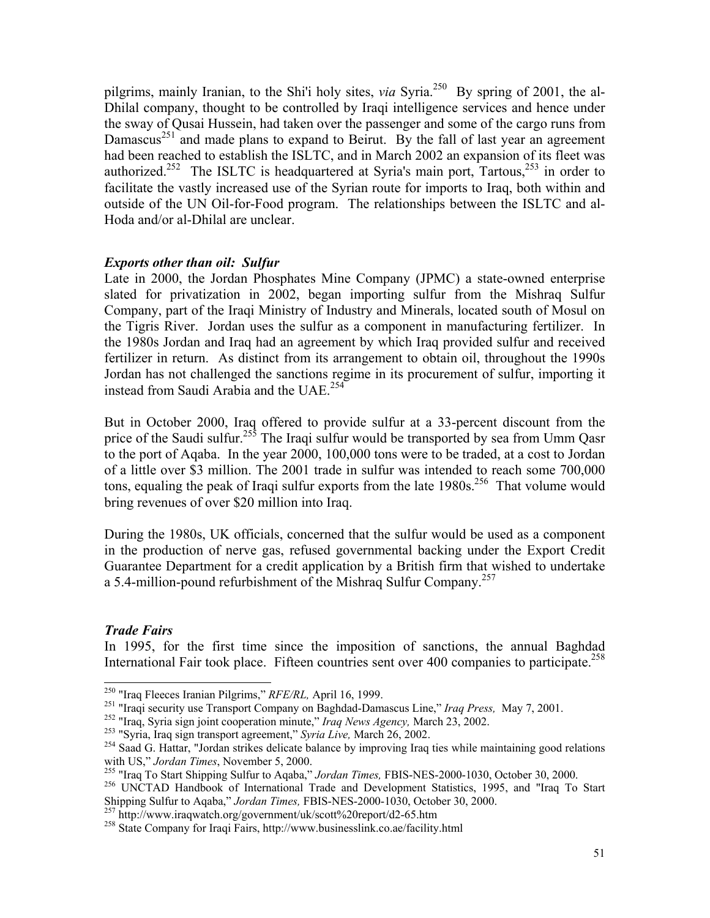pilgrims, mainly Iranian, to the Shi'i holy sites, *via* Syria.<sup>250</sup> By spring of 2001, the al-Dhilal company, thought to be controlled by Iraqi intelligence services and hence under the sway of Qusai Hussein, had taken over the passenger and some of the cargo runs from Damascus<sup>251</sup> and made plans to expand to Beirut. By the fall of last year an agreement had been reached to establish the ISLTC, and in March 2002 an expansion of its fleet was authorized.<sup>252</sup> The ISLTC is headquartered at Syria's main port, Tartous,<sup>253</sup> in order to facilitate the vastly increased use of the Syrian route for imports to Iraq, both within and outside of the UN Oil-for-Food program. The relationships between the ISLTC and al-Hoda and/or al-Dhilal are unclear.

## *Exports other than oil: Sulfur*

Late in 2000, the Jordan Phosphates Mine Company (JPMC) a state-owned enterprise slated for privatization in 2002, began importing sulfur from the Mishraq Sulfur Company, part of the Iraqi Ministry of Industry and Minerals, located south of Mosul on the Tigris River. Jordan uses the sulfur as a component in manufacturing fertilizer. In the 1980s Jordan and Iraq had an agreement by which Iraq provided sulfur and received fertilizer in return. As distinct from its arrangement to obtain oil, throughout the 1990s Jordan has not challenged the sanctions regime in its procurement of sulfur, importing it instead from Saudi Arabia and the UAE.<sup>254</sup>

But in October 2000, Iraq offered to provide sulfur at a 33-percent discount from the price of the Saudi sulfur.<sup>255</sup> The Iraqi sulfur would be transported by sea from Umm Qasr to the port of Aqaba. In the year 2000, 100,000 tons were to be traded, at a cost to Jordan of a little over \$3 million. The 2001 trade in sulfur was intended to reach some 700,000 tons, equaling the peak of Iraqi sulfur exports from the late  $1980s$ <sup>256</sup>. That volume would bring revenues of over \$20 million into Iraq.

During the 1980s, UK officials, concerned that the sulfur would be used as a component in the production of nerve gas, refused governmental backing under the Export Credit Guarantee Department for a credit application by a British firm that wished to undertake a 5.4-million-pound refurbishment of the Mishraq Sulfur Company.<sup>257</sup>

## *Trade Fairs*

In 1995, for the first time since the imposition of sanctions, the annual Baghdad International Fair took place. Fifteen countries sent over 400 companies to participate.<sup>258</sup>

<sup>&</sup>lt;sup>250</sup> "Iraq Fleeces Iranian Pilgrims," RFE/RL, April 16, 1999.

<sup>&</sup>lt;sup>251</sup> "Iraqi security use Transport Company on Baghdad-Damascus Line," *Iraq Press*, May 7, 2001.<br><sup>252</sup> "Iraq, Syria sign joint cooperation minute," *Iraq News Agency*, March 23, 2002.<br><sup>253</sup> "Syria, Iraq sign transport ag

<sup>&</sup>lt;sup>255</sup> "Iraq To Start Shipping Sulfur to Aqaba," *Jordan Times*, FBIS-NES-2000-1030, October 30, 2000.<br><sup>256</sup> UNCTAD Handbook of International Trade and Development Statistics, 1995, and "Iraq To Start Shipping Sulfur to Aqa

<sup>257</sup> http://www.iraqwatch.org/government/uk/scott%20report/d2-65.htm<br>258 State Company for Iraqi Fairs, http://www.businesslink.co.ae/facility.html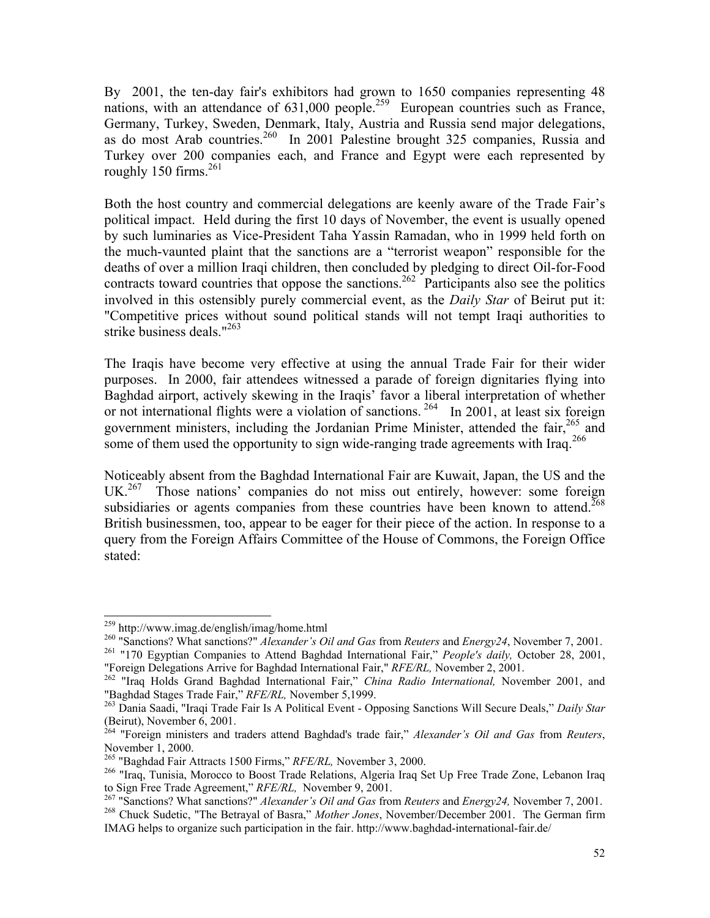By 2001, the ten-day fair's exhibitors had grown to 1650 companies representing 48 nations, with an attendance of 631,000 people.<sup>259</sup> European countries such as France, Germany, Turkey, Sweden, Denmark, Italy, Austria and Russia send major delegations, as do most Arab countries.<sup>260</sup> In 2001 Palestine brought 325 companies, Russia and Turkey over 200 companies each, and France and Egypt were each represented by roughly 150 firms.<sup>261</sup>

Both the host country and commercial delegations are keenly aware of the Trade Fair's political impact. Held during the first 10 days of November, the event is usually opened by such luminaries as Vice-President Taha Yassin Ramadan, who in 1999 held forth on the much-vaunted plaint that the sanctions are a "terrorist weapon" responsible for the deaths of over a million Iraqi children, then concluded by pledging to direct Oil-for-Food contracts toward countries that oppose the sanctions.<sup>262</sup> Participants also see the politics involved in this ostensibly purely commercial event, as the *Daily Star* of Beirut put it: "Competitive prices without sound political stands will not tempt Iraqi authorities to strike business deals."263

The Iraqis have become very effective at using the annual Trade Fair for their wider purposes. In 2000, fair attendees witnessed a parade of foreign dignitaries flying into Baghdad airport, actively skewing in the Iraqis' favor a liberal interpretation of whether or not international flights were a violation of sanctions.<sup>264</sup> In 2001, at least six foreign government ministers, including the Jordanian Prime Minister, attended the fair,<sup>265</sup> and some of them used the opportunity to sign wide-ranging trade agreements with Iraq.<sup>266</sup>

Noticeably absent from the Baghdad International Fair are Kuwait, Japan, the US and the UK.<sup>267</sup> Those nations' companies do not miss out entirely, however: some foreign subsidiaries or agents companies from these countries have been known to attend.<sup>268</sup> British businessmen, too, appear to be eager for their piece of the action. In response to a query from the Foreign Affairs Committee of the House of Commons, the Foreign Office stated:

<sup>&</sup>lt;sup>259</sup> http://www.imag.de/english/imag/home.html

<sup>&</sup>lt;sup>260</sup> "Sanctions? What sanctions?" *Alexander's Oil and Gas* from *Reuters* and *Energy* 24, November 7, 2001.<br><sup>261</sup> "170 Egyptian Companies to Attend Baghdad International Fair," *People's daily*, October 28, 2001,

<sup>&</sup>quot;Foreign Delegations Arrive for Baghdad International Fair," *RFE/RL,* November 2, 2001. 262 "Iraq Holds Grand Baghdad International Fair," *China Radio International,* November 2001, and

<sup>&</sup>quot;Baghdad Stages Trade Fair," *RFE/RL,* November 5,1999. 263 Dania Saadi, "Iraqi Trade Fair Is A Political Event - Opposing Sanctions Will Secure Deals," *Daily Star* (Beirut), November 6, 2001.

<sup>264 &</sup>quot;Foreign ministers and traders attend Baghdad's trade fair," *Alexander's Oil and Gas* from *Reuters*, November 1, 2000.<br><sup>265</sup> "Baghdad Fair Attracts 1500 Firms," *RFE/RL*, November 3, 2000.

<sup>&</sup>lt;sup>266</sup> "Iraq, Tunisia, Morocco to Boost Trade Relations, Algeria Iraq Set Up Free Trade Zone, Lebanon Iraq

to Sign Free Trade Agreement," RFE/RL, November 9, 2001.<br><sup>267</sup> "Sanctions? What sanctions?" *Alexander's Oil and Gas* from Reuters and *Energy24*, November 7, 2001.<br><sup>268</sup> Chuck Sudetic, "The Betrayal of Basra," *Mother Jon* 

IMAG helps to organize such participation in the fair. http://www.baghdad-international-fair.de/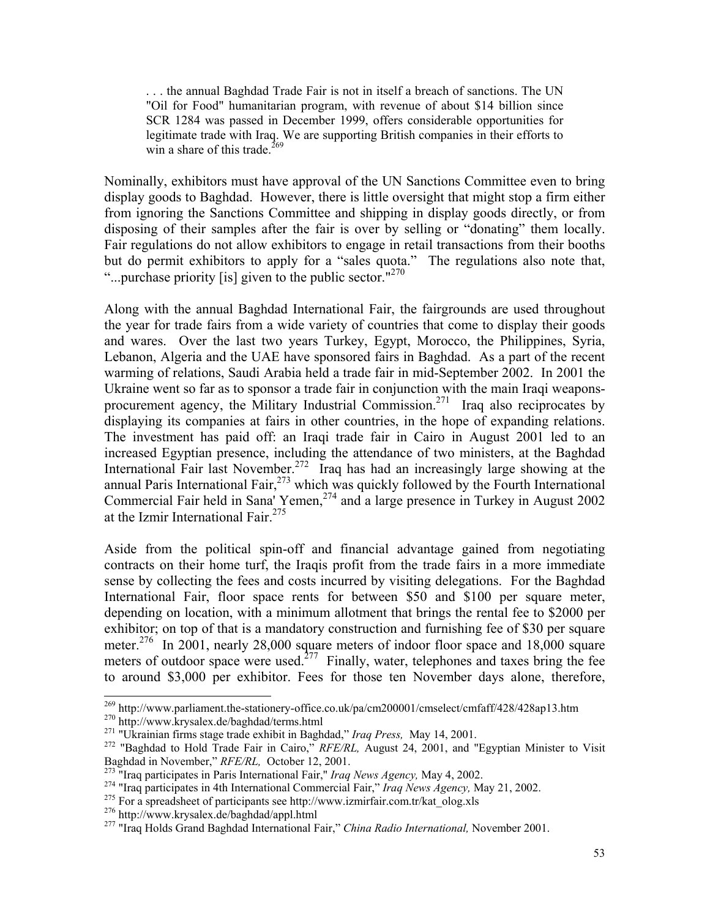. . . the annual Baghdad Trade Fair is not in itself a breach of sanctions. The UN "Oil for Food" humanitarian program, with revenue of about \$14 billion since SCR 1284 was passed in December 1999, offers considerable opportunities for legitimate trade with Iraq. We are supporting British companies in their efforts to win a share of this trade.<sup>269</sup>

Nominally, exhibitors must have approval of the UN Sanctions Committee even to bring display goods to Baghdad. However, there is little oversight that might stop a firm either from ignoring the Sanctions Committee and shipping in display goods directly, or from disposing of their samples after the fair is over by selling or "donating" them locally. Fair regulations do not allow exhibitors to engage in retail transactions from their booths but do permit exhibitors to apply for a "sales quota." The regulations also note that, "...purchase priority [is] given to the public sector."<sup>270</sup>

Along with the annual Baghdad International Fair, the fairgrounds are used throughout the year for trade fairs from a wide variety of countries that come to display their goods and wares. Over the last two years Turkey, Egypt, Morocco, the Philippines, Syria, Lebanon, Algeria and the UAE have sponsored fairs in Baghdad. As a part of the recent warming of relations, Saudi Arabia held a trade fair in mid-September 2002. In 2001 the Ukraine went so far as to sponsor a trade fair in conjunction with the main Iraqi weaponsprocurement agency, the Military Industrial Commission.271 Iraq also reciprocates by displaying its companies at fairs in other countries, in the hope of expanding relations. The investment has paid off: an Iraqi trade fair in Cairo in August 2001 led to an increased Egyptian presence, including the attendance of two ministers, at the Baghdad International Fair last November.<sup>272</sup> Iraq has had an increasingly large showing at the annual Paris International Fair, $273$  which was quickly followed by the Fourth International Commercial Fair held in Sana' Yemen,<sup>274</sup> and a large presence in Turkey in August 2002 at the Izmir International Fair. $275$ 

Aside from the political spin-off and financial advantage gained from negotiating contracts on their home turf, the Iraqis profit from the trade fairs in a more immediate sense by collecting the fees and costs incurred by visiting delegations. For the Baghdad International Fair, floor space rents for between \$50 and \$100 per square meter, depending on location, with a minimum allotment that brings the rental fee to \$2000 per exhibitor; on top of that is a mandatory construction and furnishing fee of \$30 per square meter.<sup>276</sup> In 2001, nearly 28,000 square meters of indoor floor space and 18,000 square meters of outdoor space were used.<sup> $277$ </sup> Finally, water, telephones and taxes bring the fee to around \$3,000 per exhibitor. Fees for those ten November days alone, therefore,

<sup>&</sup>lt;sup>269</sup> http://www.parliament.the-stationery-office.co.uk/pa/cm200001/cmselect/cmfaff/428/428ap13.htm<br><sup>270</sup> http://www.krysalex.de/baghdad/terms.html<br><sup>271</sup> "Ukrainian firms stage trade exhibit in Baghdad," *Iraq Press*, May

Baghdad in November," *RFE/RL*, October 12, 2001.<br><sup>273</sup> "Iraq participates in Paris International Fair," *Iraq News Agency*, May 4, 2002.<br><sup>274</sup> "Iraq participates in 4th International Commercial Fair," *Iraq News Agency*,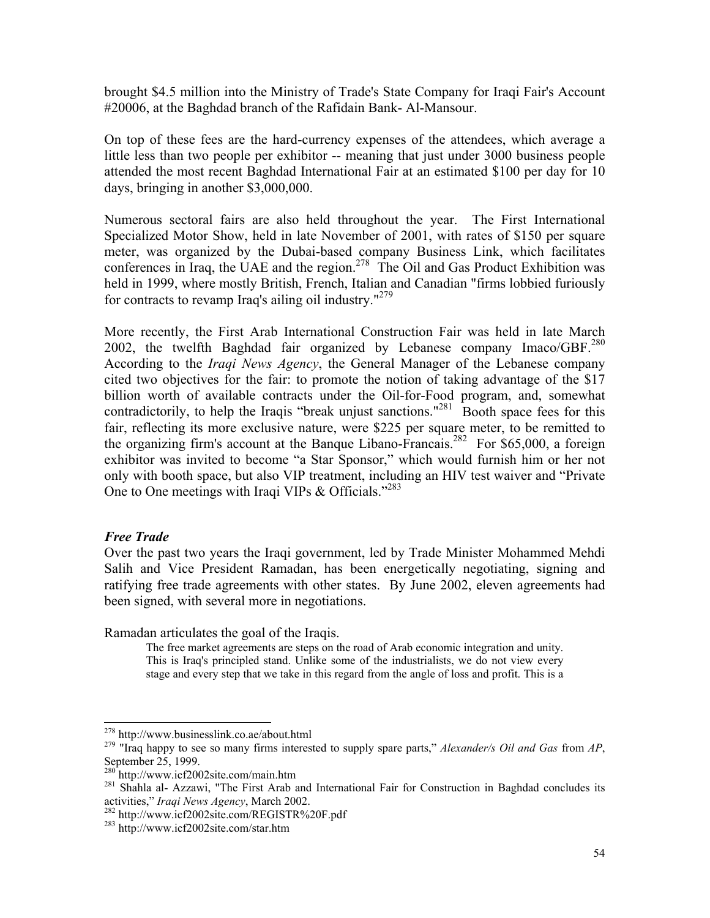brought \$4.5 million into the Ministry of Trade's State Company for Iraqi Fair's Account #20006, at the Baghdad branch of the Rafidain Bank- Al-Mansour.

On top of these fees are the hard-currency expenses of the attendees, which average a little less than two people per exhibitor -- meaning that just under 3000 business people attended the most recent Baghdad International Fair at an estimated \$100 per day for 10 days, bringing in another \$3,000,000.

Numerous sectoral fairs are also held throughout the year. The First International Specialized Motor Show, held in late November of 2001, with rates of \$150 per square meter, was organized by the Dubai-based company Business Link, which facilitates conferences in Iraq, the UAE and the region.<sup>278</sup> The Oil and Gas Product Exhibition was held in 1999, where mostly British, French, Italian and Canadian "firms lobbied furiously for contracts to revamp Iraq's ailing oil industry."<sup>279</sup>

More recently, the First Arab International Construction Fair was held in late March 2002, the twelfth Baghdad fair organized by Lebanese company Imaco/GBF. $^{280}$ According to the *Iraqi News Agency*, the General Manager of the Lebanese company cited two objectives for the fair: to promote the notion of taking advantage of the \$17 billion worth of available contracts under the Oil-for-Food program, and, somewhat contradictorily, to help the Iraqis "break unjust sanctions."<sup>281</sup> Booth space fees for this fair, reflecting its more exclusive nature, were \$225 per square meter, to be remitted to the organizing firm's account at the Banque Libano-Francais.<sup>282</sup> For \$65,000, a foreign exhibitor was invited to become "a Star Sponsor," which would furnish him or her not only with booth space, but also VIP treatment, including an HIV test waiver and "Private One to One meetings with Iraqi VIPs & Officials."<sup>283</sup>

#### *Free Trade*

Over the past two years the Iraqi government, led by Trade Minister Mohammed Mehdi Salih and Vice President Ramadan, has been energetically negotiating, signing and ratifying free trade agreements with other states. By June 2002, eleven agreements had been signed, with several more in negotiations.

Ramadan articulates the goal of the Iraqis.

The free market agreements are steps on the road of Arab economic integration and unity. This is Iraq's principled stand. Unlike some of the industrialists, we do not view every stage and every step that we take in this regard from the angle of loss and profit. This is a

 $278$  http://www.businesslink.co.ae/about.html

<sup>&</sup>lt;sup>279</sup> "Iraq happy to see so many firms interested to supply spare parts," *Alexander/s Oil and Gas* from *AP*, September 25, 1999.<br><sup>280</sup> http://www.icf2002site.com/main.htm

<sup>&</sup>lt;sup>281</sup> Shahla al- Azzawi, "The First Arab and International Fair for Construction in Baghdad concludes its activities," *Iraqi News Agency*, March 2002.

<sup>&</sup>lt;sup>282</sup> http://www.icf2002site.com/REGISTR%20F.pdf<br><sup>283</sup> http://www.icf2002site.com/star.htm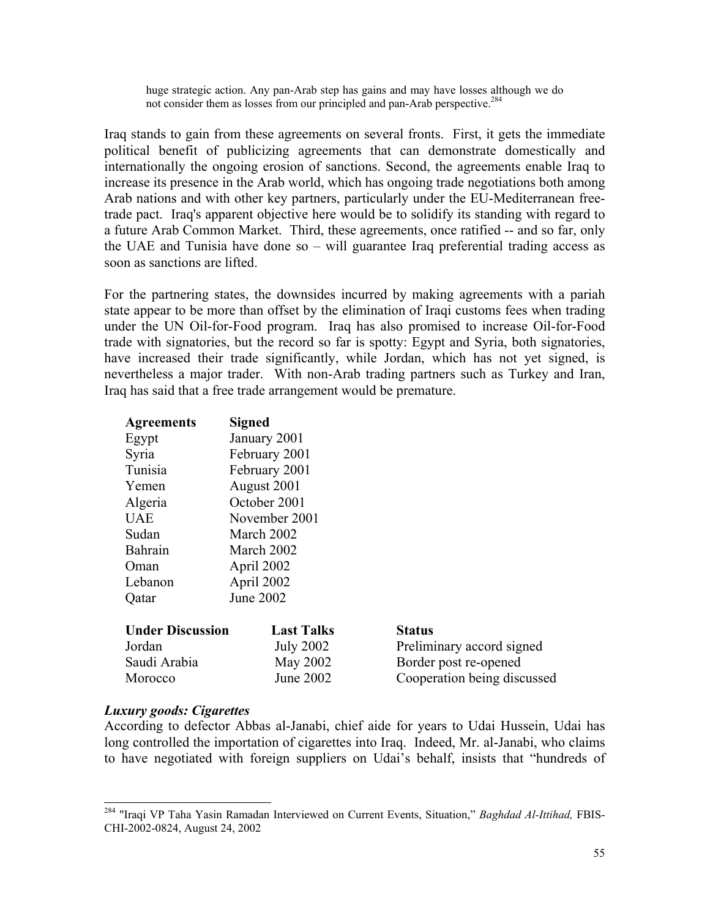huge strategic action. Any pan-Arab step has gains and may have losses although we do not consider them as losses from our principled and pan-Arab perspective.284

Iraq stands to gain from these agreements on several fronts. First, it gets the immediate political benefit of publicizing agreements that can demonstrate domestically and internationally the ongoing erosion of sanctions. Second, the agreements enable Iraq to increase its presence in the Arab world, which has ongoing trade negotiations both among Arab nations and with other key partners, particularly under the EU-Mediterranean freetrade pact. Iraq's apparent objective here would be to solidify its standing with regard to a future Arab Common Market. Third, these agreements, once ratified -- and so far, only the UAE and Tunisia have done so – will guarantee Iraq preferential trading access as soon as sanctions are lifted.

For the partnering states, the downsides incurred by making agreements with a pariah state appear to be more than offset by the elimination of Iraqi customs fees when trading under the UN Oil-for-Food program. Iraq has also promised to increase Oil-for-Food trade with signatories, but the record so far is spotty: Egypt and Syria, both signatories, have increased their trade significantly, while Jordan, which has not yet signed, is nevertheless a major trader. With non-Arab trading partners such as Turkey and Iran, Iraq has said that a free trade arrangement would be premature.

| <b>Agreements</b>       | <b>Signed</b>                     |                           |  |  |  |
|-------------------------|-----------------------------------|---------------------------|--|--|--|
| Egypt                   | January 2001                      |                           |  |  |  |
| Syria                   | February 2001                     |                           |  |  |  |
| Tunisia                 | February 2001                     |                           |  |  |  |
| Yemen                   | August 2001                       |                           |  |  |  |
| Algeria                 | October 2001                      |                           |  |  |  |
| UAE                     | November 2001                     |                           |  |  |  |
| Sudan                   | March 2002                        |                           |  |  |  |
| Bahrain                 | March 2002                        |                           |  |  |  |
| Oman                    | April 2002                        |                           |  |  |  |
| Lebanon                 | April 2002                        |                           |  |  |  |
| Qatar                   | June 2002                         |                           |  |  |  |
|                         |                                   |                           |  |  |  |
| <b>Under Discussion</b> | <b>Last Talks</b>                 | <b>Status</b>             |  |  |  |
| Jordan                  | <b>July 2002</b>                  | Preliminary accord signed |  |  |  |
| Saudi Arabia            | May 2002<br>Border post re-opened |                           |  |  |  |

## *Luxury goods: Cigarettes*

 $\overline{a}$ 

According to defector Abbas al-Janabi, chief aide for years to Udai Hussein, Udai has long controlled the importation of cigarettes into Iraq. Indeed, Mr. al-Janabi, who claims to have negotiated with foreign suppliers on Udai's behalf, insists that "hundreds of

Morocco June 2002 Cooperation being discussed

<sup>284 &</sup>quot;Iraqi VP Taha Yasin Ramadan Interviewed on Current Events, Situation," *Baghdad Al-Ittihad,* FBIS-CHI-2002-0824, August 24, 2002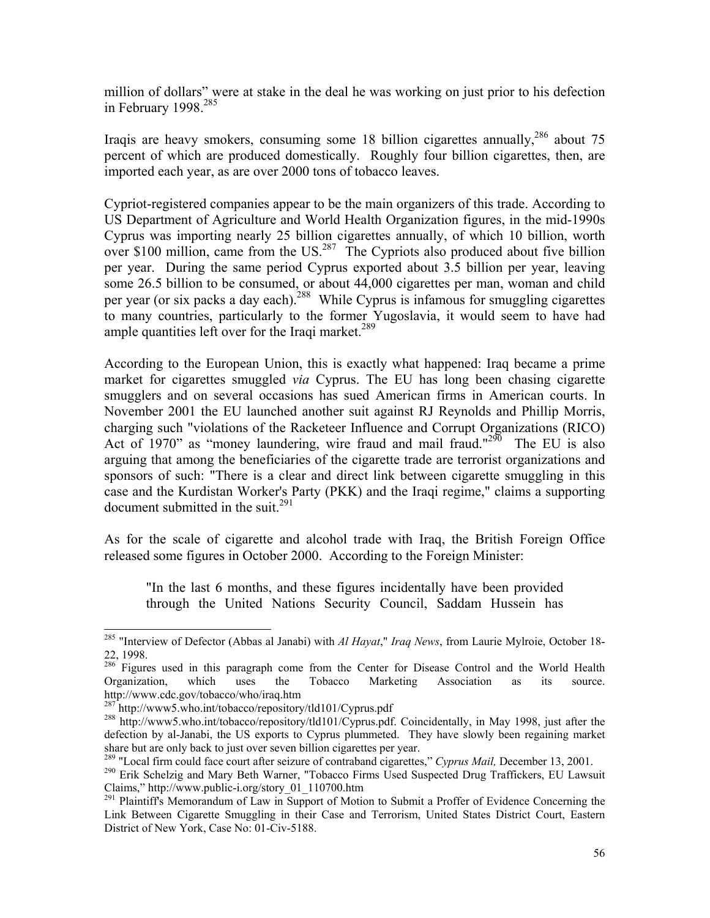million of dollars" were at stake in the deal he was working on just prior to his defection in February 1998.<sup>285</sup>

Iraqis are heavy smokers, consuming some 18 billion cigarettes annually,<sup>286</sup> about 75 percent of which are produced domestically. Roughly four billion cigarettes, then, are imported each year, as are over 2000 tons of tobacco leaves.

Cypriot-registered companies appear to be the main organizers of this trade. According to US Department of Agriculture and World Health Organization figures, in the mid-1990s Cyprus was importing nearly 25 billion cigarettes annually, of which 10 billion, worth over \$100 million, came from the US.<sup>287</sup> The Cypriots also produced about five billion per year. During the same period Cyprus exported about 3.5 billion per year, leaving some 26.5 billion to be consumed, or about 44,000 cigarettes per man, woman and child per year (or six packs a day each).<sup>288</sup> While Cyprus is infamous for smuggling cigarettes to many countries, particularly to the former Yugoslavia, it would seem to have had ample quantities left over for the Iraqi market.<sup>289</sup>

According to the European Union, this is exactly what happened: Iraq became a prime market for cigarettes smuggled *via* Cyprus. The EU has long been chasing cigarette smugglers and on several occasions has sued American firms in American courts. In November 2001 the EU launched another suit against RJ Reynolds and Phillip Morris, charging such "violations of the Racketeer Influence and Corrupt Organizations (RICO) Act of 1970" as "money laundering, wire fraud and mail fraud."<sup>290</sup> The EU is also arguing that among the beneficiaries of the cigarette trade are terrorist organizations and sponsors of such: "There is a clear and direct link between cigarette smuggling in this case and the Kurdistan Worker's Party (PKK) and the Iraqi regime," claims a supporting document submitted in the suit.<sup>291</sup>

As for the scale of cigarette and alcohol trade with Iraq, the British Foreign Office released some figures in October 2000. According to the Foreign Minister:

"In the last 6 months, and these figures incidentally have been provided through the United Nations Security Council, Saddam Hussein has

<sup>285 &</sup>quot;Interview of Defector (Abbas al Janabi) with *Al Hayat*," *Iraq News*, from Laurie Mylroie, October 18- 22, 1998.

<sup>&</sup>lt;sup>286</sup> Figures used in this paragraph come from the Center for Disease Control and the World Health Organization, which uses the Tobacco Marketing Association as its source. http://www.cdc.gov/tobacco/who/iraq.htm<br>287 http://www5.who.int/tobacco/repository/tld101/Cyprus.pdf

<sup>&</sup>lt;sup>288</sup> http://www5.who.int/tobacco/repository/tld101/Cyprus.pdf. Coincidentally, in May 1998, just after the defection by al-Janabi, the US exports to Cyprus plummeted. They have slowly been regaining market share but are only back to just over seven billion cigarettes per year.<br><sup>289</sup> "Local firm could face court after seizure of contraband cigarettes," Cyprus Mail, December 13, 2001.

<sup>&</sup>lt;sup>290</sup> Erik Schelzig and Mary Beth Warner, "Tobacco Firms Used Suspected Drug Traffickers, EU Lawsuit Claims," http://www.public-i.org/story\_01\_110700.htm

<sup>&</sup>lt;sup>291</sup> Plaintiff's Memorandum of Law in Support of Motion to Submit a Proffer of Evidence Concerning the Link Between Cigarette Smuggling in their Case and Terrorism, United States District Court, Eastern District of New York, Case No: 01-Civ-5188.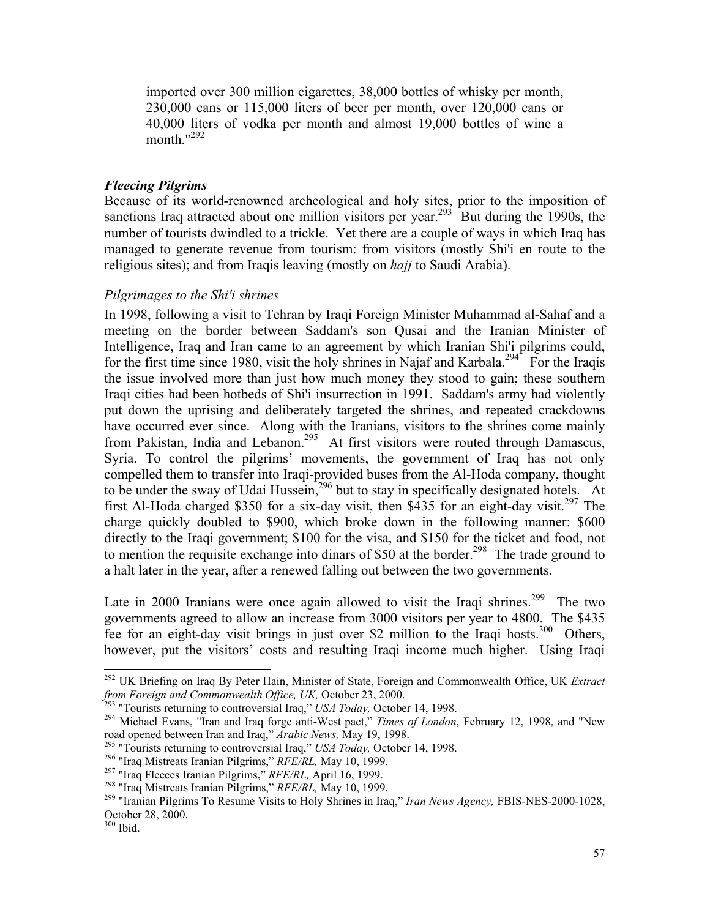imported over 300 million cigarettes, 38,000 bottles of whisky per month, 230,000 cans or 115,000 liters of beer per month, over 120,000 cans or 40,000 liters of vodka per month and almost 19,000 bottles of wine a month. $1292$ 

## *Fleecing Pilgrims*

Because of its world-renowned archeological and holy sites, prior to the imposition of sanctions Iraq attracted about one million visitors per year.<sup>293</sup> But during the 1990s, the number of tourists dwindled to a trickle. Yet there are a couple of ways in which Iraq has managed to generate revenue from tourism: from visitors (mostly Shi'i en route to the religious sites); and from Iraqis leaving (mostly on *hajj* to Saudi Arabia).

#### *Pilgrimages to the Shi'i shrines*

In 1998, following a visit to Tehran by Iraqi Foreign Minister Muhammad al-Sahaf and a meeting on the border between Saddam's son Qusai and the Iranian Minister of Intelligence, Iraq and Iran came to an agreement by which Iranian Shi'i pilgrims could, for the first time since 1980, visit the holy shrines in Najaf and Karbala.<sup>294</sup> For the Iraqis the issue involved more than just how much money they stood to gain; these southern Iraqi cities had been hotbeds of Shi'i insurrection in 1991. Saddam's army had violently put down the uprising and deliberately targeted the shrines, and repeated crackdowns have occurred ever since. Along with the Iranians, visitors to the shrines come mainly from Pakistan, India and Lebanon.<sup>295</sup> At first visitors were routed through Damascus, Syria. To control the pilgrims' movements, the government of Iraq has not only compelled them to transfer into Iraqi-provided buses from the Al-Hoda company, thought to be under the sway of Udai Hussein,<sup>296</sup> but to stay in specifically designated hotels. At first Al-Hoda charged \$350 for a six-day visit, then \$435 for an eight-day visit.<sup>297</sup> The charge quickly doubled to \$900, which broke down in the following manner: \$600 directly to the Iraqi government; \$100 for the visa, and \$150 for the ticket and food, not to mention the requisite exchange into dinars of  $$50$  at the border.<sup>298</sup> The trade ground to a halt later in the year, after a renewed falling out between the two governments.

Late in 2000 Iranians were once again allowed to visit the Iraqi shrines.<sup>299</sup> The two governments agreed to allow an increase from 3000 visitors per year to 4800. The \$435 fee for an eight-day visit brings in just over \$2 million to the Iraqi hosts.<sup>300</sup> Others, however, put the visitors' costs and resulting Iraqi income much higher. Using Iraqi

<sup>292</sup> UK Briefing on Iraq By Peter Hain, Minister of State, Foreign and Commonwealth Office, UK *Extract* from Foreign and Commonwealth Office, UK, October 23, 2000.<br><sup>293</sup> "Tourists returning to controversial Iraq," USA Today, October 14, 1998.<br><sup>294</sup> Michael Evans, "Iran and Iraq forge anti-West pact," *Times of London*, Febru

road opened between Iran and Iraq," *Arabic News*, May 19, 1998.<br><sup>295</sup> "Tourists returning to controversial Iraq," *USA Today*, October 14, 1998.<br><sup>296</sup> "Iraq Mistreats Iranian Pilgrims," *RFE/RL*, May 10, 1999.<br><sup>297</sup> "Iraq

October 28, 2000.

<sup>300</sup> Ibid.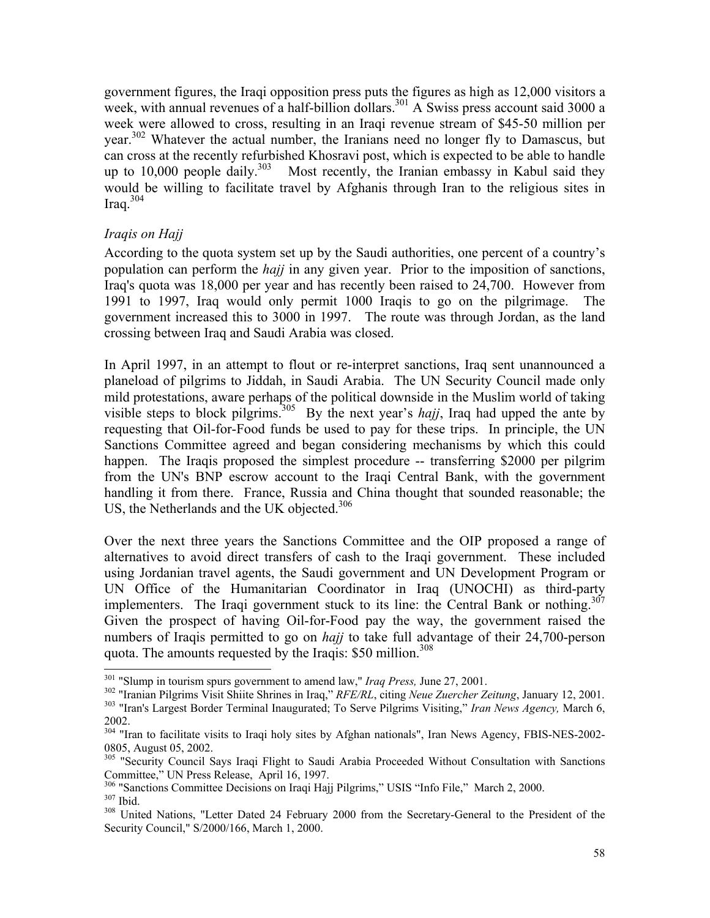government figures, the Iraqi opposition press puts the figures as high as 12,000 visitors a week, with annual revenues of a half-billion dollars.<sup>301</sup> A Swiss press account said 3000 a week were allowed to cross, resulting in an Iraqi revenue stream of \$45-50 million per year.<sup>302</sup> Whatever the actual number, the Iranians need no longer fly to Damascus, but can cross at the recently refurbished Khosravi post, which is expected to be able to handle up to 10,000 people daily.<sup>303</sup> Most recently, the Iranian embassy in Kabul said they would be willing to facilitate travel by Afghanis through Iran to the religious sites in Iraq. $304$ 

## *Iraqis on Hajj*

According to the quota system set up by the Saudi authorities, one percent of a country's population can perform the *hajj* in any given year. Prior to the imposition of sanctions, Iraq's quota was 18,000 per year and has recently been raised to 24,700. However from 1991 to 1997, Iraq would only permit 1000 Iraqis to go on the pilgrimage. The government increased this to 3000 in 1997. The route was through Jordan, as the land crossing between Iraq and Saudi Arabia was closed.

In April 1997, in an attempt to flout or re-interpret sanctions, Iraq sent unannounced a planeload of pilgrims to Jiddah, in Saudi Arabia. The UN Security Council made only mild protestations, aware perhaps of the political downside in the Muslim world of taking visible steps to block pilgrims.<sup>305</sup> By the next year's *hajj*, Iraq had upped the ante by requesting that Oil-for-Food funds be used to pay for these trips. In principle, the UN Sanctions Committee agreed and began considering mechanisms by which this could happen. The Iraqis proposed the simplest procedure -- transferring \$2000 per pilgrim from the UN's BNP escrow account to the Iraqi Central Bank, with the government handling it from there. France, Russia and China thought that sounded reasonable; the US, the Netherlands and the UK objected.<sup>306</sup>

Over the next three years the Sanctions Committee and the OIP proposed a range of alternatives to avoid direct transfers of cash to the Iraqi government. These included using Jordanian travel agents, the Saudi government and UN Development Program or UN Office of the Humanitarian Coordinator in Iraq (UNOCHI) as third-party implementers. The Iraqi government stuck to its line: the Central Bank or nothing.<sup>307</sup> Given the prospect of having Oil-for-Food pay the way, the government raised the numbers of Iraqis permitted to go on *hajj* to take full advantage of their 24,700-person quota. The amounts requested by the Iraqis: \$50 million.<sup>308</sup>

<sup>&</sup>lt;sup>301</sup> "Slump in tourism spurs government to amend law," *Iraq Press*, June 27, 2001.

<sup>&</sup>lt;sup>302</sup> "Iranian Pilgrims Visit Shiite Shrines in Iraq," *RFE/RL*, citing *Neue Zuercher Zeitung*, January 12, 2001.<br><sup>303</sup> "Iran's Largest Border Terminal Inaugurated; To Serve Pilgrims Visiting," *Iran News Agency*, March 2002.

<sup>&</sup>lt;sup>304</sup> "Iran to facilitate visits to Iraqi holy sites by Afghan nationals", Iran News Agency, FBIS-NES-2002-0805, August 05, 2002.

<sup>&</sup>lt;sup>305</sup> "Security Council Says Iraqi Flight to Saudi Arabia Proceeded Without Consultation with Sanctions

Committee," UN Press Release, April 16, 1997.<br><sup>306</sup> "Sanctions Committee Decisions on Iraqi Hajj Pilgrims," USIS "Info File," March 2, 2000.<br><sup>307</sup> Ibid.<br><sup>308</sup> United Nations, "Letter Dated 24 February 2000 from the Secreta

Security Council," S/2000/166, March 1, 2000.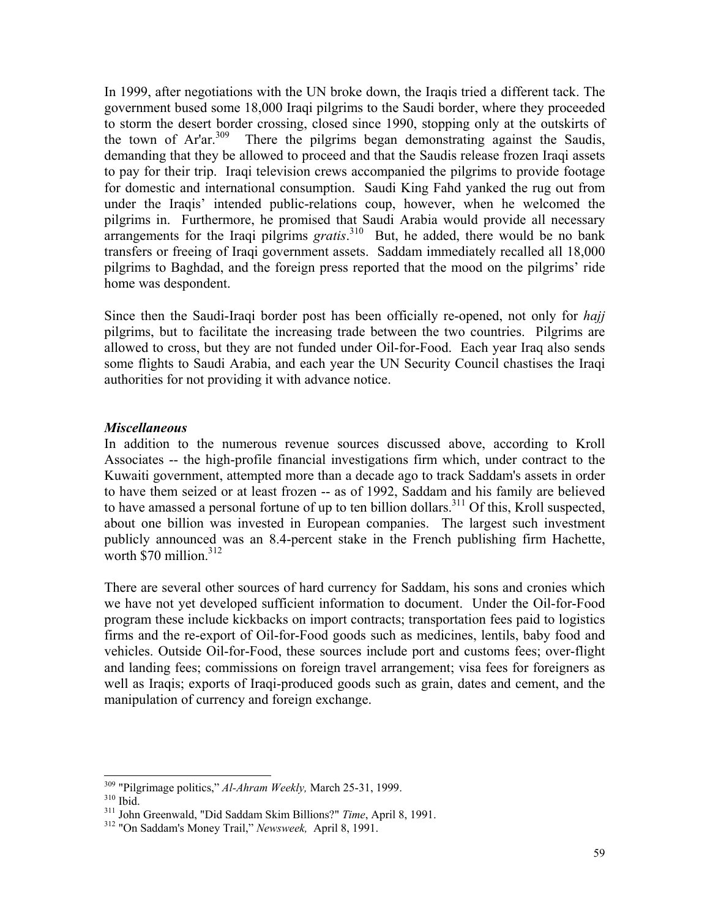In 1999, after negotiations with the UN broke down, the Iraqis tried a different tack. The government bused some 18,000 Iraqi pilgrims to the Saudi border, where they proceeded to storm the desert border crossing, closed since 1990, stopping only at the outskirts of the town of Ar'ar.<sup>309</sup> There the pilgrims began demonstrating against the Saudis, demanding that they be allowed to proceed and that the Saudis release frozen Iraqi assets to pay for their trip. Iraqi television crews accompanied the pilgrims to provide footage for domestic and international consumption. Saudi King Fahd yanked the rug out from under the Iraqis' intended public-relations coup, however, when he welcomed the pilgrims in. Furthermore, he promised that Saudi Arabia would provide all necessary arrangements for the Iraqi pilgrims *gratis*.<sup>310</sup> But, he added, there would be no bank transfers or freeing of Iraqi government assets. Saddam immediately recalled all 18,000 pilgrims to Baghdad, and the foreign press reported that the mood on the pilgrims' ride home was despondent.

Since then the Saudi-Iraqi border post has been officially re-opened, not only for *hajj* pilgrims, but to facilitate the increasing trade between the two countries. Pilgrims are allowed to cross, but they are not funded under Oil-for-Food. Each year Iraq also sends some flights to Saudi Arabia, and each year the UN Security Council chastises the Iraqi authorities for not providing it with advance notice.

#### *Miscellaneous*

In addition to the numerous revenue sources discussed above, according to Kroll Associates -- the high-profile financial investigations firm which, under contract to the Kuwaiti government, attempted more than a decade ago to track Saddam's assets in order to have them seized or at least frozen -- as of 1992, Saddam and his family are believed to have amassed a personal fortune of up to ten billion dollars.<sup>311</sup> Of this, Kroll suspected, about one billion was invested in European companies. The largest such investment publicly announced was an 8.4-percent stake in the French publishing firm Hachette, worth \$70 million.<sup>312</sup>

There are several other sources of hard currency for Saddam, his sons and cronies which we have not yet developed sufficient information to document. Under the Oil-for-Food program these include kickbacks on import contracts; transportation fees paid to logistics firms and the re-export of Oil-for-Food goods such as medicines, lentils, baby food and vehicles. Outside Oil-for-Food, these sources include port and customs fees; over-flight and landing fees; commissions on foreign travel arrangement; visa fees for foreigners as well as Iraqis; exports of Iraqi-produced goods such as grain, dates and cement, and the manipulation of currency and foreign exchange.

<sup>&</sup>lt;sup>309</sup> "Pilgrimage politics," *Al-Ahram Weekly*, March 25-31, 1999.<br><sup>310</sup> Ibid. 311 John Greenwald, "Did Saddam Skim Billions?" *Time*, April 8, 1991.<br><sup>312</sup> "On Saddam's Money Trail," *Newsweek*, April 8, 1991.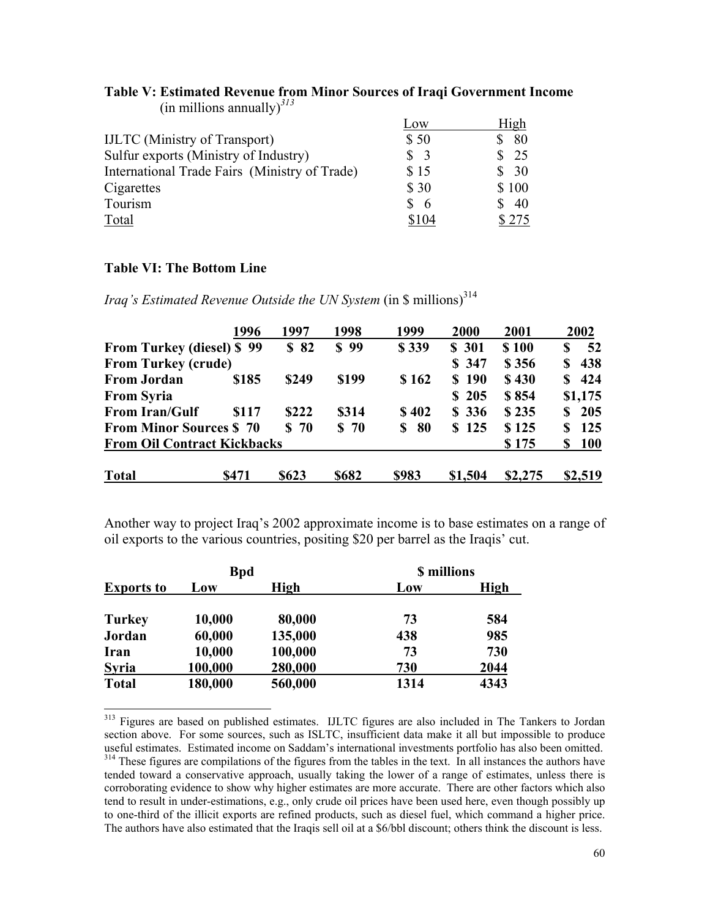|                                               | Low               | High  |
|-----------------------------------------------|-------------------|-------|
| <b>IJLTC</b> (Ministry of Transport)          | \$50              | -80   |
| Sulfur exports (Ministry of Industry)         | $\frac{1}{2}$     | 25    |
| International Trade Fairs (Ministry of Trade) | \$15              | - 30  |
| Cigarettes                                    | \$30              | \$100 |
| Tourism                                       | S.<br>$\mathbf b$ | 40    |
| Total                                         | \$104             |       |

#### **Table V: Estimated Revenue from Minor Sources of Iraqi Government Income**  $(in$  millions annually $)^{3/3}$

## **Table VI: The Bottom Line**

l

*Iraq's Estimated Revenue Outside the UN System* (in \$ millions)<sup>314</sup>

|                                    | 1996  | 1997            | 1998  | 1999    | 2000    | 2001    | 2002            |
|------------------------------------|-------|-----------------|-------|---------|---------|---------|-----------------|
| <b>From Turkey (diesel) \$99</b>   |       | \$82            | \$99  | \$339   | \$ 301  | \$100   | 52<br>S         |
| <b>From Turkey (crude)</b>         |       |                 |       |         | \$ 347  | \$356   | 438<br>\$       |
| <b>From Jordan</b>                 | \$185 | \$249           | \$199 | \$162   | \$190   | \$430   | 424<br>S.       |
| <b>From Syria</b>                  |       |                 |       |         | \$205   | \$854   | \$1,175         |
| <b>From Iran/Gulf</b>              | \$117 | \$222           | \$314 | \$402   | \$336   | \$235   | 205<br>S        |
| <b>From Minor Sources \$70</b>     |       | S <sub>70</sub> | \$70  | 80<br>S | \$125   | \$125   | 125<br>\$       |
| <b>From Oil Contract Kickbacks</b> |       |                 |       |         |         | \$175   | <b>100</b><br>S |
| <b>Total</b>                       | \$471 | \$623           | \$682 | \$983   | \$1,504 | \$2,275 | \$2,519         |

Another way to project Iraq's 2002 approximate income is to base estimates on a range of oil exports to the various countries, positing \$20 per barrel as the Iraqis' cut.

|                   | <b>Bpd</b> |         | <b>\$</b> millions |      |  |
|-------------------|------------|---------|--------------------|------|--|
| <b>Exports to</b> | Low        | High    | Low                | High |  |
| <b>Turkey</b>     | 10,000     | 80,000  | 73                 | 584  |  |
| Jordan            | 60,000     | 135,000 | 438                | 985  |  |
| Iran              | 10,000     | 100,000 | 73                 | 730  |  |
| <b>Syria</b>      | 100,000    | 280,000 | 730                | 2044 |  |
| <b>Total</b>      | 180,000    | 560,000 | 1314               | 4343 |  |

<sup>313</sup> Figures are based on published estimates. IJLTC figures are also included in The Tankers to Jordan section above. For some sources, such as ISLTC, insufficient data make it all but impossible to produce useful estimates. Estimated income on Saddam's international investments portfolio has also been omitted. <sup>314</sup> These figures are compilations of the figures from the tables in the text. In all instances the authors have tended toward a conservative approach, usually taking the lower of a range of estimates, unless there is corroborating evidence to show why higher estimates are more accurate. There are other factors which also tend to result in under-estimations, e.g., only crude oil prices have been used here, even though possibly up to one-third of the illicit exports are refined products, such as diesel fuel, which command a higher price. The authors have also estimated that the Iraqis sell oil at a \$6/bbl discount; others think the discount is less.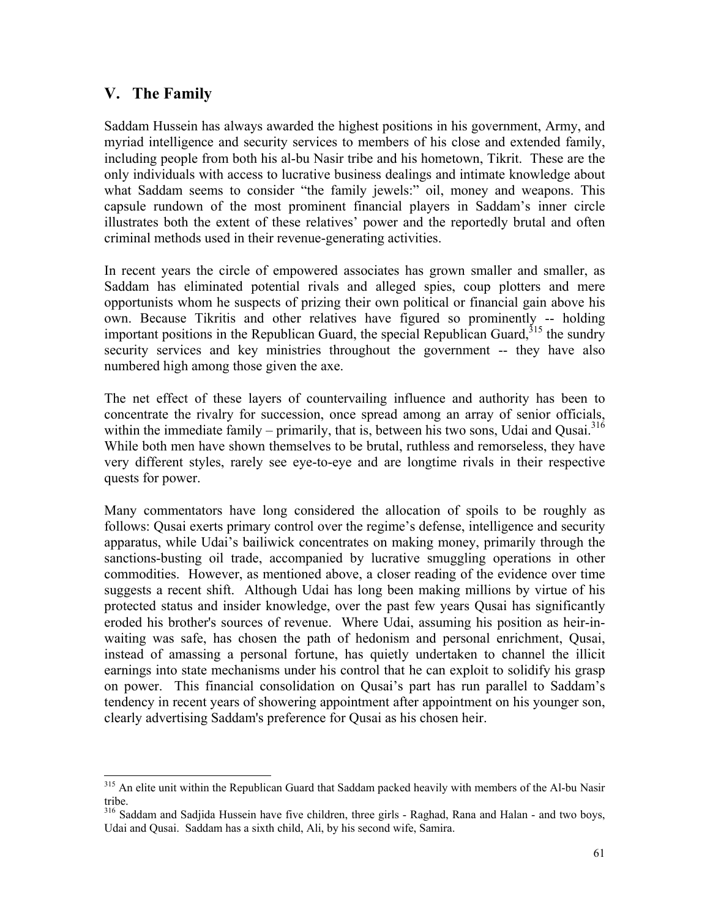## **V. The Family**

 $\overline{a}$ 

Saddam Hussein has always awarded the highest positions in his government, Army, and myriad intelligence and security services to members of his close and extended family, including people from both his al-bu Nasir tribe and his hometown, Tikrit. These are the only individuals with access to lucrative business dealings and intimate knowledge about what Saddam seems to consider "the family jewels:" oil, money and weapons. This capsule rundown of the most prominent financial players in Saddam's inner circle illustrates both the extent of these relatives' power and the reportedly brutal and often criminal methods used in their revenue-generating activities.

In recent years the circle of empowered associates has grown smaller and smaller, as Saddam has eliminated potential rivals and alleged spies, coup plotters and mere opportunists whom he suspects of prizing their own political or financial gain above his own. Because Tikritis and other relatives have figured so prominently -- holding important positions in the Republican Guard, the special Republican Guard,  $315$  the sundry security services and key ministries throughout the government -- they have also numbered high among those given the axe.

The net effect of these layers of countervailing influence and authority has been to concentrate the rivalry for succession, once spread among an array of senior officials, within the immediate family – primarily, that is, between his two sons, Udai and Qusai.<sup>316</sup> While both men have shown themselves to be brutal, ruthless and remorseless, they have very different styles, rarely see eye-to-eye and are longtime rivals in their respective quests for power.

Many commentators have long considered the allocation of spoils to be roughly as follows: Qusai exerts primary control over the regime's defense, intelligence and security apparatus, while Udai's bailiwick concentrates on making money, primarily through the sanctions-busting oil trade, accompanied by lucrative smuggling operations in other commodities. However, as mentioned above, a closer reading of the evidence over time suggests a recent shift. Although Udai has long been making millions by virtue of his protected status and insider knowledge, over the past few years Qusai has significantly eroded his brother's sources of revenue. Where Udai, assuming his position as heir-inwaiting was safe, has chosen the path of hedonism and personal enrichment, Qusai, instead of amassing a personal fortune, has quietly undertaken to channel the illicit earnings into state mechanisms under his control that he can exploit to solidify his grasp on power. This financial consolidation on Qusai's part has run parallel to Saddam's tendency in recent years of showering appointment after appointment on his younger son, clearly advertising Saddam's preference for Qusai as his chosen heir.

<sup>&</sup>lt;sup>315</sup> An elite unit within the Republican Guard that Saddam packed heavily with members of the Al-bu Nasir tribe.

<sup>316</sup> Saddam and Sadjida Hussein have five children, three girls - Raghad, Rana and Halan - and two boys, Udai and Qusai. Saddam has a sixth child, Ali, by his second wife, Samira.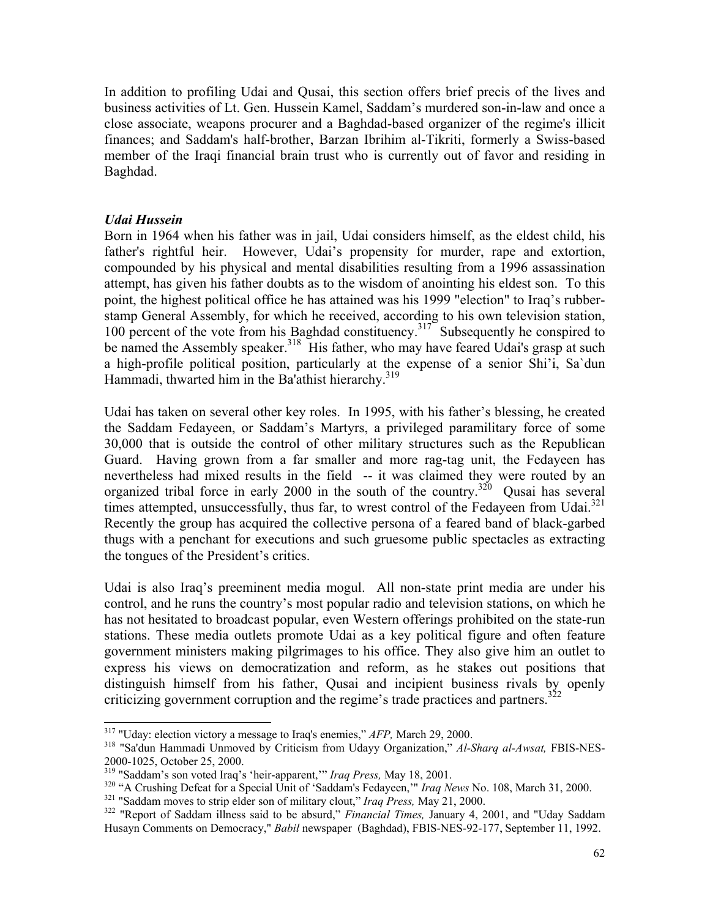In addition to profiling Udai and Qusai, this section offers brief precis of the lives and business activities of Lt. Gen. Hussein Kamel, Saddam's murdered son-in-law and once a close associate, weapons procurer and a Baghdad-based organizer of the regime's illicit finances; and Saddam's half-brother, Barzan Ibrihim al-Tikriti, formerly a Swiss-based member of the Iraqi financial brain trust who is currently out of favor and residing in Baghdad.

#### *Udai Hussein*

Born in 1964 when his father was in jail, Udai considers himself, as the eldest child, his father's rightful heir. However, Udai's propensity for murder, rape and extortion, compounded by his physical and mental disabilities resulting from a 1996 assassination attempt, has given his father doubts as to the wisdom of anointing his eldest son. To this point, the highest political office he has attained was his 1999 "election" to Iraq's rubberstamp General Assembly, for which he received, according to his own television station, 100 percent of the vote from his Baghdad constituency.<sup>317</sup> Subsequently he conspired to be named the Assembly speaker.<sup>318</sup> His father, who may have feared Udai's grasp at such a high-profile political position, particularly at the expense of a senior Shi'i, Sa`dun Hammadi, thwarted him in the Ba'athist hierarchy.<sup>319</sup>

Udai has taken on several other key roles. In 1995, with his father's blessing, he created the Saddam Fedayeen, or Saddam's Martyrs, a privileged paramilitary force of some 30,000 that is outside the control of other military structures such as the Republican Guard. Having grown from a far smaller and more rag-tag unit, the Fedayeen has nevertheless had mixed results in the field -- it was claimed they were routed by an organized tribal force in early 2000 in the south of the country.<sup>320</sup> Qusai has several times attempted, unsuccessfully, thus far, to wrest control of the Fedayeen from Udai. $^{321}$ Recently the group has acquired the collective persona of a feared band of black-garbed thugs with a penchant for executions and such gruesome public spectacles as extracting the tongues of the President's critics.

Udai is also Iraq's preeminent media mogul. All non-state print media are under his control, and he runs the country's most popular radio and television stations, on which he has not hesitated to broadcast popular, even Western offerings prohibited on the state-run stations. These media outlets promote Udai as a key political figure and often feature government ministers making pilgrimages to his office. They also give him an outlet to express his views on democratization and reform, as he stakes out positions that distinguish himself from his father, Qusai and incipient business rivals by openly criticizing government corruption and the regime's trade practices and partners. $3^{32}$ 

<sup>&</sup>lt;sup>317</sup> "Uday: election victory a message to Iraq's enemies," AFP, March 29, 2000.

<sup>&</sup>lt;sup>318</sup> "Sa'dun Hammadi Unmoved by Criticism from Udayy Organization," *Al-Sharq al-Awsat*, FBIS-NES-2000-1025, October 25, 2000.<br><sup>319</sup> "Saddam's son voted Iraq's 'heir-apparent," *Iraq Press*, May 18, 2001.

<sup>&</sup>lt;sup>320</sup> "A Crushing Defeat for a Special Unit of 'Saddam's Fedayeen," *Iraq News* No. 108, March 31, 2000.<br><sup>321</sup> "Saddam moves to strip elder son of military clout," *Iraq Press*, May 21, 2000.<br><sup>322</sup> "Report of Saddam illne

Husayn Comments on Democracy," *Babil* newspaper (Baghdad), FBIS-NES-92-177, September 11, 1992.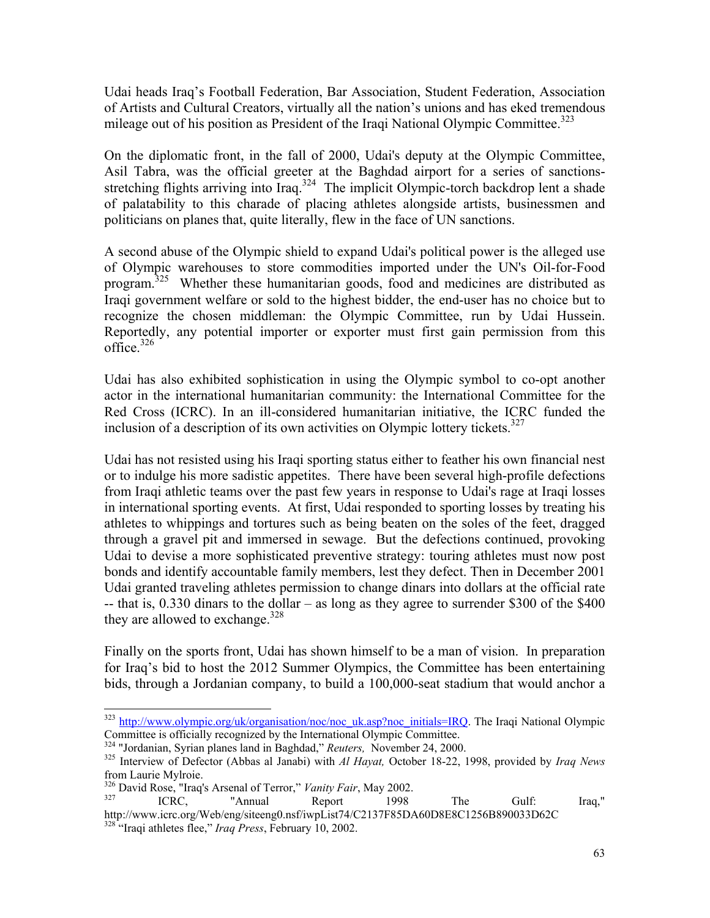Udai heads Iraq's Football Federation, Bar Association, Student Federation, Association of Artists and Cultural Creators, virtually all the nation's unions and has eked tremendous mileage out of his position as President of the Iraqi National Olympic Committee.<sup>323</sup>

On the diplomatic front, in the fall of 2000, Udai's deputy at the Olympic Committee, Asil Tabra, was the official greeter at the Baghdad airport for a series of sanctionsstretching flights arriving into Iraq.<sup>324</sup> The implicit Olympic-torch backdrop lent a shade of palatability to this charade of placing athletes alongside artists, businessmen and politicians on planes that, quite literally, flew in the face of UN sanctions.

A second abuse of the Olympic shield to expand Udai's political power is the alleged use of Olympic warehouses to store commodities imported under the UN's Oil-for-Food program.325 Whether these humanitarian goods, food and medicines are distributed as Iraqi government welfare or sold to the highest bidder, the end-user has no choice but to recognize the chosen middleman: the Olympic Committee, run by Udai Hussein. Reportedly, any potential importer or exporter must first gain permission from this office  $326$ 

Udai has also exhibited sophistication in using the Olympic symbol to co-opt another actor in the international humanitarian community: the International Committee for the Red Cross (ICRC). In an ill-considered humanitarian initiative, the ICRC funded the inclusion of a description of its own activities on Olympic lottery tickets.<sup>327</sup>

Udai has not resisted using his Iraqi sporting status either to feather his own financial nest or to indulge his more sadistic appetites. There have been several high-profile defections from Iraqi athletic teams over the past few years in response to Udai's rage at Iraqi losses in international sporting events. At first, Udai responded to sporting losses by treating his athletes to whippings and tortures such as being beaten on the soles of the feet, dragged through a gravel pit and immersed in sewage. But the defections continued, provoking Udai to devise a more sophisticated preventive strategy: touring athletes must now post bonds and identify accountable family members, lest they defect. Then in December 2001 Udai granted traveling athletes permission to change dinars into dollars at the official rate  $-$  that is, 0.330 dinars to the dollar – as long as they agree to surrender \$300 of the \$400 they are allowed to exchange. $328$ 

Finally on the sports front, Udai has shown himself to be a man of vision. In preparation for Iraq's bid to host the 2012 Summer Olympics, the Committee has been entertaining bids, through a Jordanian company, to build a 100,000-seat stadium that would anchor a

l

<sup>&</sup>lt;sup>323</sup> http://www.olympic.org/uk/organisation/noc/noc\_uk.asp?noc\_initials=IRQ. The Iraqi National Olympic Committee is officially recognized by the International Olympic Committee.<br>
<sup>324</sup> "Jordanian, Syrian planes land in Baghdad," *Reuters*, November 24, 2000.<br>
<sup>325</sup> Interview of Defector (Abbas al Janabi) with *Al Hayat*, Oc

from Laurie Mylroie.

<sup>&</sup>lt;sup>326</sup> David Rose, "Iraq's Arsenal of Terror," *Vanity Fair*, May 2002.<br><sup>327</sup> ICRC, "Annual Report 1998 The Gulf: Iraq," http://www.icrc.org/Web/eng/siteeng0.nsf/iwpList74/C2137F85DA60D8E8C1256B890033D62C 328 "Iraqi athletes flee," *Iraq Press*, February 10, 2002.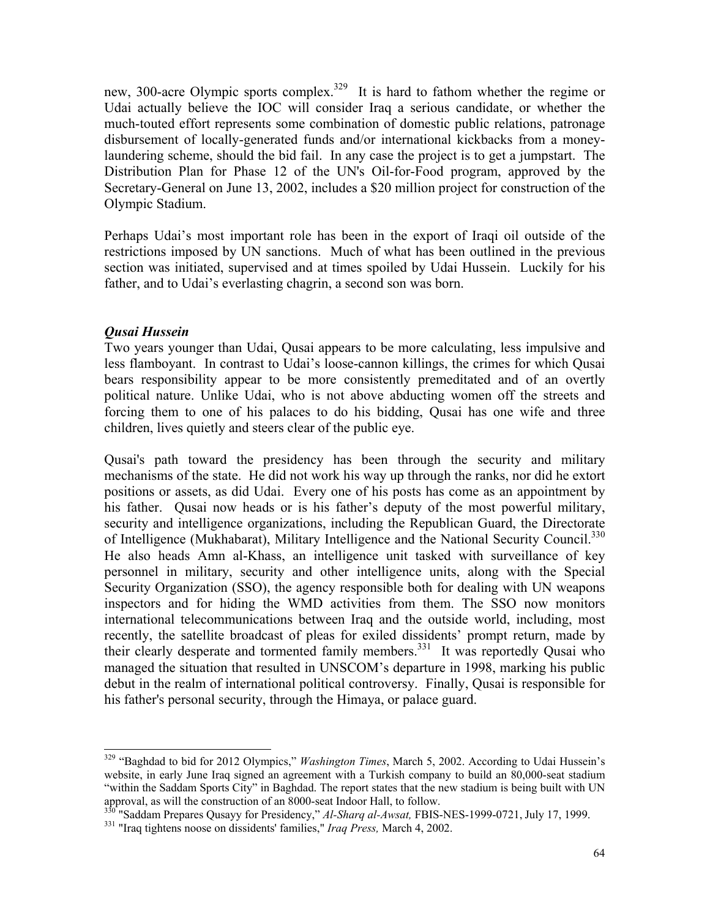new, 300-acre Olympic sports complex.<sup>329</sup> It is hard to fathom whether the regime or Udai actually believe the IOC will consider Iraq a serious candidate, or whether the much-touted effort represents some combination of domestic public relations, patronage disbursement of locally-generated funds and/or international kickbacks from a moneylaundering scheme, should the bid fail. In any case the project is to get a jumpstart. The Distribution Plan for Phase 12 of the UN's Oil-for-Food program, approved by the Secretary-General on June 13, 2002, includes a \$20 million project for construction of the Olympic Stadium.

Perhaps Udai's most important role has been in the export of Iraqi oil outside of the restrictions imposed by UN sanctions. Much of what has been outlined in the previous section was initiated, supervised and at times spoiled by Udai Hussein. Luckily for his father, and to Udai's everlasting chagrin, a second son was born.

## *Qusai Hussein*

l

Two years younger than Udai, Qusai appears to be more calculating, less impulsive and less flamboyant. In contrast to Udai's loose-cannon killings, the crimes for which Qusai bears responsibility appear to be more consistently premeditated and of an overtly political nature. Unlike Udai, who is not above abducting women off the streets and forcing them to one of his palaces to do his bidding, Qusai has one wife and three children, lives quietly and steers clear of the public eye.

Qusai's path toward the presidency has been through the security and military mechanisms of the state. He did not work his way up through the ranks, nor did he extort positions or assets, as did Udai. Every one of his posts has come as an appointment by his father. Qusai now heads or is his father's deputy of the most powerful military, security and intelligence organizations, including the Republican Guard, the Directorate of Intelligence (Mukhabarat), Military Intelligence and the National Security Council.<sup>330</sup> He also heads Amn al-Khass, an intelligence unit tasked with surveillance of key personnel in military, security and other intelligence units, along with the Special Security Organization (SSO), the agency responsible both for dealing with UN weapons inspectors and for hiding the WMD activities from them. The SSO now monitors international telecommunications between Iraq and the outside world, including, most recently, the satellite broadcast of pleas for exiled dissidents' prompt return, made by their clearly desperate and tormented family members.<sup>331</sup> It was reportedly Qusai who managed the situation that resulted in UNSCOM's departure in 1998, marking his public debut in the realm of international political controversy. Finally, Qusai is responsible for his father's personal security, through the Himaya, or palace guard.

<sup>329 &</sup>quot;Baghdad to bid for 2012 Olympics," *Washington Times*, March 5, 2002. According to Udai Hussein's website, in early June Iraq signed an agreement with a Turkish company to build an 80,000-seat stadium "within the Saddam Sports City" in Baghdad. The report states that the new stadium is being built with UN approval, as will the construction of an 8000-seat Indoor Hall, to follow.

<sup>330 &</sup>quot;Saddam Prepares Qusayy for Presidency," *Al-Sharq al-Awsat,* FBIS-NES-1999-0721, July 17, 1999. 331 "Iraq tightens noose on dissidents' families," *Iraq Press,* March 4, 2002.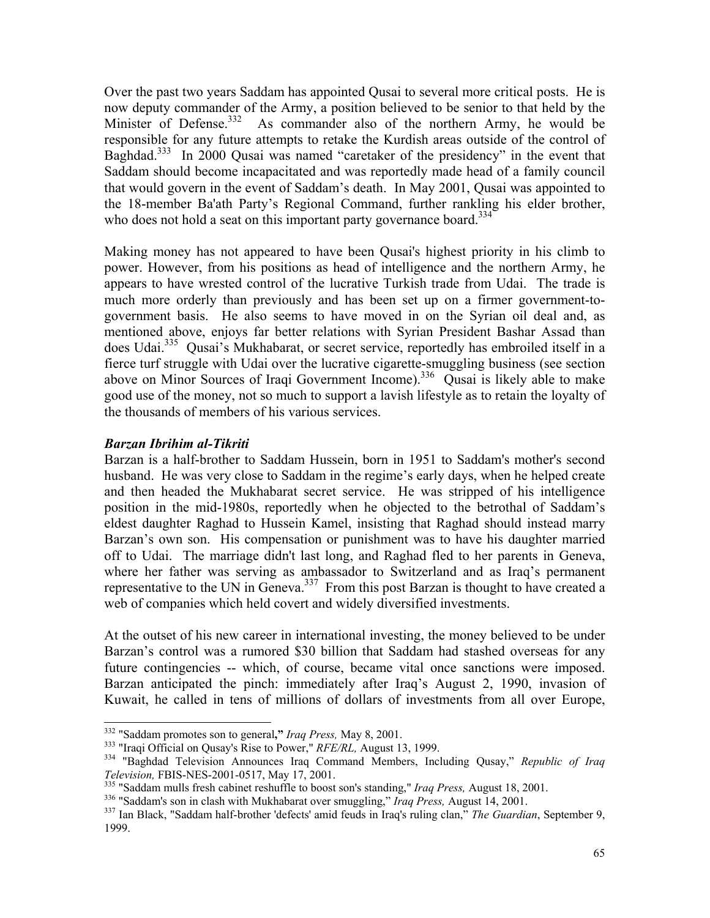Over the past two years Saddam has appointed Qusai to several more critical posts. He is now deputy commander of the Army, a position believed to be senior to that held by the Minister of Defense.<sup>332</sup> As commander also of the northern Army, he would be responsible for any future attempts to retake the Kurdish areas outside of the control of Baghdad.<sup>333</sup> In 2000 Qusai was named "caretaker of the presidency" in the event that Saddam should become incapacitated and was reportedly made head of a family council that would govern in the event of Saddam's death. In May 2001, Qusai was appointed to the 18-member Ba'ath Party's Regional Command, further rankling his elder brother, who does not hold a seat on this important party governance board.<sup>334</sup>

Making money has not appeared to have been Qusai's highest priority in his climb to power. However, from his positions as head of intelligence and the northern Army, he appears to have wrested control of the lucrative Turkish trade from Udai. The trade is much more orderly than previously and has been set up on a firmer government-togovernment basis. He also seems to have moved in on the Syrian oil deal and, as mentioned above, enjoys far better relations with Syrian President Bashar Assad than does Udai.<sup>335</sup> Qusai's Mukhabarat, or secret service, reportedly has embroiled itself in a fierce turf struggle with Udai over the lucrative cigarette-smuggling business (see section above on Minor Sources of Iraqi Government Income).<sup>336</sup> Qusai is likely able to make good use of the money, not so much to support a lavish lifestyle as to retain the loyalty of the thousands of members of his various services.

## *Barzan Ibrihim al-Tikriti*

Barzan is a half-brother to Saddam Hussein, born in 1951 to Saddam's mother's second husband. He was very close to Saddam in the regime's early days, when he helped create and then headed the Mukhabarat secret service. He was stripped of his intelligence position in the mid-1980s, reportedly when he objected to the betrothal of Saddam's eldest daughter Raghad to Hussein Kamel, insisting that Raghad should instead marry Barzan's own son. His compensation or punishment was to have his daughter married off to Udai. The marriage didn't last long, and Raghad fled to her parents in Geneva, where her father was serving as ambassador to Switzerland and as Iraq's permanent representative to the UN in Geneva.<sup>337</sup> From this post Barzan is thought to have created a web of companies which held covert and widely diversified investments.

At the outset of his new career in international investing, the money believed to be under Barzan's control was a rumored \$30 billion that Saddam had stashed overseas for any future contingencies -- which, of course, became vital once sanctions were imposed. Barzan anticipated the pinch: immediately after Iraq's August 2, 1990, invasion of Kuwait, he called in tens of millions of dollars of investments from all over Europe,

<sup>&</sup>lt;sup>332</sup> "Saddam promotes son to general," Iraq Press, May 8, 2001.

<sup>&</sup>lt;sup>333</sup> "Iraqi Official on Qusay's Rise to Power," *RFE/RL*, August 13, 1999.<br><sup>334</sup> "Baghdad Television Announces Iraq Command Members, Including Qusay," *Republic of Iraq Television*, FBIS-NES-2001-0517, May 17, 2001.<br><sup>335</sup> "Saddam mulls fresh cabinet reshuffle to boost son's standing," *Iraq Press*, August 18, 2001.<br><sup>336</sup> "Saddam's son in clash with Mukhabarat over smuggling," *Iraq Press* 

<sup>1999.</sup>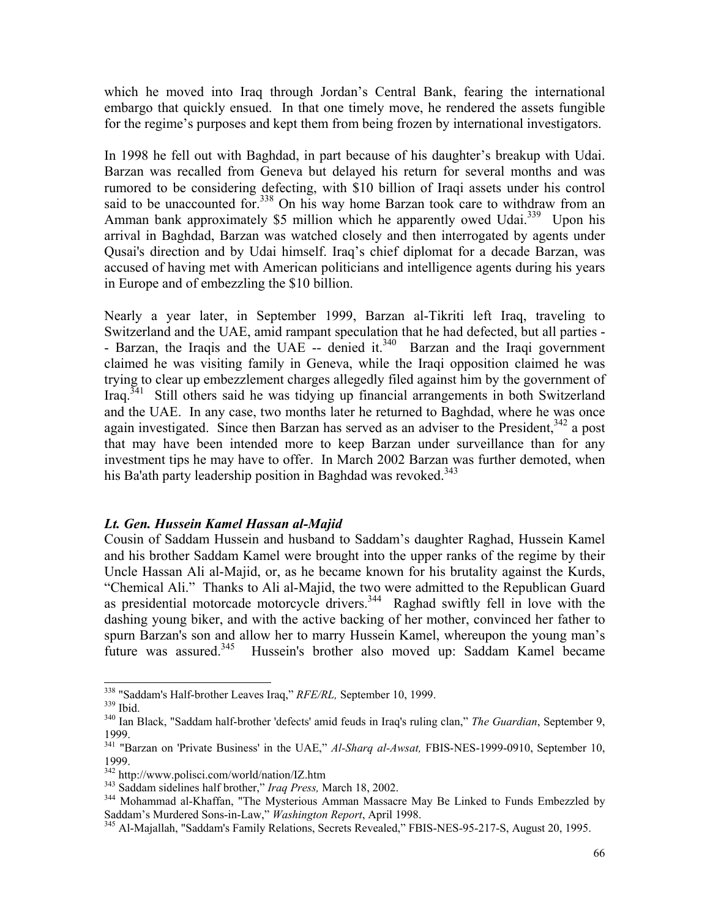which he moved into Iraq through Jordan's Central Bank, fearing the international embargo that quickly ensued. In that one timely move, he rendered the assets fungible for the regime's purposes and kept them from being frozen by international investigators.

In 1998 he fell out with Baghdad, in part because of his daughter's breakup with Udai. Barzan was recalled from Geneva but delayed his return for several months and was rumored to be considering defecting, with \$10 billion of Iraqi assets under his control said to be unaccounted for.<sup>338</sup> On his way home Barzan took care to withdraw from an Amman bank approximately \$5 million which he apparently owed Udai.<sup>339</sup> Upon his arrival in Baghdad, Barzan was watched closely and then interrogated by agents under Qusai's direction and by Udai himself. Iraq's chief diplomat for a decade Barzan, was accused of having met with American politicians and intelligence agents during his years in Europe and of embezzling the \$10 billion.

Nearly a year later, in September 1999, Barzan al-Tikriti left Iraq, traveling to Switzerland and the UAE, amid rampant speculation that he had defected, but all parties - - Barzan, the Iraqis and the UAE -- denied it.<sup>340</sup> Barzan and the Iraqi government claimed he was visiting family in Geneva, while the Iraqi opposition claimed he was trying to clear up embezzlement charges allegedly filed against him by the government of Iraq.<sup>341</sup> Still others said he was tidying up financial arrangements in both Switzerland and the UAE. In any case, two months later he returned to Baghdad, where he was once again investigated. Since then Barzan has served as an adviser to the President,  $342$  a post that may have been intended more to keep Barzan under surveillance than for any investment tips he may have to offer. In March 2002 Barzan was further demoted, when his Ba'ath party leadership position in Baghdad was revoked.<sup>343</sup>

## *Lt. Gen. Hussein Kamel Hassan al-Majid*

Cousin of Saddam Hussein and husband to Saddam's daughter Raghad, Hussein Kamel and his brother Saddam Kamel were brought into the upper ranks of the regime by their Uncle Hassan Ali al-Majid, or, as he became known for his brutality against the Kurds, "Chemical Ali." Thanks to Ali al-Majid, the two were admitted to the Republican Guard as presidential motorcade motorcycle drivers.<sup>344</sup> Raghad swiftly fell in love with the dashing young biker, and with the active backing of her mother, convinced her father to spurn Barzan's son and allow her to marry Hussein Kamel, whereupon the young man's future was assured.<sup>345</sup> Hussein's brother also moved up: Saddam Kamel became

<sup>&</sup>lt;sup>338</sup> "Saddam's Half-brother Leaves Iraq," *RFE/RL*, September 10, 1999.<br><sup>339</sup> Ibid. <br><sup>340</sup> Ian Black, "Saddam half-brother 'defects' amid feuds in Iraq's ruling clan," *The Guardian*, September 9, 1999.

<sup>341</sup> "Barzan on 'Private Business' in the UAE," *Al-Sharq al-Awsat,* FBIS-NES-1999-0910, September 10, 1999.<br><sup>342</sup> http://www.polisci.com/world/nation/IZ.htm

<sup>&</sup>lt;sup>343</sup> Saddam sidelines half brother," *Iraq Press*, March 18, 2002.<br><sup>344</sup> Mohammad al-Khaffan, "The Mysterious Amman Massacre May Be Linked to Funds Embezzled by Saddam's Murdered Sons-in-Law," *Washington Report*, April 1998.<br><sup>345</sup> Al-Majallah, "Saddam's Family Relations, Secrets Revealed," FBIS-NES-95-217-S, August 20, 1995.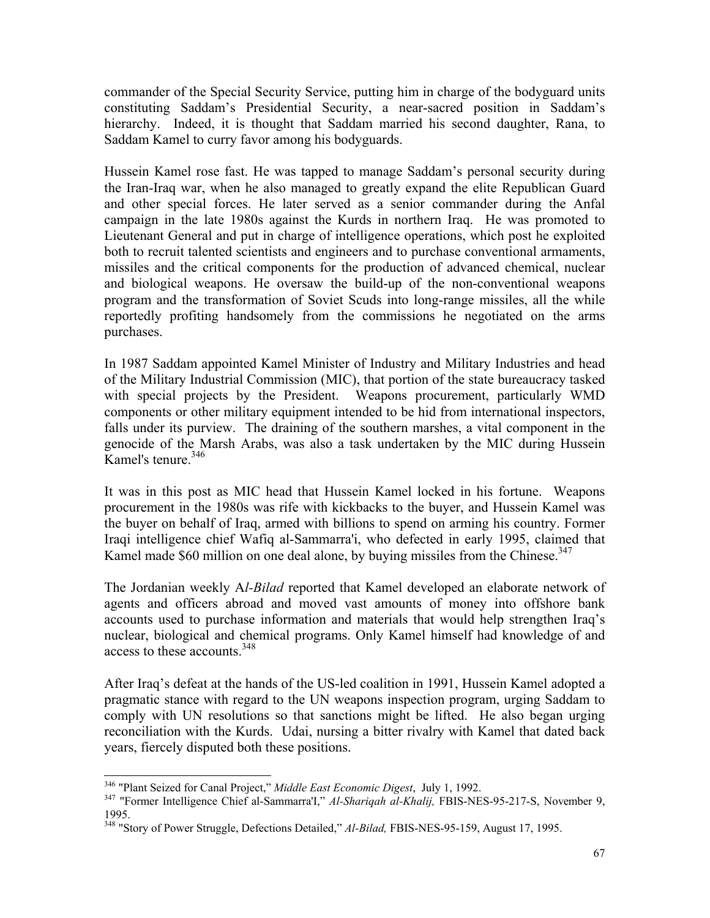commander of the Special Security Service, putting him in charge of the bodyguard units constituting Saddam's Presidential Security, a near-sacred position in Saddam's hierarchy. Indeed, it is thought that Saddam married his second daughter, Rana, to Saddam Kamel to curry favor among his bodyguards.

Hussein Kamel rose fast. He was tapped to manage Saddam's personal security during the Iran-Iraq war, when he also managed to greatly expand the elite Republican Guard and other special forces. He later served as a senior commander during the Anfal campaign in the late 1980s against the Kurds in northern Iraq. He was promoted to Lieutenant General and put in charge of intelligence operations, which post he exploited both to recruit talented scientists and engineers and to purchase conventional armaments, missiles and the critical components for the production of advanced chemical, nuclear and biological weapons. He oversaw the build-up of the non-conventional weapons program and the transformation of Soviet Scuds into long-range missiles, all the while reportedly profiting handsomely from the commissions he negotiated on the arms purchases.

In 1987 Saddam appointed Kamel Minister of Industry and Military Industries and head of the Military Industrial Commission (MIC), that portion of the state bureaucracy tasked with special projects by the President. Weapons procurement, particularly WMD components or other military equipment intended to be hid from international inspectors, falls under its purview. The draining of the southern marshes, a vital component in the genocide of the Marsh Arabs, was also a task undertaken by the MIC during Hussein Kamel's tenure. $346$ 

It was in this post as MIC head that Hussein Kamel locked in his fortune. Weapons procurement in the 1980s was rife with kickbacks to the buyer, and Hussein Kamel was the buyer on behalf of Iraq, armed with billions to spend on arming his country. Former Iraqi intelligence chief Wafiq al-Sammarra'i, who defected in early 1995, claimed that Kamel made \$60 million on one deal alone, by buying missiles from the Chinese.<sup>347</sup>

The Jordanian weekly A*l-Bilad* reported that Kamel developed an elaborate network of agents and officers abroad and moved vast amounts of money into offshore bank accounts used to purchase information and materials that would help strengthen Iraq's nuclear, biological and chemical programs. Only Kamel himself had knowledge of and access to these accounts.<sup>348</sup>

After Iraq's defeat at the hands of the US-led coalition in 1991, Hussein Kamel adopted a pragmatic stance with regard to the UN weapons inspection program, urging Saddam to comply with UN resolutions so that sanctions might be lifted. He also began urging reconciliation with the Kurds. Udai, nursing a bitter rivalry with Kamel that dated back years, fiercely disputed both these positions.

<sup>346 &</sup>quot;Plant Seized for Canal Project," *Middle East Economic Digest*, July 1, 1992. 347 "Former Intelligence Chief al-Sammarra'I," *Al-Shariqah al-Khalij,* FBIS-NES-95-217-S, November 9, 1995.

<sup>348 &</sup>quot;Story of Power Struggle, Defections Detailed," *Al-Bilad,* FBIS-NES-95-159, August 17, 1995.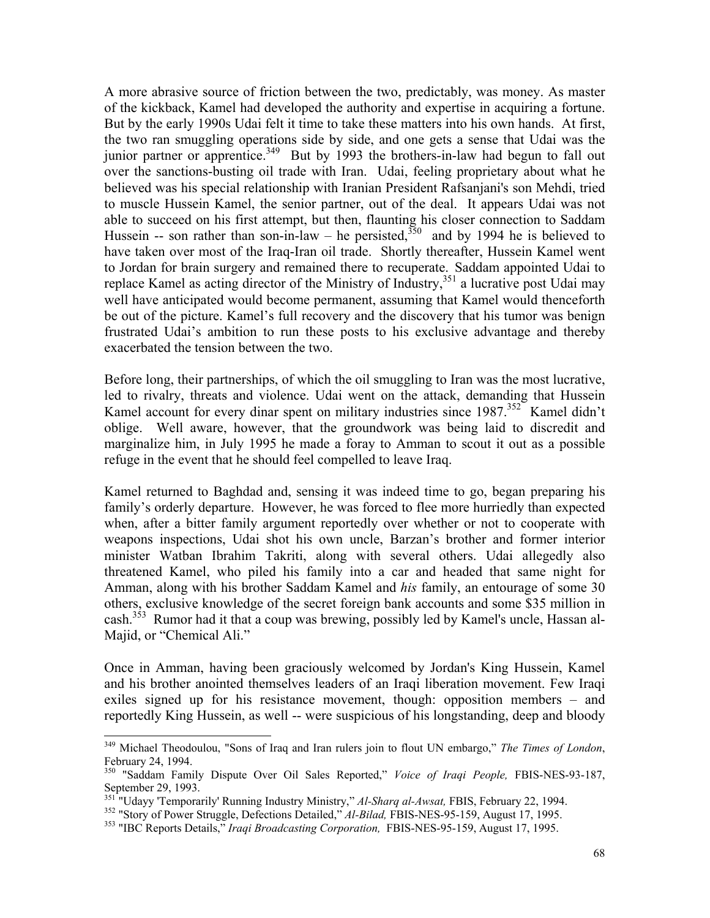A more abrasive source of friction between the two, predictably, was money. As master of the kickback, Kamel had developed the authority and expertise in acquiring a fortune. But by the early 1990s Udai felt it time to take these matters into his own hands. At first, the two ran smuggling operations side by side, and one gets a sense that Udai was the junior partner or apprentice.<sup>349</sup> But by 1993 the brothers-in-law had begun to fall out over the sanctions-busting oil trade with Iran. Udai, feeling proprietary about what he believed was his special relationship with Iranian President Rafsanjani's son Mehdi, tried to muscle Hussein Kamel, the senior partner, out of the deal. It appears Udai was not able to succeed on his first attempt, but then, flaunting his closer connection to Saddam Hussein -- son rather than son-in-law – he persisted,<sup>350</sup> and by 1994 he is believed to have taken over most of the Iraq-Iran oil trade. Shortly thereafter, Hussein Kamel went to Jordan for brain surgery and remained there to recuperate. Saddam appointed Udai to replace Kamel as acting director of the Ministry of Industry,<sup>351</sup> a lucrative post Udai may well have anticipated would become permanent, assuming that Kamel would thenceforth be out of the picture. Kamel's full recovery and the discovery that his tumor was benign frustrated Udai's ambition to run these posts to his exclusive advantage and thereby exacerbated the tension between the two.

Before long, their partnerships, of which the oil smuggling to Iran was the most lucrative, led to rivalry, threats and violence. Udai went on the attack, demanding that Hussein Kamel account for every dinar spent on military industries since 1987.<sup>352</sup> Kamel didn't oblige. Well aware, however, that the groundwork was being laid to discredit and marginalize him, in July 1995 he made a foray to Amman to scout it out as a possible refuge in the event that he should feel compelled to leave Iraq.

Kamel returned to Baghdad and, sensing it was indeed time to go, began preparing his family's orderly departure. However, he was forced to flee more hurriedly than expected when, after a bitter family argument reportedly over whether or not to cooperate with weapons inspections, Udai shot his own uncle, Barzan's brother and former interior minister Watban Ibrahim Takriti, along with several others. Udai allegedly also threatened Kamel, who piled his family into a car and headed that same night for Amman, along with his brother Saddam Kamel and *his* family, an entourage of some 30 others, exclusive knowledge of the secret foreign bank accounts and some \$35 million in cash.<sup>353</sup> Rumor had it that a coup was brewing, possibly led by Kamel's uncle, Hassan al-Majid, or "Chemical Ali."

Once in Amman, having been graciously welcomed by Jordan's King Hussein, Kamel and his brother anointed themselves leaders of an Iraqi liberation movement. Few Iraqi exiles signed up for his resistance movement, though: opposition members – and reportedly King Hussein, as well -- were suspicious of his longstanding, deep and bloody

<sup>349</sup> Michael Theodoulou, "Sons of Iraq and Iran rulers join to flout UN embargo," *The Times of London*, February 24, 1994.

<sup>350 &</sup>quot;Saddam Family Dispute Over Oil Sales Reported," *Voice of Iraqi People,* FBIS-NES-93-187, September 29, 1993.<br>
<sup>351</sup> "Udayy 'Temporarily' Running Industry Ministry," Al-Sharq al-Awsat, FBIS, February 22, 1994.

<sup>&</sup>lt;sup>352</sup> "Story of Power Struggle, Defections Detailed," Al-Bilad, FBIS-NES-95-159, August 17, 1995.<br><sup>353</sup> "IBC Reports Details," *Iraqi Broadcasting Corporation*, FBIS-NES-95-159, August 17, 1995.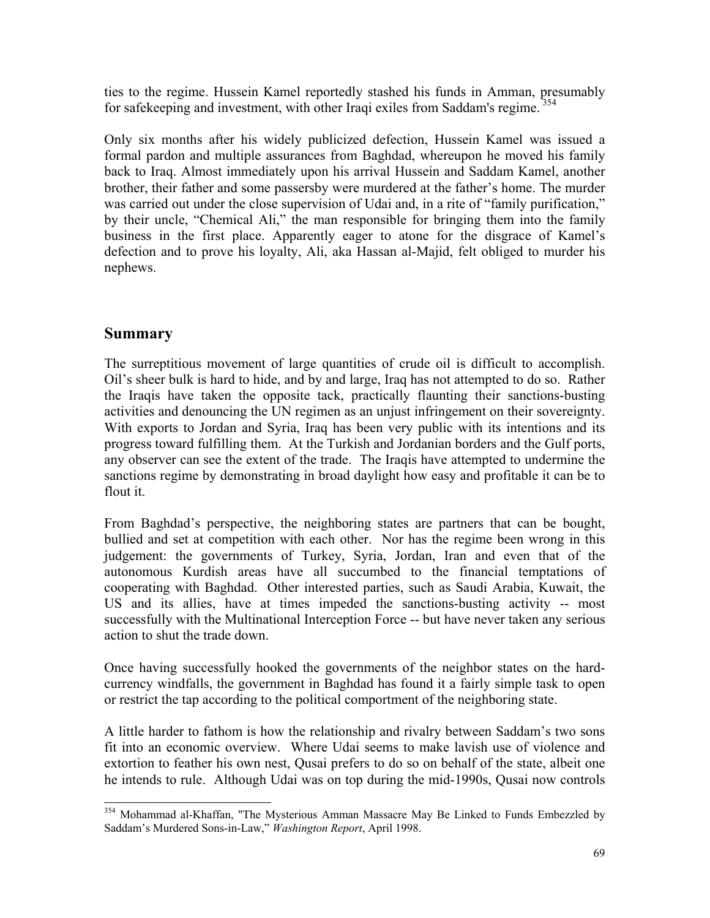ties to the regime. Hussein Kamel reportedly stashed his funds in Amman, presumably for safekeeping and investment, with other Iraqi exiles from Saddam's regime.<sup>354</sup>

Only six months after his widely publicized defection, Hussein Kamel was issued a formal pardon and multiple assurances from Baghdad, whereupon he moved his family back to Iraq. Almost immediately upon his arrival Hussein and Saddam Kamel, another brother, their father and some passersby were murdered at the father's home. The murder was carried out under the close supervision of Udai and, in a rite of "family purification," by their uncle, "Chemical Ali," the man responsible for bringing them into the family business in the first place. Apparently eager to atone for the disgrace of Kamel's defection and to prove his loyalty, Ali, aka Hassan al-Majid, felt obliged to murder his nephews.

## **Summary**

 $\overline{a}$ 

The surreptitious movement of large quantities of crude oil is difficult to accomplish. Oil's sheer bulk is hard to hide, and by and large, Iraq has not attempted to do so. Rather the Iraqis have taken the opposite tack, practically flaunting their sanctions-busting activities and denouncing the UN regimen as an unjust infringement on their sovereignty. With exports to Jordan and Syria, Iraq has been very public with its intentions and its progress toward fulfilling them. At the Turkish and Jordanian borders and the Gulf ports, any observer can see the extent of the trade. The Iraqis have attempted to undermine the sanctions regime by demonstrating in broad daylight how easy and profitable it can be to flout it.

From Baghdad's perspective, the neighboring states are partners that can be bought, bullied and set at competition with each other. Nor has the regime been wrong in this judgement: the governments of Turkey, Syria, Jordan, Iran and even that of the autonomous Kurdish areas have all succumbed to the financial temptations of cooperating with Baghdad. Other interested parties, such as Saudi Arabia, Kuwait, the US and its allies, have at times impeded the sanctions-busting activity -- most successfully with the Multinational Interception Force -- but have never taken any serious action to shut the trade down.

Once having successfully hooked the governments of the neighbor states on the hardcurrency windfalls, the government in Baghdad has found it a fairly simple task to open or restrict the tap according to the political comportment of the neighboring state.

A little harder to fathom is how the relationship and rivalry between Saddam's two sons fit into an economic overview. Where Udai seems to make lavish use of violence and extortion to feather his own nest, Qusai prefers to do so on behalf of the state, albeit one he intends to rule. Although Udai was on top during the mid-1990s, Qusai now controls

<sup>&</sup>lt;sup>354</sup> Mohammad al-Khaffan, "The Mysterious Amman Massacre May Be Linked to Funds Embezzled by Saddam's Murdered Sons-in-Law," *Washington Report*, April 1998.